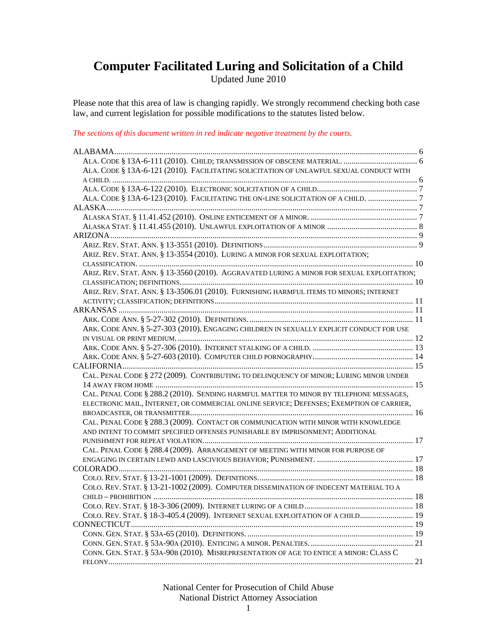# **Computer Facilitated Luring and Solicitation of a Child**

Updated June 2010

Please note that this area of law is changing rapidly. We strongly recommend checking both case law, and current legislation for possible modifications to the statutes listed below.

*The sections of this document written in red indicate negative treatment by the courts.* 

| ALA. CODE § 13A-6-121 (2010). FACILITATING SOLICITATION OF UNLAWFUL SEXUAL CONDUCT WITH    |  |
|--------------------------------------------------------------------------------------------|--|
|                                                                                            |  |
|                                                                                            |  |
| ALA. CODE § 13A-6-123 (2010). FACILITATING THE ON-LINE SOLICITATION OF A CHILD. 7          |  |
|                                                                                            |  |
|                                                                                            |  |
|                                                                                            |  |
|                                                                                            |  |
|                                                                                            |  |
| ARIZ. REV. STAT. ANN. § 13-3554 (2010). LURING A MINOR FOR SEXUAL EXPLOITATION;            |  |
|                                                                                            |  |
| ARIZ. REV. STAT. ANN. § 13-3560 (2010). AGGRAVATED LURING A MINOR FOR SEXUAL EXPLOITATION; |  |
|                                                                                            |  |
| ARIZ. REV. STAT. ANN. § 13-3506.01 (2010). FURNISHING HARMFUL ITEMS TO MINORS; INTERNET    |  |
|                                                                                            |  |
|                                                                                            |  |
|                                                                                            |  |
| ARK. CODE ANN. § 5-27-303 (2010). ENGAGING CHILDREN IN SEXUALLY EXPLICIT CONDUCT FOR USE   |  |
|                                                                                            |  |
|                                                                                            |  |
|                                                                                            |  |
|                                                                                            |  |
| CAL. PENAL CODE § 272 (2009). CONTRIBUTING TO DELINQUENCY OF MINOR; LURING MINOR UNDER     |  |
|                                                                                            |  |
| CAL. PENAL CODE § 288.2 (2010). SENDING HARMFUL MATTER TO MINOR BY TELEPHONE MESSAGES,     |  |
| ELECTRONIC MAIL, INTERNET, OR COMMERCIAL ONLINE SERVICE; DEFENSES; EXEMPTION OF CARRIER,   |  |
|                                                                                            |  |
| CAL. PENAL CODE § 288.3 (2009). CONTACT OR COMMUNICATION WITH MINOR WITH KNOWLEDGE         |  |
| AND INTENT TO COMMIT SPECIFIED OFFENSES PUNISHABLE BY IMPRISONMENT: ADDITIONAL             |  |
|                                                                                            |  |
| CAL. PENAL CODE § 288.4 (2009). ARRANGEMENT OF MEETING WITH MINOR FOR PURPOSE OF           |  |
|                                                                                            |  |
|                                                                                            |  |
|                                                                                            |  |
| COLO. REV. STAT. § 13-21-1002 (2009). COMPUTER DISSEMINATION OF INDECENT MATERIAL TO A     |  |
|                                                                                            |  |
|                                                                                            |  |
| COLO. REV. STAT. § 18-3-405.4 (2009). INTERNET SEXUAL EXPLOITATION OF A CHILD 19           |  |
|                                                                                            |  |
|                                                                                            |  |
|                                                                                            |  |
| CONN. GEN. STAT. § 53A-90B (2010). MISREPRESENTATION OF AGE TO ENTICE A MINOR: CLASS C     |  |
|                                                                                            |  |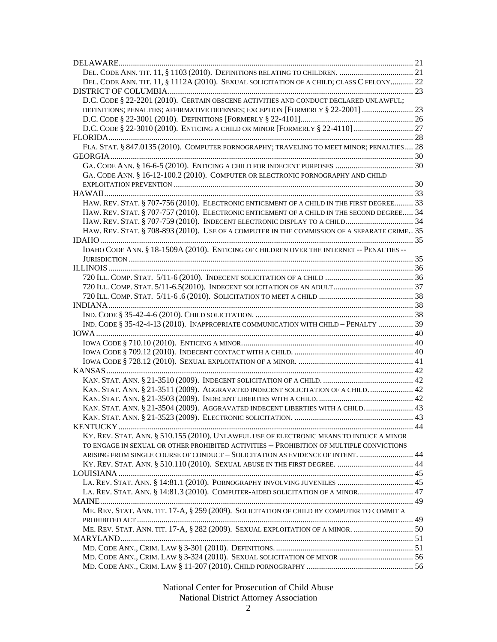| DEL. CODE ANN. TIT. 11, § 1112A (2010). SEXUAL SOLICITATION OF A CHILD; CLASS C FELONY  22   |  |
|----------------------------------------------------------------------------------------------|--|
|                                                                                              |  |
| D.C. CODE § 22-2201 (2010). CERTAIN OBSCENE ACTIVITIES AND CONDUCT DECLARED UNLAWFUL;        |  |
| DEFINITIONS; PENALTIES; AFFIRMATIVE DEFENSES; EXCEPTION [FORMERLY § 22-2001]  23             |  |
|                                                                                              |  |
| D.C. CODE § 22-3010 (2010). ENTICING A CHILD OR MINOR [FORMERLY § 22-4110]  27               |  |
|                                                                                              |  |
| FLA. STAT. § 847.0135 (2010). COMPUTER PORNOGRAPHY; TRAVELING TO MEET MINOR; PENALTIES  28   |  |
|                                                                                              |  |
|                                                                                              |  |
| GA. CODE ANN. § 16-12-100.2 (2010). COMPUTER OR ELECTRONIC PORNOGRAPHY AND CHILD             |  |
|                                                                                              |  |
|                                                                                              |  |
| HAW. REV. STAT. § 707-756 (2010). ELECTRONIC ENTICEMENT OF A CHILD IN THE FIRST DEGREE 33    |  |
| HAW. REV. STAT. § 707-757 (2010). ELECTRONIC ENTICEMENT OF A CHILD IN THE SECOND DEGREE 34   |  |
| HAW. REV. STAT. § 707-759 (2010). INDECENT ELECTRONIC DISPLAY TO A CHILD 34                  |  |
| HAW. REV. STAT. § 708-893 (2010). USE OF A COMPUTER IN THE COMMISSION OF A SEPARATE CRIME 35 |  |
|                                                                                              |  |
| IDAHO CODE ANN. § 18-1509A (2010). ENTICING OF CHILDREN OVER THE INTERNET -- PENALTIES --    |  |
|                                                                                              |  |
|                                                                                              |  |
|                                                                                              |  |
|                                                                                              |  |
|                                                                                              |  |
|                                                                                              |  |
|                                                                                              |  |
| IND. CODE § 35-42-4-13 (2010). INAPPROPRIATE COMMUNICATION WITH CHILD - PENALTY  39          |  |
|                                                                                              |  |
|                                                                                              |  |
|                                                                                              |  |
|                                                                                              |  |
|                                                                                              |  |
|                                                                                              |  |
|                                                                                              |  |
| KAN. STAT. ANN. § 21-3511 (2009). AGGRAVATED INDECENT SOLICITATION OF A CHILD 42             |  |
|                                                                                              |  |
| KAN. STAT. ANN. § 21-3504 (2009). AGGRAVATED INDECENT LIBERTIES WITH A CHILD 43              |  |
|                                                                                              |  |
|                                                                                              |  |
| KY. REV. STAT. ANN. § 510.155 (2010). UNLAWFUL USE OF ELECTRONIC MEANS TO INDUCE A MINOR     |  |
| TO ENGAGE IN SEXUAL OR OTHER PROHIBITED ACTIVITIES -- PROHIBITION OF MULTIPLE CONVICTIONS    |  |
| ARISING FROM SINGLE COURSE OF CONDUCT - SOLICITATION AS EVIDENCE OF INTENT.  44              |  |
|                                                                                              |  |
|                                                                                              |  |
| LA. REV. STAT. ANN. § 14:81.1 (2010). PORNOGRAPHY INVOLVING JUVENILES  45                    |  |
| LA. REV. STAT. ANN. § 14:81.3 (2010). COMPUTER-AIDED SOLICITATION OF A MINOR 47              |  |
|                                                                                              |  |
| ME. REV. STAT. ANN. TIT. 17-A, § 259 (2009). SOLICITATION OF CHILD BY COMPUTER TO COMMIT A   |  |
|                                                                                              |  |
| ME. REV. STAT. ANN. TIT. 17-A, § 282 (2009). SEXUAL EXPLOITATION OF A MINOR.  50             |  |
|                                                                                              |  |
|                                                                                              |  |
|                                                                                              |  |
|                                                                                              |  |
|                                                                                              |  |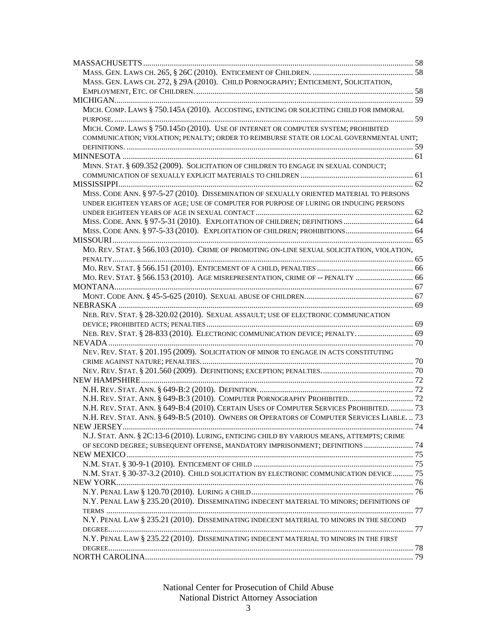| MASS. GEN. LAWS CH. 272, § 29A (2010). CHILD PORNOGRAPHY; ENTICEMENT, SOLICITATION,         |  |
|---------------------------------------------------------------------------------------------|--|
|                                                                                             |  |
|                                                                                             |  |
| MICH. COMP. LAWS § 750.145A (2010). ACCOSTING, ENTICING OR SOLICITING CHILD FOR IMMORAL     |  |
|                                                                                             |  |
| MICH. COMP. LAWS § 750.145D (2010). USE OF INTERNET OR COMPUTER SYSTEM; PROHIBITED          |  |
| COMMUNICATION; VIOLATION; PENALTY; ORDER TO REIMBURSE STATE OR LOCAL GOVERNMENTAL UNIT;     |  |
|                                                                                             |  |
|                                                                                             |  |
| MINN. STAT. § 609.352 (2009). SOLICITATION OF CHILDREN TO ENGAGE IN SEXUAL CONDUCT;         |  |
|                                                                                             |  |
|                                                                                             |  |
| MISS. CODE ANN. § 97-5-27 (2010). DISSEMINATION OF SEXUALLY ORIENTED MATERIAL TO PERSONS    |  |
| UNDER EIGHTEEN YEARS OF AGE; USE OF COMPUTER FOR PURPOSE OF LURING OR INDUCING PERSONS      |  |
|                                                                                             |  |
| MISS. CODE. ANN. § 97-5-31 (2010). EXPLOITATION OF CHILDREN; DEFINITIONS 64                 |  |
| MISS. CODE ANN. § 97-5-33 (2010). EXPLOITATION OF CHILDREN; PROHIBITIONS 64                 |  |
|                                                                                             |  |
|                                                                                             |  |
| MO. REV. STAT. § 566.103 (2010). CRIME OF PROMOTING ON-LINE SEXUAL SOLICITATION, VIOLATION, |  |
|                                                                                             |  |
|                                                                                             |  |
| MO. REV. STAT. § 566.153 (2010). AGE MISREPRESENTATION, CRIME OF -- PENALTY  66             |  |
|                                                                                             |  |
|                                                                                             |  |
|                                                                                             |  |
| NEB. REV. STAT. § 28-320.02 (2010). SEXUAL ASSAULT; USE OF ELECTRONIC COMMUNICATION         |  |
|                                                                                             |  |
| NEB. REV. STAT. § 28-833 (2010). ELECTRONIC COMMUNICATION DEVICE; PENALTY.  69              |  |
|                                                                                             |  |
| NEV. REV. STAT. § 201.195 (2009). SOLICITATION OF MINOR TO ENGAGE IN ACTS CONSTITUTING      |  |
|                                                                                             |  |
|                                                                                             |  |
|                                                                                             |  |
|                                                                                             |  |
| N.H. REV. STAT. ANN. § 649-B:3 (2010). COMPUTER PORNOGRAPHY PROHIBITED 72                   |  |
| N.H. REV. STAT. ANN. § 649-B:4 (2010). CERTAIN USES OF COMPUTER SERVICES PROHIBITED.  73    |  |
| N.H. REV. STAT. ANN. § 649-B:5 (2010). OWNERS OR OPERATORS OF COMPUTER SERVICES LIABLE.  73 |  |
|                                                                                             |  |
| N.J. STAT. ANN. § 2C:13-6 (2010). LURING, ENTICING CHILD BY VARIOUS MEANS, ATTEMPTS; CRIME  |  |
| OF SECOND DEGREE; SUBSEQUENT OFFENSE, MANDATORY IMPRISONMENT; DEFINITIONS  74               |  |
|                                                                                             |  |
|                                                                                             |  |
| N.M. STAT. § 30-37-3.2 (2010). CHILD SOLICITATION BY ELECTRONIC COMMUNICATION DEVICE 75     |  |
|                                                                                             |  |
|                                                                                             |  |
| N.Y. PENAL LAW § 235.20 (2010). DISSEMINATING INDECENT MATERIAL TO MINORS; DEFINITIONS OF   |  |
|                                                                                             |  |
| N.Y. PENAL LAW § 235.21 (2010). DISSEMINATING INDECENT MATERIAL TO MINORS IN THE SECOND     |  |
|                                                                                             |  |
| N.Y. PENAL LAW § 235.22 (2010). DISSEMINATING INDECENT MATERIAL TO MINORS IN THE FIRST      |  |
|                                                                                             |  |
|                                                                                             |  |
|                                                                                             |  |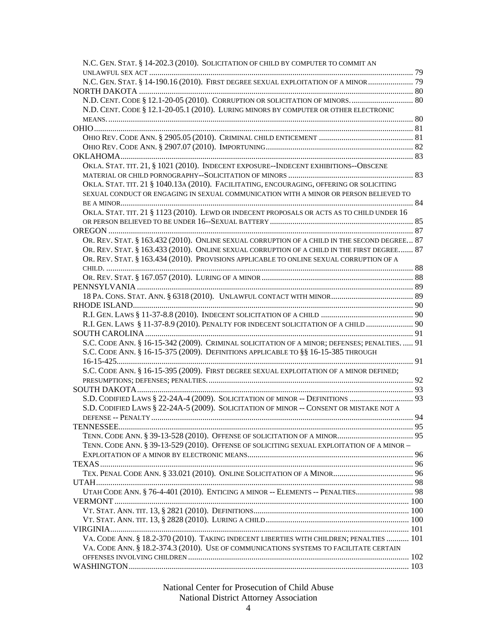| N.C. GEN. STAT. § 14-202.3 (2010). SOLICITATION OF CHILD BY COMPUTER TO COMMIT AN            |  |
|----------------------------------------------------------------------------------------------|--|
|                                                                                              |  |
| N.C. GEN. STAT. § 14-190.16 (2010). FIRST DEGREE SEXUAL EXPLOITATION OF A MINOR  79          |  |
|                                                                                              |  |
|                                                                                              |  |
| N.D. CENT. CODE § 12.1-20-05.1 (2010). LURING MINORS BY COMPUTER OR OTHER ELECTRONIC         |  |
|                                                                                              |  |
|                                                                                              |  |
|                                                                                              |  |
|                                                                                              |  |
|                                                                                              |  |
| OKLA. STAT. TIT. 21, § 1021 (2010). INDECENT EXPOSURE--INDECENT EXHIBITIONS--OBSCENE         |  |
|                                                                                              |  |
| OKLA. STAT. TIT. 21 § 1040.13A (2010). FACILITATING, ENCOURAGING, OFFERING OR SOLICITING     |  |
| SEXUAL CONDUCT OR ENGAGING IN SEXUAL COMMUNICATION WITH A MINOR OR PERSON BELIEVED TO        |  |
|                                                                                              |  |
| OKLA. STAT. TIT. 21 § 1123 (2010). LEWD OR INDECENT PROPOSALS OR ACTS AS TO CHILD UNDER 16   |  |
|                                                                                              |  |
|                                                                                              |  |
| OR. REV. STAT. § 163.432 (2010). ONLINE SEXUAL CORRUPTION OF A CHILD IN THE SECOND DEGREE 87 |  |
| OR. REV. STAT. § 163.433 (2010). ONLINE SEXUAL CORRUPTION OF A CHILD IN THE FIRST DEGREE 87  |  |
| OR. REV. STAT. § 163.434 (2010). PROVISIONS APPLICABLE TO ONLINE SEXUAL CORRUPTION OF A      |  |
|                                                                                              |  |
|                                                                                              |  |
|                                                                                              |  |
|                                                                                              |  |
|                                                                                              |  |
|                                                                                              |  |
| R.I. GEN. LAWS § 11-37-8.9 (2010). PENALTY FOR INDECENT SOLICITATION OF A CHILD  90          |  |
|                                                                                              |  |
|                                                                                              |  |
| S.C. CODE ANN. § 16-15-342 (2009). CRIMINAL SOLICITATION OF A MINOR; DEFENSES; PENALTIES 91  |  |
| S.C. CODE ANN. § 16-15-375 (2009). DEFINITIONS APPLICABLE TO §§ 16-15-385 THROUGH            |  |
| S.C. CODE ANN. § 16-15-395 (2009). FIRST DEGREE SEXUAL EXPLOITATION OF A MINOR DEFINED;      |  |
|                                                                                              |  |
|                                                                                              |  |
|                                                                                              |  |
| S.D. CODIFIED LAWS § 22-24A-4 (2009). SOLICITATION OF MINOR -- DEFINITIONS  93               |  |
| S.D. CODIFIED LAWS § 22-24A-5 (2009). SOLICITATION OF MINOR -- CONSENT OR MISTAKE NOT A      |  |
|                                                                                              |  |
|                                                                                              |  |
|                                                                                              |  |
| TENN. CODE ANN. § 39-13-529 (2010). OFFENSE OF SOLICITING SEXUAL EXPLOITATION OF A MINOR -   |  |
|                                                                                              |  |
|                                                                                              |  |
|                                                                                              |  |
|                                                                                              |  |
| UTAH CODE ANN. § 76-4-401 (2010). ENTICING A MINOR -- ELEMENTS -- PENALTIES 98               |  |
|                                                                                              |  |
|                                                                                              |  |
|                                                                                              |  |
|                                                                                              |  |
| VA. CODE ANN. § 18.2-370 (2010). TAKING INDECENT LIBERTIES WITH CHILDREN; PENALTIES  101     |  |
| VA. CODE ANN. § 18.2-374.3 (2010). USE OF COMMUNICATIONS SYSTEMS TO FACILITATE CERTAIN       |  |
|                                                                                              |  |
|                                                                                              |  |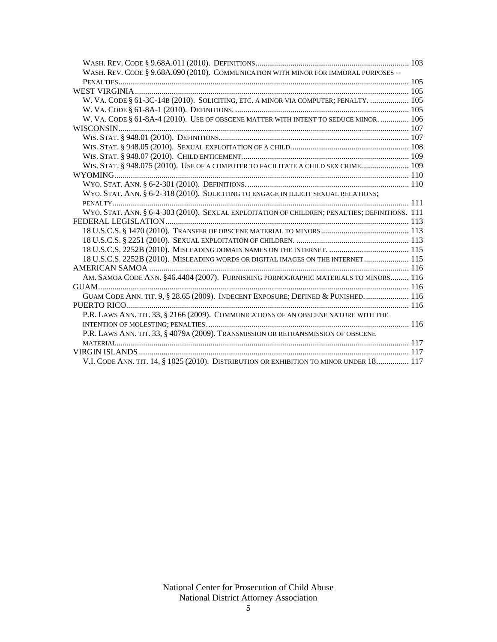| WASH. REV. CODE § 9.68A.090 (2010). COMMUNICATION WITH MINOR FOR IMMORAL PURPOSES --           |  |
|------------------------------------------------------------------------------------------------|--|
|                                                                                                |  |
|                                                                                                |  |
| W. VA. CODE § 61-3C-14B (2010). SOLICITING, ETC. A MINOR VIA COMPUTER; PENALTY.  105           |  |
|                                                                                                |  |
| W. VA. CODE § 61-8A-4 (2010). USE OF OBSCENE MATTER WITH INTENT TO SEDUCE MINOR 106            |  |
|                                                                                                |  |
|                                                                                                |  |
|                                                                                                |  |
|                                                                                                |  |
| WIS. STAT. § 948.075 (2010). USE OF A COMPUTER TO FACILITATE A CHILD SEX CRIME 109             |  |
|                                                                                                |  |
|                                                                                                |  |
| WYO. STAT. ANN. § 6-2-318 (2010). SOLICITING TO ENGAGE IN ILLICIT SEXUAL RELATIONS;            |  |
|                                                                                                |  |
| WYO. STAT. ANN. § 6-4-303 (2010). SEXUAL EXPLOITATION OF CHILDREN; PENALTIES; DEFINITIONS. 111 |  |
|                                                                                                |  |
|                                                                                                |  |
|                                                                                                |  |
|                                                                                                |  |
| 18 U.S.C.S. 2252B (2010). MISLEADING WORDS OR DIGITAL IMAGES ON THE INTERNET  115              |  |
|                                                                                                |  |
| AM. SAMOA CODE ANN. §46.4404 (2007). FURNISHING PORNOGRAPHIC MATERIALS TO MINORS 116           |  |
|                                                                                                |  |
| GUAM CODE ANN. TIT. 9, § 28.65 (2009). INDECENT EXPOSURE; DEFINED & PUNISHED 116               |  |
|                                                                                                |  |
| P.R. LAWS ANN. TIT. 33, § 2166 (2009). COMMUNICATIONS OF AN OBSCENE NATURE WITH THE            |  |
|                                                                                                |  |
| P.R. LAWS ANN. TIT. 33, § 4079A (2009). TRANSMISSION OR RETRANSMISSION OF OBSCENE              |  |
|                                                                                                |  |
|                                                                                                |  |
| V.I. CODE ANN. TIT. 14, § 1025 (2010). DISTRIBUTION OR EXHIBITION TO MINOR UNDER 18 117        |  |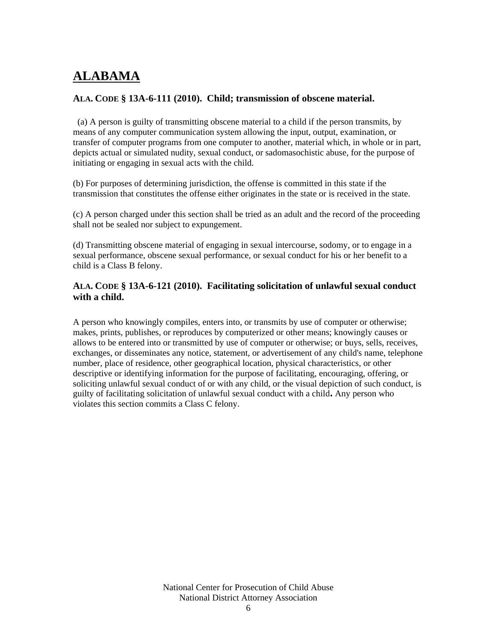# **ALABAMA**

### **ALA. CODE § 13A-6-111 (2010). Child; transmission of obscene material.**

 (a) A person is guilty of transmitting obscene material to a child if the person transmits, by means of any computer communication system allowing the input, output, examination, or transfer of computer programs from one computer to another, material which, in whole or in part, depicts actual or simulated nudity, sexual conduct, or sadomasochistic abuse, for the purpose of initiating or engaging in sexual acts with the child.

(b) For purposes of determining jurisdiction, the offense is committed in this state if the transmission that constitutes the offense either originates in the state or is received in the state.

(c) A person charged under this section shall be tried as an adult and the record of the proceeding shall not be sealed nor subject to expungement.

(d) Transmitting obscene material of engaging in sexual intercourse, sodomy, or to engage in a sexual performance, obscene sexual performance, or sexual conduct for his or her benefit to a child is a Class B felony.

### **ALA. CODE § 13A-6-121 (2010). Facilitating solicitation of unlawful sexual conduct with a child.**

A person who knowingly compiles, enters into, or transmits by use of computer or otherwise; makes, prints, publishes, or reproduces by computerized or other means; knowingly causes or allows to be entered into or transmitted by use of computer or otherwise; or buys, sells, receives, exchanges, or disseminates any notice, statement, or advertisement of any child's name, telephone number, place of residence, other geographical location, physical characteristics, or other descriptive or identifying information for the purpose of facilitating, encouraging, offering, or soliciting unlawful sexual conduct of or with any child, or the visual depiction of such conduct, is guilty of facilitating solicitation of unlawful sexual conduct with a child**.** Any person who violates this section commits a Class C felony.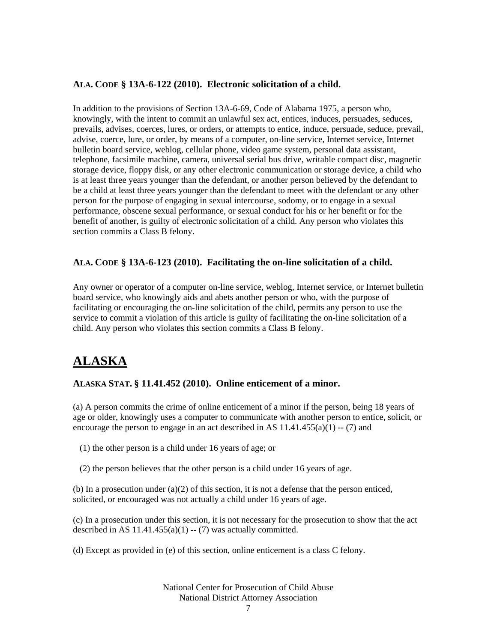## **ALA. CODE § 13A-6-122 (2010). Electronic solicitation of a child.**

In addition to the provisions of Section 13A-6-69, Code of Alabama 1975, a person who, knowingly, with the intent to commit an unlawful sex act, entices, induces, persuades, seduces, prevails, advises, coerces, lures, or orders, or attempts to entice, induce, persuade, seduce, prevail, advise, coerce, lure, or order, by means of a computer, on-line service, Internet service, Internet bulletin board service, weblog, cellular phone, video game system, personal data assistant, telephone, facsimile machine, camera, universal serial bus drive, writable compact disc, magnetic storage device, floppy disk, or any other electronic communication or storage device, a child who is at least three years younger than the defendant, or another person believed by the defendant to be a child at least three years younger than the defendant to meet with the defendant or any other person for the purpose of engaging in sexual intercourse, sodomy, or to engage in a sexual performance, obscene sexual performance, or sexual conduct for his or her benefit or for the benefit of another, is guilty of electronic solicitation of a child. Any person who violates this section commits a Class B felony.

## **ALA. CODE § 13A-6-123 (2010). Facilitating the on-line solicitation of a child.**

Any owner or operator of a computer on-line service, weblog, Internet service, or Internet bulletin board service, who knowingly aids and abets another person or who, with the purpose of facilitating or encouraging the on-line solicitation of the child, permits any person to use the service to commit a violation of this article is guilty of facilitating the on-line solicitation of a child. Any person who violates this section commits a Class B felony.

# **ALASKA**

### **ALASKA STAT. § 11.41.452 (2010). Online enticement of a minor.**

(a) A person commits the crime of online enticement of a minor if the person, being 18 years of age or older, knowingly uses a computer to communicate with another person to entice, solicit, or encourage the person to engage in an act described in AS  $11.41.455(a)(1) - (7)$  and

(1) the other person is a child under 16 years of age; or

(2) the person believes that the other person is a child under 16 years of age.

(b) In a prosecution under  $(a)(2)$  of this section, it is not a defense that the person enticed, solicited, or encouraged was not actually a child under 16 years of age.

(c) In a prosecution under this section, it is not necessary for the prosecution to show that the act described in AS  $11.41.455(a)(1) - (7)$  was actually committed.

(d) Except as provided in (e) of this section, online enticement is a class C felony.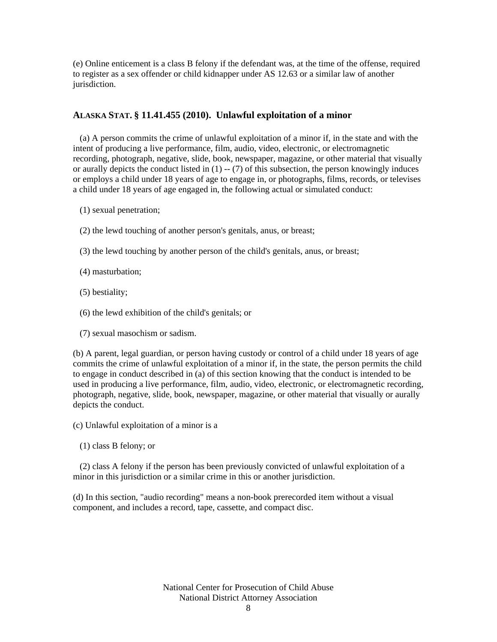(e) Online enticement is a class B felony if the defendant was, at the time of the offense, required to register as a sex offender or child kidnapper under AS 12.63 or a similar law of another jurisdiction.

#### **ALASKA STAT. § 11.41.455 (2010). Unlawful exploitation of a minor**

 (a) A person commits the crime of unlawful exploitation of a minor if, in the state and with the intent of producing a live performance, film, audio, video, electronic, or electromagnetic recording, photograph, negative, slide, book, newspaper, magazine, or other material that visually or aurally depicts the conduct listed in  $(1)$  --  $(7)$  of this subsection, the person knowingly induces or employs a child under 18 years of age to engage in, or photographs, films, records, or televises a child under 18 years of age engaged in, the following actual or simulated conduct:

(1) sexual penetration;

- (2) the lewd touching of another person's genitals, anus, or breast;
- (3) the lewd touching by another person of the child's genitals, anus, or breast;
- (4) masturbation;
- (5) bestiality;
- (6) the lewd exhibition of the child's genitals; or
- (7) sexual masochism or sadism.

(b) A parent, legal guardian, or person having custody or control of a child under 18 years of age commits the crime of unlawful exploitation of a minor if, in the state, the person permits the child to engage in conduct described in (a) of this section knowing that the conduct is intended to be used in producing a live performance, film, audio, video, electronic, or electromagnetic recording, photograph, negative, slide, book, newspaper, magazine, or other material that visually or aurally depicts the conduct.

(c) Unlawful exploitation of a minor is a

(1) class B felony; or

 (2) class A felony if the person has been previously convicted of unlawful exploitation of a minor in this jurisdiction or a similar crime in this or another jurisdiction.

(d) In this section, "audio recording" means a non-book prerecorded item without a visual component, and includes a record, tape, cassette, and compact disc.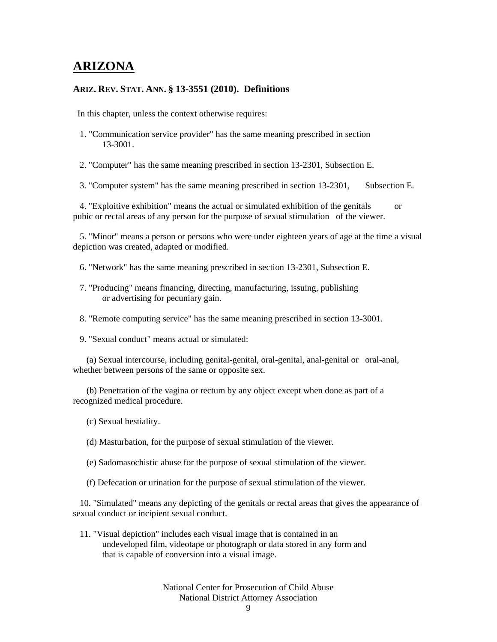# **ARIZONA**

### **ARIZ. REV. STAT. ANN. § 13-3551 (2010). Definitions**

In this chapter, unless the context otherwise requires:

 1. "Communication service provider" has the same meaning prescribed in section 13-3001.

2. "Computer" has the same meaning prescribed in section 13-2301, Subsection E.

3. "Computer system" has the same meaning prescribed in section 13-2301, Subsection E.

 4. "Exploitive exhibition" means the actual or simulated exhibition of the genitals or pubic or rectal areas of any person for the purpose of sexual stimulation of the viewer.

 5. "Minor" means a person or persons who were under eighteen years of age at the time a visual depiction was created, adapted or modified.

- 6. "Network" has the same meaning prescribed in section 13-2301, Subsection E.
- 7. "Producing" means financing, directing, manufacturing, issuing, publishing or advertising for pecuniary gain.
- 8. "Remote computing service" has the same meaning prescribed in section 13-3001.
- 9. "Sexual conduct" means actual or simulated:

 (a) Sexual intercourse, including genital-genital, oral-genital, anal-genital or oral-anal, whether between persons of the same or opposite sex.

 (b) Penetration of the vagina or rectum by any object except when done as part of a recognized medical procedure.

(c) Sexual bestiality.

(d) Masturbation, for the purpose of sexual stimulation of the viewer.

(e) Sadomasochistic abuse for the purpose of sexual stimulation of the viewer.

(f) Defecation or urination for the purpose of sexual stimulation of the viewer.

 10. "Simulated" means any depicting of the genitals or rectal areas that gives the appearance of sexual conduct or incipient sexual conduct.

 11. "Visual depiction" includes each visual image that is contained in an undeveloped film, videotape or photograph or data stored in any form and that is capable of conversion into a visual image.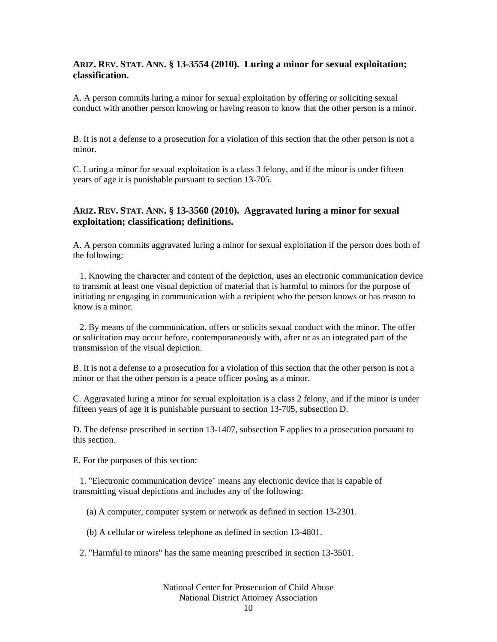### **ARIZ. REV. STAT. ANN. § 13-3554 (2010). Luring a minor for sexual exploitation; classification.**

A. A person commits luring a minor for sexual exploitation by offering or soliciting sexual conduct with another person knowing or having reason to know that the other person is a minor.

B. It is not a defense to a prosecution for a violation of this section that the other person is not a minor.

C. Luring a minor for sexual exploitation is a class 3 felony, and if the minor is under fifteen years of age it is punishable pursuant to section 13-705.

### **ARIZ. REV. STAT. ANN. § 13-3560 (2010). Aggravated luring a minor for sexual exploitation; classification; definitions.**

A. A person commits aggravated luring a minor for sexual exploitation if the person does both of the following:

 1. Knowing the character and content of the depiction, uses an electronic communication device to transmit at least one visual depiction of material that is harmful to minors for the purpose of initiating or engaging in communication with a recipient who the person knows or has reason to know is a minor.

 2. By means of the communication, offers or solicits sexual conduct with the minor. The offer or solicitation may occur before, contemporaneously with, after or as an integrated part of the transmission of the visual depiction.

B. It is not a defense to a prosecution for a violation of this section that the other person is not a minor or that the other person is a peace officer posing as a minor.

C. Aggravated luring a minor for sexual exploitation is a class 2 felony, and if the minor is under fifteen years of age it is punishable pursuant to section 13-705, subsection D.

D. The defense prescribed in section 13-1407, subsection F applies to a prosecution pursuant to this section.

E. For the purposes of this section:

 1. "Electronic communication device" means any electronic device that is capable of transmitting visual depictions and includes any of the following:

(a) A computer, computer system or network as defined in section 13-2301.

(b) A cellular or wireless telephone as defined in section 13-4801.

2. "Harmful to minors" has the same meaning prescribed in section 13-3501.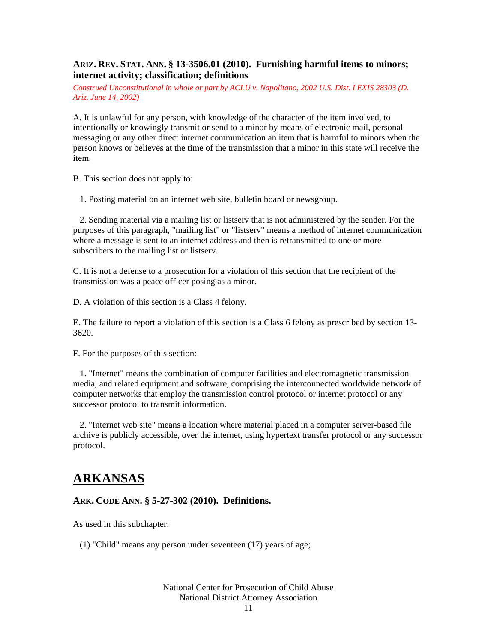### **ARIZ. REV. STAT. ANN. § 13-3506.01 (2010). Furnishing harmful items to minors; internet activity; classification; definitions**

*Construed Unconstitutional in whole or part by ACLU v. Napolitano, 2002 U.S. Dist. LEXIS 28303 (D. Ariz. June 14, 2002)* 

A. It is unlawful for any person, with knowledge of the character of the item involved, to intentionally or knowingly transmit or send to a minor by means of electronic mail, personal messaging or any other direct internet communication an item that is harmful to minors when the person knows or believes at the time of the transmission that a minor in this state will receive the item.

B. This section does not apply to:

1. Posting material on an internet web site, bulletin board or newsgroup.

 2. Sending material via a mailing list or listserv that is not administered by the sender. For the purposes of this paragraph, "mailing list" or "listserv" means a method of internet communication where a message is sent to an internet address and then is retransmitted to one or more subscribers to the mailing list or listserv.

C. It is not a defense to a prosecution for a violation of this section that the recipient of the transmission was a peace officer posing as a minor.

D. A violation of this section is a Class 4 felony.

E. The failure to report a violation of this section is a Class 6 felony as prescribed by section 13- 3620.

F. For the purposes of this section:

 1. "Internet" means the combination of computer facilities and electromagnetic transmission media, and related equipment and software, comprising the interconnected worldwide network of computer networks that employ the transmission control protocol or internet protocol or any successor protocol to transmit information.

 2. "Internet web site" means a location where material placed in a computer server-based file archive is publicly accessible, over the internet, using hypertext transfer protocol or any successor protocol.

# **ARKANSAS**

#### **ARK. CODE ANN. § 5-27-302 (2010). Definitions.**

As used in this subchapter:

(1) "Child" means any person under seventeen (17) years of age;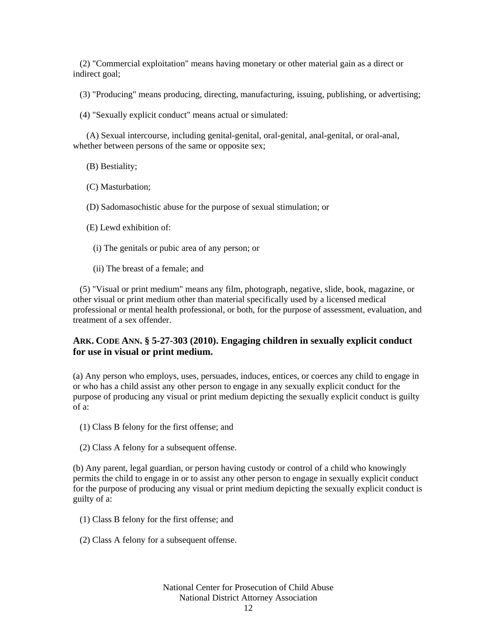(2) "Commercial exploitation" means having monetary or other material gain as a direct or indirect goal;

(3) "Producing" means producing, directing, manufacturing, issuing, publishing, or advertising;

(4) "Sexually explicit conduct" means actual or simulated:

 (A) Sexual intercourse, including genital-genital, oral-genital, anal-genital, or oral-anal, whether between persons of the same or opposite sex;

(B) Bestiality;

- (C) Masturbation;
- (D) Sadomasochistic abuse for the purpose of sexual stimulation; or
- (E) Lewd exhibition of:
	- (i) The genitals or pubic area of any person; or
	- (ii) The breast of a female; and

 (5) "Visual or print medium" means any film, photograph, negative, slide, book, magazine, or other visual or print medium other than material specifically used by a licensed medical professional or mental health professional, or both, for the purpose of assessment, evaluation, and treatment of a sex offender.

### **ARK. CODE ANN. § 5-27-303 (2010). Engaging children in sexually explicit conduct for use in visual or print medium.**

(a) Any person who employs, uses, persuades, induces, entices, or coerces any child to engage in or who has a child assist any other person to engage in any sexually explicit conduct for the purpose of producing any visual or print medium depicting the sexually explicit conduct is guilty of a:

- (1) Class B felony for the first offense; and
- (2) Class A felony for a subsequent offense.

(b) Any parent, legal guardian, or person having custody or control of a child who knowingly permits the child to engage in or to assist any other person to engage in sexually explicit conduct for the purpose of producing any visual or print medium depicting the sexually explicit conduct is guilty of a:

- (1) Class B felony for the first offense; and
- (2) Class A felony for a subsequent offense.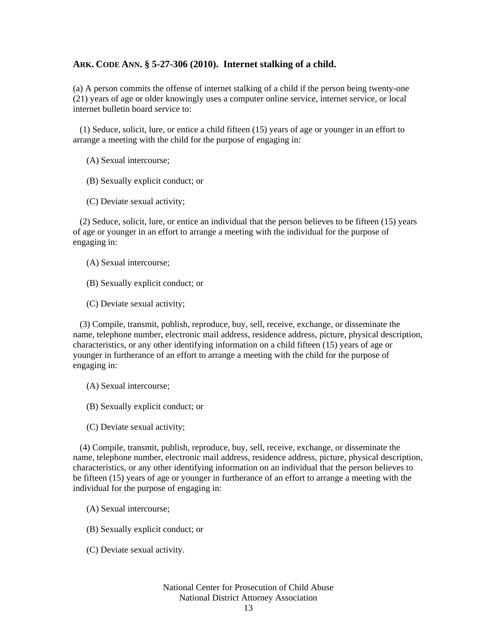### **ARK. CODE ANN. § 5-27-306 (2010). Internet stalking of a child.**

(a) A person commits the offense of internet stalking of a child if the person being twenty-one (21) years of age or older knowingly uses a computer online service, internet service, or local internet bulletin board service to:

 (1) Seduce, solicit, lure, or entice a child fifteen (15) years of age or younger in an effort to arrange a meeting with the child for the purpose of engaging in:

(A) Sexual intercourse;

(B) Sexually explicit conduct; or

(C) Deviate sexual activity;

 (2) Seduce, solicit, lure, or entice an individual that the person believes to be fifteen (15) years of age or younger in an effort to arrange a meeting with the individual for the purpose of engaging in:

(A) Sexual intercourse;

(B) Sexually explicit conduct; or

(C) Deviate sexual activity;

 (3) Compile, transmit, publish, reproduce, buy, sell, receive, exchange, or disseminate the name, telephone number, electronic mail address, residence address, picture, physical description, characteristics, or any other identifying information on a child fifteen (15) years of age or younger in furtherance of an effort to arrange a meeting with the child for the purpose of engaging in:

(A) Sexual intercourse;

(B) Sexually explicit conduct; or

(C) Deviate sexual activity;

 (4) Compile, transmit, publish, reproduce, buy, sell, receive, exchange, or disseminate the name, telephone number, electronic mail address, residence address, picture, physical description, characteristics, or any other identifying information on an individual that the person believes to be fifteen (15) years of age or younger in furtherance of an effort to arrange a meeting with the individual for the purpose of engaging in:

(A) Sexual intercourse;

- (B) Sexually explicit conduct; or
- (C) Deviate sexual activity.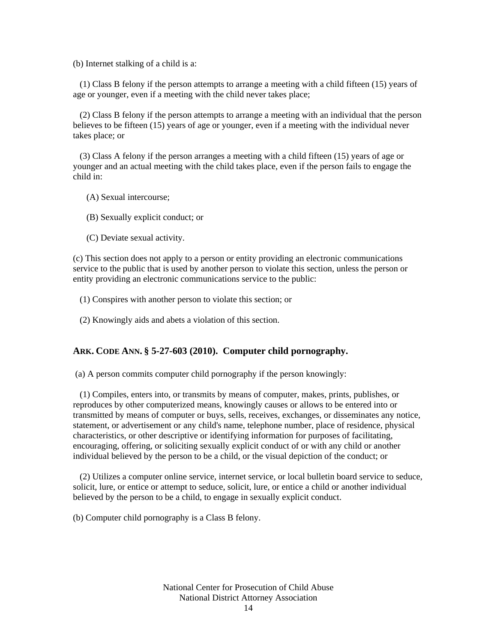(b) Internet stalking of a child is a:

 (1) Class B felony if the person attempts to arrange a meeting with a child fifteen (15) years of age or younger, even if a meeting with the child never takes place;

 (2) Class B felony if the person attempts to arrange a meeting with an individual that the person believes to be fifteen (15) years of age or younger, even if a meeting with the individual never takes place; or

 (3) Class A felony if the person arranges a meeting with a child fifteen (15) years of age or younger and an actual meeting with the child takes place, even if the person fails to engage the child in:

(A) Sexual intercourse;

(B) Sexually explicit conduct; or

(C) Deviate sexual activity.

(c) This section does not apply to a person or entity providing an electronic communications service to the public that is used by another person to violate this section, unless the person or entity providing an electronic communications service to the public:

(1) Conspires with another person to violate this section; or

(2) Knowingly aids and abets a violation of this section.

### **ARK. CODE ANN. § 5-27-603 (2010). Computer child pornography.**

(a) A person commits computer child pornography if the person knowingly:

 (1) Compiles, enters into, or transmits by means of computer, makes, prints, publishes, or reproduces by other computerized means, knowingly causes or allows to be entered into or transmitted by means of computer or buys, sells, receives, exchanges, or disseminates any notice, statement, or advertisement or any child's name, telephone number, place of residence, physical characteristics, or other descriptive or identifying information for purposes of facilitating, encouraging, offering, or soliciting sexually explicit conduct of or with any child or another individual believed by the person to be a child, or the visual depiction of the conduct; or

 (2) Utilizes a computer online service, internet service, or local bulletin board service to seduce, solicit, lure, or entice or attempt to seduce, solicit, lure, or entice a child or another individual believed by the person to be a child, to engage in sexually explicit conduct.

(b) Computer child pornography is a Class B felony.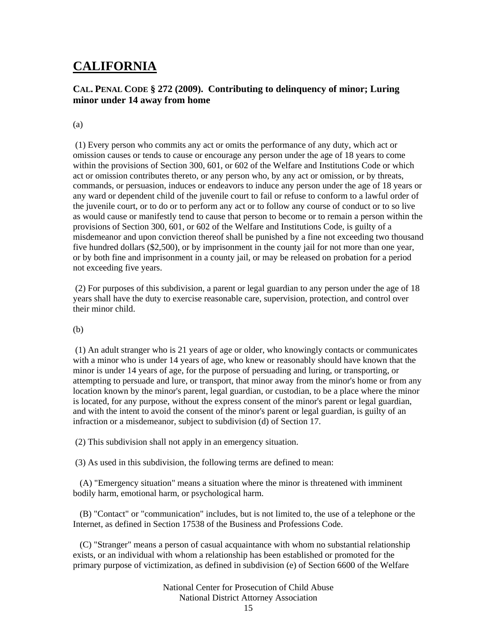# **CALIFORNIA**

# **CAL. PENAL CODE § 272 (2009). Contributing to delinquency of minor; Luring minor under 14 away from home**

(a)

 (1) Every person who commits any act or omits the performance of any duty, which act or omission causes or tends to cause or encourage any person under the age of 18 years to come within the provisions of Section 300, 601, or 602 of the Welfare and Institutions Code or which act or omission contributes thereto, or any person who, by any act or omission, or by threats, commands, or persuasion, induces or endeavors to induce any person under the age of 18 years or any ward or dependent child of the juvenile court to fail or refuse to conform to a lawful order of the juvenile court, or to do or to perform any act or to follow any course of conduct or to so live as would cause or manifestly tend to cause that person to become or to remain a person within the provisions of Section 300, 601, or 602 of the Welfare and Institutions Code, is guilty of a misdemeanor and upon conviction thereof shall be punished by a fine not exceeding two thousand five hundred dollars (\$2,500), or by imprisonment in the county jail for not more than one year, or by both fine and imprisonment in a county jail, or may be released on probation for a period not exceeding five years.

 (2) For purposes of this subdivision, a parent or legal guardian to any person under the age of 18 years shall have the duty to exercise reasonable care, supervision, protection, and control over their minor child.

### (b)

 (1) An adult stranger who is 21 years of age or older, who knowingly contacts or communicates with a minor who is under 14 years of age, who knew or reasonably should have known that the minor is under 14 years of age, for the purpose of persuading and luring, or transporting, or attempting to persuade and lure, or transport, that minor away from the minor's home or from any location known by the minor's parent, legal guardian, or custodian, to be a place where the minor is located, for any purpose, without the express consent of the minor's parent or legal guardian, and with the intent to avoid the consent of the minor's parent or legal guardian, is guilty of an infraction or a misdemeanor, subject to subdivision (d) of Section 17.

(2) This subdivision shall not apply in an emergency situation.

(3) As used in this subdivision, the following terms are defined to mean:

 (A) "Emergency situation" means a situation where the minor is threatened with imminent bodily harm, emotional harm, or psychological harm.

 (B) "Contact" or "communication" includes, but is not limited to, the use of a telephone or the Internet, as defined in Section 17538 of the Business and Professions Code.

 (C) "Stranger" means a person of casual acquaintance with whom no substantial relationship exists, or an individual with whom a relationship has been established or promoted for the primary purpose of victimization, as defined in subdivision (e) of Section 6600 of the Welfare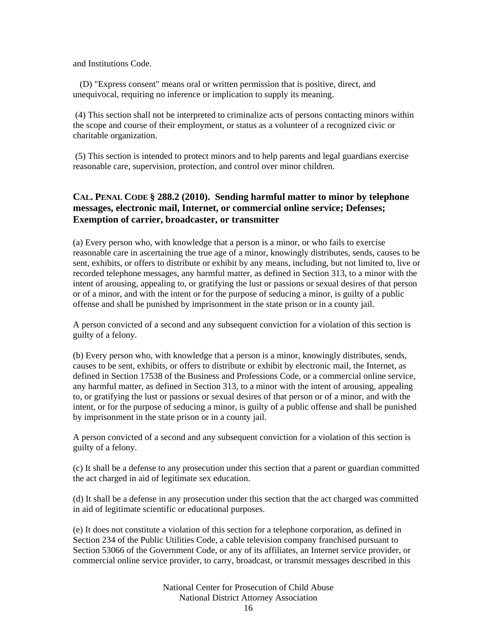and Institutions Code.

 (D) "Express consent" means oral or written permission that is positive, direct, and unequivocal, requiring no inference or implication to supply its meaning.

 (4) This section shall not be interpreted to criminalize acts of persons contacting minors within the scope and course of their employment, or status as a volunteer of a recognized civic or charitable organization.

 (5) This section is intended to protect minors and to help parents and legal guardians exercise reasonable care, supervision, protection, and control over minor children.

## **CAL. PENAL CODE § 288.2 (2010). Sending harmful matter to minor by telephone messages, electronic mail, Internet, or commercial online service; Defenses; Exemption of carrier, broadcaster, or transmitter**

(a) Every person who, with knowledge that a person is a minor, or who fails to exercise reasonable care in ascertaining the true age of a minor, knowingly distributes, sends, causes to be sent, exhibits, or offers to distribute or exhibit by any means, including, but not limited to, live or recorded telephone messages, any harmful matter, as defined in Section 313, to a minor with the intent of arousing, appealing to, or gratifying the lust or passions or sexual desires of that person or of a minor, and with the intent or for the purpose of seducing a minor, is guilty of a public offense and shall be punished by imprisonment in the state prison or in a county jail.

A person convicted of a second and any subsequent conviction for a violation of this section is guilty of a felony.

(b) Every person who, with knowledge that a person is a minor, knowingly distributes, sends, causes to be sent, exhibits, or offers to distribute or exhibit by electronic mail, the Internet, as defined in Section 17538 of the Business and Professions Code, or a commercial online service, any harmful matter, as defined in Section 313, to a minor with the intent of arousing, appealing to, or gratifying the lust or passions or sexual desires of that person or of a minor, and with the intent, or for the purpose of seducing a minor, is guilty of a public offense and shall be punished by imprisonment in the state prison or in a county jail.

A person convicted of a second and any subsequent conviction for a violation of this section is guilty of a felony.

(c) It shall be a defense to any prosecution under this section that a parent or guardian committed the act charged in aid of legitimate sex education.

(d) It shall be a defense in any prosecution under this section that the act charged was committed in aid of legitimate scientific or educational purposes.

(e) It does not constitute a violation of this section for a telephone corporation, as defined in Section 234 of the Public Utilities Code, a cable television company franchised pursuant to Section 53066 of the Government Code, or any of its affiliates, an Internet service provider, or commercial online service provider, to carry, broadcast, or transmit messages described in this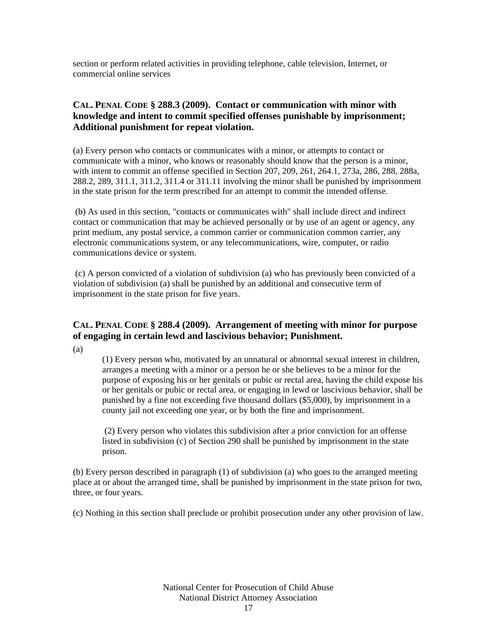section or perform related activities in providing telephone, cable television, Internet, or commercial online services

## **CAL. PENAL CODE § 288.3 (2009). Contact or communication with minor with knowledge and intent to commit specified offenses punishable by imprisonment; Additional punishment for repeat violation.**

(a) Every person who contacts or communicates with a minor, or attempts to contact or communicate with a minor, who knows or reasonably should know that the person is a minor, with intent to commit an offense specified in Section 207, 209, 261, 264.1, 273a, 286, 288, 288a, 288.2, 289, 311.1, 311.2, 311.4 or 311.11 involving the minor shall be punished by imprisonment in the state prison for the term prescribed for an attempt to commit the intended offense.

 (b) As used in this section, "contacts or communicates with" shall include direct and indirect contact or communication that may be achieved personally or by use of an agent or agency, any print medium, any postal service, a common carrier or communication common carrier, any electronic communications system, or any telecommunications, wire, computer, or radio communications device or system.

 (c) A person convicted of a violation of subdivision (a) who has previously been convicted of a violation of subdivision (a) shall be punished by an additional and consecutive term of imprisonment in the state prison for five years.

## **CAL. PENAL CODE § 288.4 (2009). Arrangement of meeting with minor for purpose of engaging in certain lewd and lascivious behavior; Punishment.**

(a)

(1) Every person who, motivated by an unnatural or abnormal sexual interest in children, arranges a meeting with a minor or a person he or she believes to be a minor for the purpose of exposing his or her genitals or pubic or rectal area, having the child expose his or her genitals or pubic or rectal area, or engaging in lewd or lascivious behavior, shall be punished by a fine not exceeding five thousand dollars (\$5,000), by imprisonment in a county jail not exceeding one year, or by both the fine and imprisonment.

 (2) Every person who violates this subdivision after a prior conviction for an offense listed in subdivision (c) of Section 290 shall be punished by imprisonment in the state prison.

(b) Every person described in paragraph (1) of subdivision (a) who goes to the arranged meeting place at or about the arranged time, shall be punished by imprisonment in the state prison for two, three, or four years.

(c) Nothing in this section shall preclude or prohibit prosecution under any other provision of law.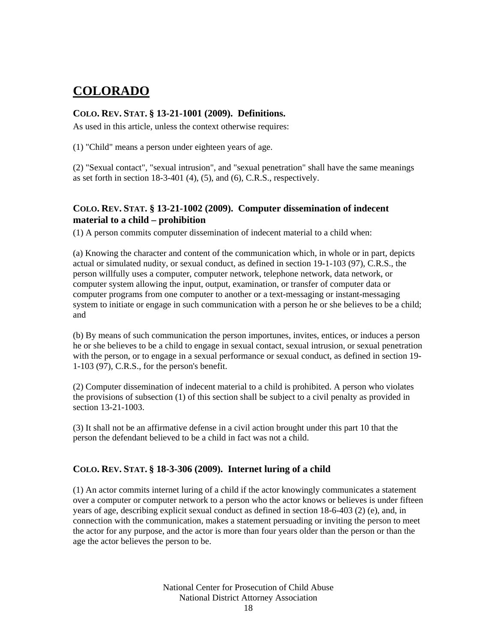# **COLORADO**

### **COLO. REV. STAT. § 13-21-1001 (2009). Definitions.**

As used in this article, unless the context otherwise requires:

(1) "Child" means a person under eighteen years of age.

(2) "Sexual contact", "sexual intrusion", and "sexual penetration" shall have the same meanings as set forth in section  $18-3-401$  (4), (5), and (6), C.R.S., respectively.

## **COLO. REV. STAT. § 13-21-1002 (2009). Computer dissemination of indecent material to a child – prohibition**

(1) A person commits computer dissemination of indecent material to a child when:

(a) Knowing the character and content of the communication which, in whole or in part, depicts actual or simulated nudity, or sexual conduct, as defined in section 19-1-103 (97), C.R.S., the person willfully uses a computer, computer network, telephone network, data network, or computer system allowing the input, output, examination, or transfer of computer data or computer programs from one computer to another or a text-messaging or instant-messaging system to initiate or engage in such communication with a person he or she believes to be a child; and

(b) By means of such communication the person importunes, invites, entices, or induces a person he or she believes to be a child to engage in sexual contact, sexual intrusion, or sexual penetration with the person, or to engage in a sexual performance or sexual conduct, as defined in section 19- 1-103 (97), C.R.S., for the person's benefit.

(2) Computer dissemination of indecent material to a child is prohibited. A person who violates the provisions of subsection (1) of this section shall be subject to a civil penalty as provided in section 13-21-1003.

(3) It shall not be an affirmative defense in a civil action brought under this part 10 that the person the defendant believed to be a child in fact was not a child.

### **COLO. REV. STAT. § 18-3-306 (2009). Internet luring of a child**

(1) An actor commits internet luring of a child if the actor knowingly communicates a statement over a computer or computer network to a person who the actor knows or believes is under fifteen years of age, describing explicit sexual conduct as defined in section 18-6-403 (2) (e), and, in connection with the communication, makes a statement persuading or inviting the person to meet the actor for any purpose, and the actor is more than four years older than the person or than the age the actor believes the person to be.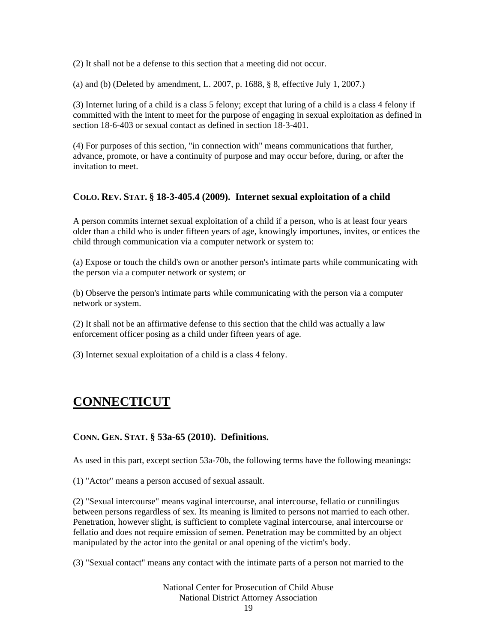(2) It shall not be a defense to this section that a meeting did not occur.

(a) and (b) (Deleted by amendment, L. 2007, p. 1688, § 8, effective July 1, 2007.)

(3) Internet luring of a child is a class 5 felony; except that luring of a child is a class 4 felony if committed with the intent to meet for the purpose of engaging in sexual exploitation as defined in section 18-6-403 or sexual contact as defined in section 18-3-401.

(4) For purposes of this section, "in connection with" means communications that further, advance, promote, or have a continuity of purpose and may occur before, during, or after the invitation to meet.

### **COLO. REV. STAT. § 18-3-405.4 (2009). Internet sexual exploitation of a child**

A person commits internet sexual exploitation of a child if a person, who is at least four years older than a child who is under fifteen years of age, knowingly importunes, invites, or entices the child through communication via a computer network or system to:

(a) Expose or touch the child's own or another person's intimate parts while communicating with the person via a computer network or system; or

(b) Observe the person's intimate parts while communicating with the person via a computer network or system.

(2) It shall not be an affirmative defense to this section that the child was actually a law enforcement officer posing as a child under fifteen years of age.

(3) Internet sexual exploitation of a child is a class 4 felony.

# **CONNECTICUT**

### **CONN. GEN. STAT. § 53a-65 (2010). Definitions.**

As used in this part, except section 53a-70b, the following terms have the following meanings:

(1) "Actor" means a person accused of sexual assault.

(2) "Sexual intercourse" means vaginal intercourse, anal intercourse, fellatio or cunnilingus between persons regardless of sex. Its meaning is limited to persons not married to each other. Penetration, however slight, is sufficient to complete vaginal intercourse, anal intercourse or fellatio and does not require emission of semen. Penetration may be committed by an object manipulated by the actor into the genital or anal opening of the victim's body.

(3) "Sexual contact" means any contact with the intimate parts of a person not married to the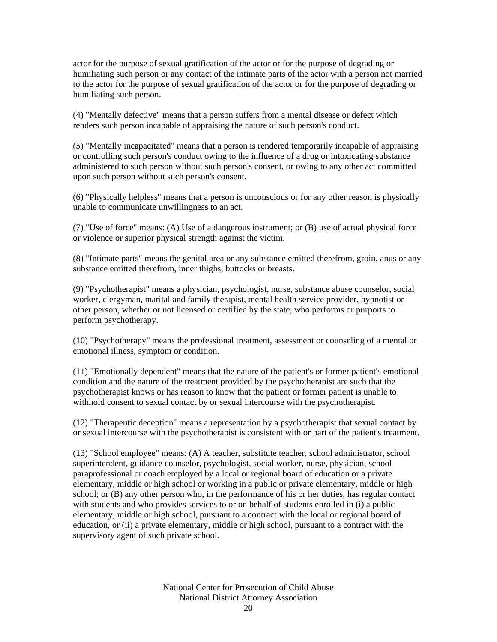actor for the purpose of sexual gratification of the actor or for the purpose of degrading or humiliating such person or any contact of the intimate parts of the actor with a person not married to the actor for the purpose of sexual gratification of the actor or for the purpose of degrading or humiliating such person.

(4) "Mentally defective" means that a person suffers from a mental disease or defect which renders such person incapable of appraising the nature of such person's conduct.

(5) "Mentally incapacitated" means that a person is rendered temporarily incapable of appraising or controlling such person's conduct owing to the influence of a drug or intoxicating substance administered to such person without such person's consent, or owing to any other act committed upon such person without such person's consent.

(6) "Physically helpless" means that a person is unconscious or for any other reason is physically unable to communicate unwillingness to an act.

(7) "Use of force" means: (A) Use of a dangerous instrument; or (B) use of actual physical force or violence or superior physical strength against the victim.

(8) "Intimate parts" means the genital area or any substance emitted therefrom, groin, anus or any substance emitted therefrom, inner thighs, buttocks or breasts.

(9) "Psychotherapist" means a physician, psychologist, nurse, substance abuse counselor, social worker, clergyman, marital and family therapist, mental health service provider, hypnotist or other person, whether or not licensed or certified by the state, who performs or purports to perform psychotherapy.

(10) "Psychotherapy" means the professional treatment, assessment or counseling of a mental or emotional illness, symptom or condition.

(11) "Emotionally dependent" means that the nature of the patient's or former patient's emotional condition and the nature of the treatment provided by the psychotherapist are such that the psychotherapist knows or has reason to know that the patient or former patient is unable to withhold consent to sexual contact by or sexual intercourse with the psychotherapist.

(12) "Therapeutic deception" means a representation by a psychotherapist that sexual contact by or sexual intercourse with the psychotherapist is consistent with or part of the patient's treatment.

(13) "School employee" means: (A) A teacher, substitute teacher, school administrator, school superintendent, guidance counselor, psychologist, social worker, nurse, physician, school paraprofessional or coach employed by a local or regional board of education or a private elementary, middle or high school or working in a public or private elementary, middle or high school; or (B) any other person who, in the performance of his or her duties, has regular contact with students and who provides services to or on behalf of students enrolled in (i) a public elementary, middle or high school, pursuant to a contract with the local or regional board of education, or (ii) a private elementary, middle or high school, pursuant to a contract with the supervisory agent of such private school.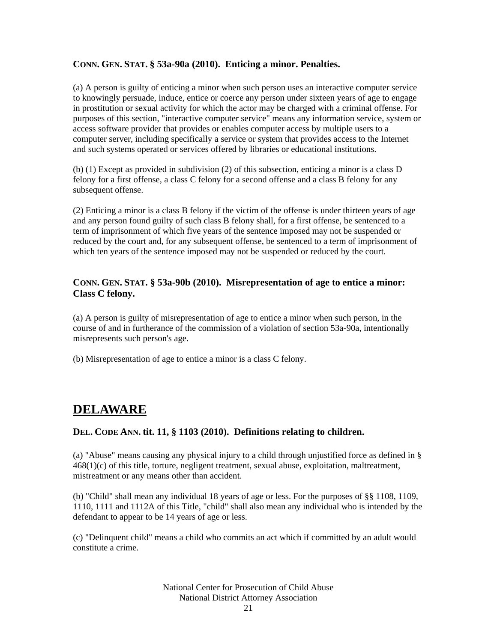## **CONN. GEN. STAT. § 53a-90a (2010). Enticing a minor. Penalties.**

(a) A person is guilty of enticing a minor when such person uses an interactive computer service to knowingly persuade, induce, entice or coerce any person under sixteen years of age to engage in prostitution or sexual activity for which the actor may be charged with a criminal offense. For purposes of this section, "interactive computer service" means any information service, system or access software provider that provides or enables computer access by multiple users to a computer server, including specifically a service or system that provides access to the Internet and such systems operated or services offered by libraries or educational institutions.

(b) (1) Except as provided in subdivision (2) of this subsection, enticing a minor is a class D felony for a first offense, a class C felony for a second offense and a class B felony for any subsequent offense.

(2) Enticing a minor is a class B felony if the victim of the offense is under thirteen years of age and any person found guilty of such class B felony shall, for a first offense, be sentenced to a term of imprisonment of which five years of the sentence imposed may not be suspended or reduced by the court and, for any subsequent offense, be sentenced to a term of imprisonment of which ten years of the sentence imposed may not be suspended or reduced by the court.

### **CONN. GEN. STAT. § 53a-90b (2010). Misrepresentation of age to entice a minor: Class C felony.**

(a) A person is guilty of misrepresentation of age to entice a minor when such person, in the course of and in furtherance of the commission of a violation of section 53a-90a, intentionally misrepresents such person's age.

(b) Misrepresentation of age to entice a minor is a class C felony.

# **DELAWARE**

## **DEL. CODE ANN. tit. 11, § 1103 (2010). Definitions relating to children.**

(a) "Abuse" means causing any physical injury to a child through unjustified force as defined in § 468(1)(c) of this title, torture, negligent treatment, sexual abuse, exploitation, maltreatment, mistreatment or any means other than accident.

(b) "Child" shall mean any individual 18 years of age or less. For the purposes of §§ 1108, 1109, 1110, 1111 and 1112A of this Title, "child" shall also mean any individual who is intended by the defendant to appear to be 14 years of age or less.

(c) "Delinquent child" means a child who commits an act which if committed by an adult would constitute a crime.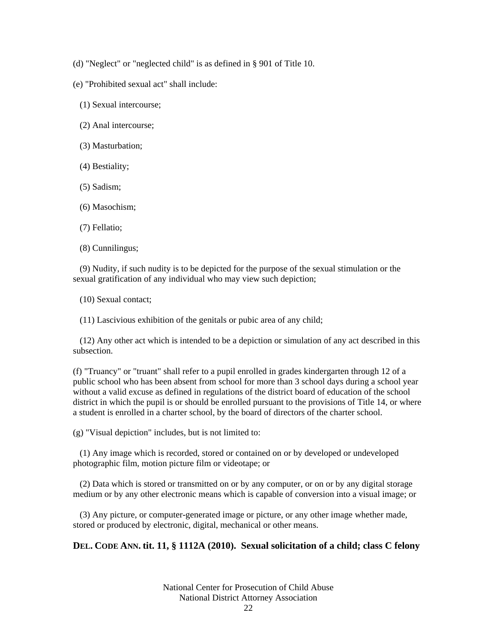- (d) "Neglect" or "neglected child" is as defined in § 901 of Title 10.
- (e) "Prohibited sexual act" shall include:
	- (1) Sexual intercourse;
	- (2) Anal intercourse;
	- (3) Masturbation;
	- (4) Bestiality;
	- (5) Sadism;
	- (6) Masochism;
	- (7) Fellatio;
	- (8) Cunnilingus;

 (9) Nudity, if such nudity is to be depicted for the purpose of the sexual stimulation or the sexual gratification of any individual who may view such depiction;

(10) Sexual contact;

(11) Lascivious exhibition of the genitals or pubic area of any child;

 (12) Any other act which is intended to be a depiction or simulation of any act described in this subsection.

(f) "Truancy" or "truant" shall refer to a pupil enrolled in grades kindergarten through 12 of a public school who has been absent from school for more than 3 school days during a school year without a valid excuse as defined in regulations of the district board of education of the school district in which the pupil is or should be enrolled pursuant to the provisions of Title 14, or where a student is enrolled in a charter school, by the board of directors of the charter school.

(g) "Visual depiction" includes, but is not limited to:

 (1) Any image which is recorded, stored or contained on or by developed or undeveloped photographic film, motion picture film or videotape; or

 (2) Data which is stored or transmitted on or by any computer, or on or by any digital storage medium or by any other electronic means which is capable of conversion into a visual image; or

 (3) Any picture, or computer-generated image or picture, or any other image whether made, stored or produced by electronic, digital, mechanical or other means.

### **DEL. CODE ANN. tit. 11, § 1112A (2010). Sexual solicitation of a child; class C felony**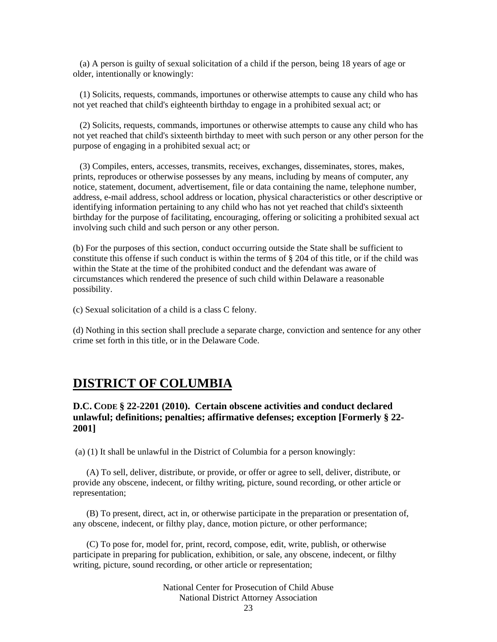(a) A person is guilty of sexual solicitation of a child if the person, being 18 years of age or older, intentionally or knowingly:

 (1) Solicits, requests, commands, importunes or otherwise attempts to cause any child who has not yet reached that child's eighteenth birthday to engage in a prohibited sexual act; or

 (2) Solicits, requests, commands, importunes or otherwise attempts to cause any child who has not yet reached that child's sixteenth birthday to meet with such person or any other person for the purpose of engaging in a prohibited sexual act; or

 (3) Compiles, enters, accesses, transmits, receives, exchanges, disseminates, stores, makes, prints, reproduces or otherwise possesses by any means, including by means of computer, any notice, statement, document, advertisement, file or data containing the name, telephone number, address, e-mail address, school address or location, physical characteristics or other descriptive or identifying information pertaining to any child who has not yet reached that child's sixteenth birthday for the purpose of facilitating, encouraging, offering or soliciting a prohibited sexual act involving such child and such person or any other person.

(b) For the purposes of this section, conduct occurring outside the State shall be sufficient to constitute this offense if such conduct is within the terms of § 204 of this title, or if the child was within the State at the time of the prohibited conduct and the defendant was aware of circumstances which rendered the presence of such child within Delaware a reasonable possibility.

(c) Sexual solicitation of a child is a class C felony.

(d) Nothing in this section shall preclude a separate charge, conviction and sentence for any other crime set forth in this title, or in the Delaware Code.

# **DISTRICT OF COLUMBIA**

### **D.C. CODE § 22-2201 (2010). Certain obscene activities and conduct declared unlawful; definitions; penalties; affirmative defenses; exception [Formerly § 22- 2001]**

(a) (1) It shall be unlawful in the District of Columbia for a person knowingly:

 (A) To sell, deliver, distribute, or provide, or offer or agree to sell, deliver, distribute, or provide any obscene, indecent, or filthy writing, picture, sound recording, or other article or representation;

 (B) To present, direct, act in, or otherwise participate in the preparation or presentation of, any obscene, indecent, or filthy play, dance, motion picture, or other performance;

 (C) To pose for, model for, print, record, compose, edit, write, publish, or otherwise participate in preparing for publication, exhibition, or sale, any obscene, indecent, or filthy writing, picture, sound recording, or other article or representation;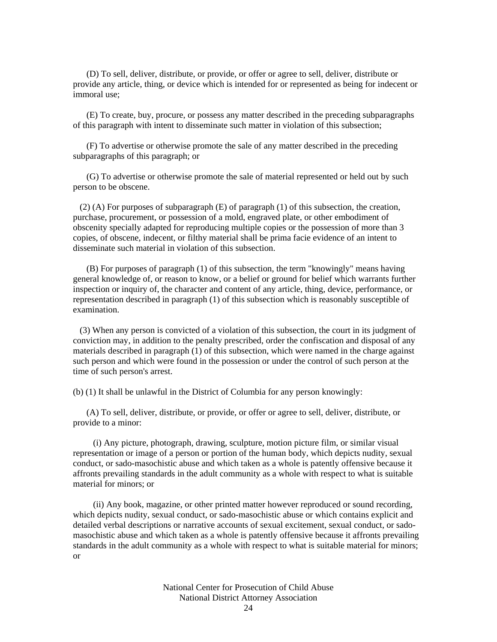(D) To sell, deliver, distribute, or provide, or offer or agree to sell, deliver, distribute or provide any article, thing, or device which is intended for or represented as being for indecent or immoral use;

 (E) To create, buy, procure, or possess any matter described in the preceding subparagraphs of this paragraph with intent to disseminate such matter in violation of this subsection;

 (F) To advertise or otherwise promote the sale of any matter described in the preceding subparagraphs of this paragraph; or

 (G) To advertise or otherwise promote the sale of material represented or held out by such person to be obscene.

 (2) (A) For purposes of subparagraph (E) of paragraph (1) of this subsection, the creation, purchase, procurement, or possession of a mold, engraved plate, or other embodiment of obscenity specially adapted for reproducing multiple copies or the possession of more than 3 copies, of obscene, indecent, or filthy material shall be prima facie evidence of an intent to disseminate such material in violation of this subsection.

 (B) For purposes of paragraph (1) of this subsection, the term "knowingly" means having general knowledge of, or reason to know, or a belief or ground for belief which warrants further inspection or inquiry of, the character and content of any article, thing, device, performance, or representation described in paragraph (1) of this subsection which is reasonably susceptible of examination.

 (3) When any person is convicted of a violation of this subsection, the court in its judgment of conviction may, in addition to the penalty prescribed, order the confiscation and disposal of any materials described in paragraph (1) of this subsection, which were named in the charge against such person and which were found in the possession or under the control of such person at the time of such person's arrest.

(b) (1) It shall be unlawful in the District of Columbia for any person knowingly:

 (A) To sell, deliver, distribute, or provide, or offer or agree to sell, deliver, distribute, or provide to a minor:

 (i) Any picture, photograph, drawing, sculpture, motion picture film, or similar visual representation or image of a person or portion of the human body, which depicts nudity, sexual conduct, or sado-masochistic abuse and which taken as a whole is patently offensive because it affronts prevailing standards in the adult community as a whole with respect to what is suitable material for minors; or

 (ii) Any book, magazine, or other printed matter however reproduced or sound recording, which depicts nudity, sexual conduct, or sado-masochistic abuse or which contains explicit and detailed verbal descriptions or narrative accounts of sexual excitement, sexual conduct, or sadomasochistic abuse and which taken as a whole is patently offensive because it affronts prevailing standards in the adult community as a whole with respect to what is suitable material for minors; or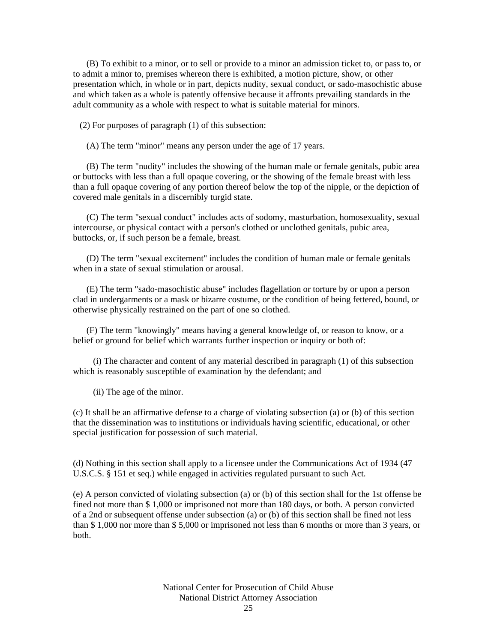(B) To exhibit to a minor, or to sell or provide to a minor an admission ticket to, or pass to, or to admit a minor to, premises whereon there is exhibited, a motion picture, show, or other presentation which, in whole or in part, depicts nudity, sexual conduct, or sado-masochistic abuse and which taken as a whole is patently offensive because it affronts prevailing standards in the adult community as a whole with respect to what is suitable material for minors.

(2) For purposes of paragraph (1) of this subsection:

(A) The term "minor" means any person under the age of 17 years.

 (B) The term "nudity" includes the showing of the human male or female genitals, pubic area or buttocks with less than a full opaque covering, or the showing of the female breast with less than a full opaque covering of any portion thereof below the top of the nipple, or the depiction of covered male genitals in a discernibly turgid state.

 (C) The term "sexual conduct" includes acts of sodomy, masturbation, homosexuality, sexual intercourse, or physical contact with a person's clothed or unclothed genitals, pubic area, buttocks, or, if such person be a female, breast.

 (D) The term "sexual excitement" includes the condition of human male or female genitals when in a state of sexual stimulation or arousal.

 (E) The term "sado-masochistic abuse" includes flagellation or torture by or upon a person clad in undergarments or a mask or bizarre costume, or the condition of being fettered, bound, or otherwise physically restrained on the part of one so clothed.

 (F) The term "knowingly" means having a general knowledge of, or reason to know, or a belief or ground for belief which warrants further inspection or inquiry or both of:

 (i) The character and content of any material described in paragraph (1) of this subsection which is reasonably susceptible of examination by the defendant; and

(ii) The age of the minor.

(c) It shall be an affirmative defense to a charge of violating subsection (a) or (b) of this section that the dissemination was to institutions or individuals having scientific, educational, or other special justification for possession of such material.

(d) Nothing in this section shall apply to a licensee under the Communications Act of 1934 (47 U.S.C.S. § 151 et seq.) while engaged in activities regulated pursuant to such Act.

(e) A person convicted of violating subsection (a) or (b) of this section shall for the 1st offense be fined not more than \$ 1,000 or imprisoned not more than 180 days, or both. A person convicted of a 2nd or subsequent offense under subsection (a) or (b) of this section shall be fined not less than \$ 1,000 nor more than \$ 5,000 or imprisoned not less than 6 months or more than 3 years, or both.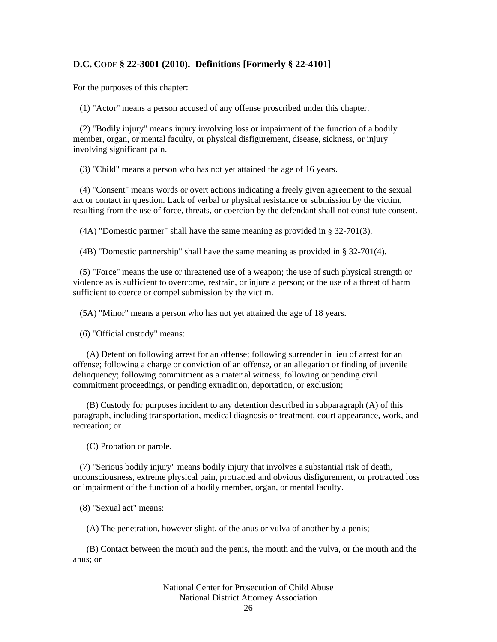### **D.C. CODE § 22-3001 (2010). Definitions [Formerly § 22-4101]**

For the purposes of this chapter:

(1) "Actor" means a person accused of any offense proscribed under this chapter.

 (2) "Bodily injury" means injury involving loss or impairment of the function of a bodily member, organ, or mental faculty, or physical disfigurement, disease, sickness, or injury involving significant pain.

(3) "Child" means a person who has not yet attained the age of 16 years.

 (4) "Consent" means words or overt actions indicating a freely given agreement to the sexual act or contact in question. Lack of verbal or physical resistance or submission by the victim, resulting from the use of force, threats, or coercion by the defendant shall not constitute consent.

(4A) "Domestic partner" shall have the same meaning as provided in § 32-701(3).

(4B) "Domestic partnership" shall have the same meaning as provided in § 32-701(4).

 (5) "Force" means the use or threatened use of a weapon; the use of such physical strength or violence as is sufficient to overcome, restrain, or injure a person; or the use of a threat of harm sufficient to coerce or compel submission by the victim.

(5A) "Minor" means a person who has not yet attained the age of 18 years.

(6) "Official custody" means:

 (A) Detention following arrest for an offense; following surrender in lieu of arrest for an offense; following a charge or conviction of an offense, or an allegation or finding of juvenile delinquency; following commitment as a material witness; following or pending civil commitment proceedings, or pending extradition, deportation, or exclusion;

 (B) Custody for purposes incident to any detention described in subparagraph (A) of this paragraph, including transportation, medical diagnosis or treatment, court appearance, work, and recreation; or

(C) Probation or parole.

 (7) "Serious bodily injury" means bodily injury that involves a substantial risk of death, unconsciousness, extreme physical pain, protracted and obvious disfigurement, or protracted loss or impairment of the function of a bodily member, organ, or mental faculty.

(8) "Sexual act" means:

(A) The penetration, however slight, of the anus or vulva of another by a penis;

 (B) Contact between the mouth and the penis, the mouth and the vulva, or the mouth and the anus; or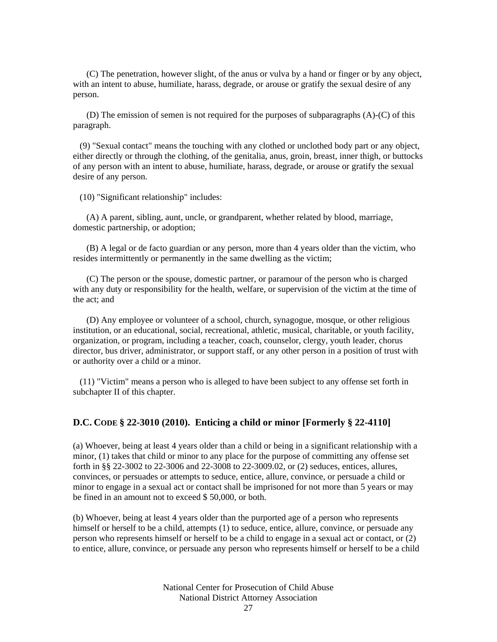(C) The penetration, however slight, of the anus or vulva by a hand or finger or by any object, with an intent to abuse, humiliate, harass, degrade, or arouse or gratify the sexual desire of any person.

 (D) The emission of semen is not required for the purposes of subparagraphs (A)-(C) of this paragraph.

 (9) "Sexual contact" means the touching with any clothed or unclothed body part or any object, either directly or through the clothing, of the genitalia, anus, groin, breast, inner thigh, or buttocks of any person with an intent to abuse, humiliate, harass, degrade, or arouse or gratify the sexual desire of any person.

(10) "Significant relationship" includes:

 (A) A parent, sibling, aunt, uncle, or grandparent, whether related by blood, marriage, domestic partnership, or adoption;

 (B) A legal or de facto guardian or any person, more than 4 years older than the victim, who resides intermittently or permanently in the same dwelling as the victim;

 (C) The person or the spouse, domestic partner, or paramour of the person who is charged with any duty or responsibility for the health, welfare, or supervision of the victim at the time of the act; and

 (D) Any employee or volunteer of a school, church, synagogue, mosque, or other religious institution, or an educational, social, recreational, athletic, musical, charitable, or youth facility, organization, or program, including a teacher, coach, counselor, clergy, youth leader, chorus director, bus driver, administrator, or support staff, or any other person in a position of trust with or authority over a child or a minor.

 (11) "Victim" means a person who is alleged to have been subject to any offense set forth in subchapter II of this chapter.

#### **D.C. CODE § 22-3010 (2010). Enticing a child or minor [Formerly § 22-4110]**

(a) Whoever, being at least 4 years older than a child or being in a significant relationship with a minor, (1) takes that child or minor to any place for the purpose of committing any offense set forth in §§ 22-3002 to 22-3006 and 22-3008 to 22-3009.02, or (2) seduces, entices, allures, convinces, or persuades or attempts to seduce, entice, allure, convince, or persuade a child or minor to engage in a sexual act or contact shall be imprisoned for not more than 5 years or may be fined in an amount not to exceed \$ 50,000, or both.

(b) Whoever, being at least 4 years older than the purported age of a person who represents himself or herself to be a child, attempts (1) to seduce, entice, allure, convince, or persuade any person who represents himself or herself to be a child to engage in a sexual act or contact, or (2) to entice, allure, convince, or persuade any person who represents himself or herself to be a child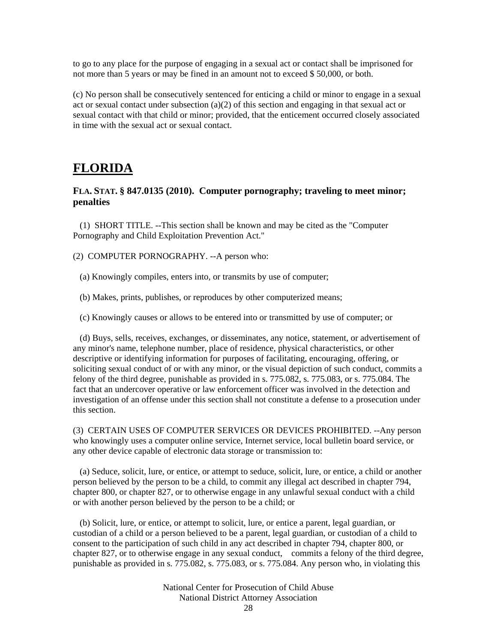to go to any place for the purpose of engaging in a sexual act or contact shall be imprisoned for not more than 5 years or may be fined in an amount not to exceed \$ 50,000, or both.

(c) No person shall be consecutively sentenced for enticing a child or minor to engage in a sexual act or sexual contact under subsection  $(a)(2)$  of this section and engaging in that sexual act or sexual contact with that child or minor; provided, that the enticement occurred closely associated in time with the sexual act or sexual contact.

# **FLORIDA**

### **FLA. STAT. § 847.0135 (2010). Computer pornography; traveling to meet minor; penalties**

 (1) SHORT TITLE. --This section shall be known and may be cited as the "Computer Pornography and Child Exploitation Prevention Act."

(2) COMPUTER PORNOGRAPHY. --A person who:

- (a) Knowingly compiles, enters into, or transmits by use of computer;
- (b) Makes, prints, publishes, or reproduces by other computerized means;
- (c) Knowingly causes or allows to be entered into or transmitted by use of computer; or

 (d) Buys, sells, receives, exchanges, or disseminates, any notice, statement, or advertisement of any minor's name, telephone number, place of residence, physical characteristics, or other descriptive or identifying information for purposes of facilitating, encouraging, offering, or soliciting sexual conduct of or with any minor, or the visual depiction of such conduct, commits a felony of the third degree, punishable as provided in s. 775.082, s. 775.083, or s. 775.084. The fact that an undercover operative or law enforcement officer was involved in the detection and investigation of an offense under this section shall not constitute a defense to a prosecution under this section.

(3) CERTAIN USES OF COMPUTER SERVICES OR DEVICES PROHIBITED. --Any person who knowingly uses a computer online service, Internet service, local bulletin board service, or any other device capable of electronic data storage or transmission to:

 (a) Seduce, solicit, lure, or entice, or attempt to seduce, solicit, lure, or entice, a child or another person believed by the person to be a child, to commit any illegal act described in chapter 794, chapter 800, or chapter 827, or to otherwise engage in any unlawful sexual conduct with a child or with another person believed by the person to be a child; or

 (b) Solicit, lure, or entice, or attempt to solicit, lure, or entice a parent, legal guardian, or custodian of a child or a person believed to be a parent, legal guardian, or custodian of a child to consent to the participation of such child in any act described in chapter 794, chapter 800, or chapter 827, or to otherwise engage in any sexual conduct, commits a felony of the third degree, punishable as provided in s. 775.082, s. 775.083, or s. 775.084. Any person who, in violating this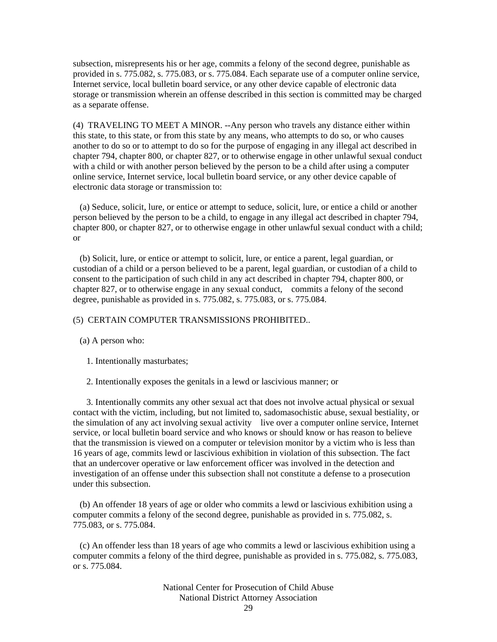subsection, misrepresents his or her age, commits a felony of the second degree, punishable as provided in s. 775.082, s. 775.083, or s. 775.084. Each separate use of a computer online service, Internet service, local bulletin board service, or any other device capable of electronic data storage or transmission wherein an offense described in this section is committed may be charged as a separate offense.

(4) TRAVELING TO MEET A MINOR. --Any person who travels any distance either within this state, to this state, or from this state by any means, who attempts to do so, or who causes another to do so or to attempt to do so for the purpose of engaging in any illegal act described in chapter 794, chapter 800, or chapter 827, or to otherwise engage in other unlawful sexual conduct with a child or with another person believed by the person to be a child after using a computer online service, Internet service, local bulletin board service, or any other device capable of electronic data storage or transmission to:

 (a) Seduce, solicit, lure, or entice or attempt to seduce, solicit, lure, or entice a child or another person believed by the person to be a child, to engage in any illegal act described in chapter 794, chapter 800, or chapter 827, or to otherwise engage in other unlawful sexual conduct with a child; or

 (b) Solicit, lure, or entice or attempt to solicit, lure, or entice a parent, legal guardian, or custodian of a child or a person believed to be a parent, legal guardian, or custodian of a child to consent to the participation of such child in any act described in chapter 794, chapter 800, or chapter 827, or to otherwise engage in any sexual conduct, commits a felony of the second degree, punishable as provided in s. 775.082, s. 775.083, or s. 775.084.

#### (5) CERTAIN COMPUTER TRANSMISSIONS PROHIBITED..

(a) A person who:

1. Intentionally masturbates;

2. Intentionally exposes the genitals in a lewd or lascivious manner; or

 3. Intentionally commits any other sexual act that does not involve actual physical or sexual contact with the victim, including, but not limited to, sadomasochistic abuse, sexual bestiality, or the simulation of any act involving sexual activity live over a computer online service, Internet service, or local bulletin board service and who knows or should know or has reason to believe that the transmission is viewed on a computer or television monitor by a victim who is less than 16 years of age, commits lewd or lascivious exhibition in violation of this subsection. The fact that an undercover operative or law enforcement officer was involved in the detection and investigation of an offense under this subsection shall not constitute a defense to a prosecution under this subsection.

 (b) An offender 18 years of age or older who commits a lewd or lascivious exhibition using a computer commits a felony of the second degree, punishable as provided in s. 775.082, s. 775.083, or s. 775.084.

 (c) An offender less than 18 years of age who commits a lewd or lascivious exhibition using a computer commits a felony of the third degree, punishable as provided in s. 775.082, s. 775.083, or s. 775.084.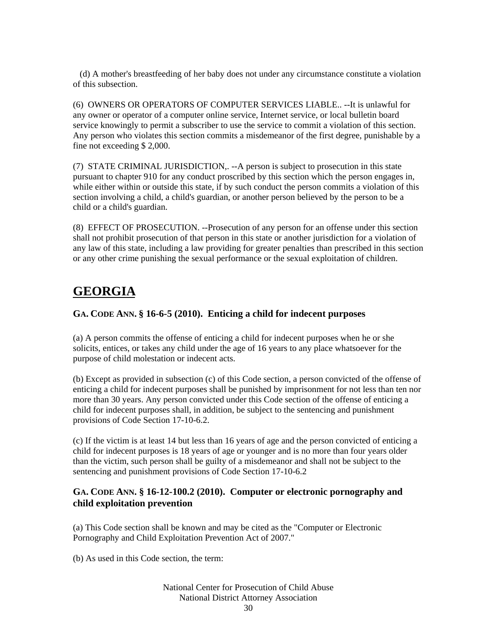(d) A mother's breastfeeding of her baby does not under any circumstance constitute a violation of this subsection.

(6) OWNERS OR OPERATORS OF COMPUTER SERVICES LIABLE.. --It is unlawful for any owner or operator of a computer online service, Internet service, or local bulletin board service knowingly to permit a subscriber to use the service to commit a violation of this section. Any person who violates this section commits a misdemeanor of the first degree, punishable by a fine not exceeding \$ 2,000.

(7) STATE CRIMINAL JURISDICTION,. --A person is subject to prosecution in this state pursuant to chapter 910 for any conduct proscribed by this section which the person engages in, while either within or outside this state, if by such conduct the person commits a violation of this section involving a child, a child's guardian, or another person believed by the person to be a child or a child's guardian.

(8) EFFECT OF PROSECUTION. --Prosecution of any person for an offense under this section shall not prohibit prosecution of that person in this state or another jurisdiction for a violation of any law of this state, including a law providing for greater penalties than prescribed in this section or any other crime punishing the sexual performance or the sexual exploitation of children.

# **GEORGIA**

### **GA. CODE ANN. § 16-6-5 (2010). Enticing a child for indecent purposes**

(a) A person commits the offense of enticing a child for indecent purposes when he or she solicits, entices, or takes any child under the age of 16 years to any place whatsoever for the purpose of child molestation or indecent acts.

(b) Except as provided in subsection (c) of this Code section, a person convicted of the offense of enticing a child for indecent purposes shall be punished by imprisonment for not less than ten nor more than 30 years. Any person convicted under this Code section of the offense of enticing a child for indecent purposes shall, in addition, be subject to the sentencing and punishment provisions of Code Section 17-10-6.2.

(c) If the victim is at least 14 but less than 16 years of age and the person convicted of enticing a child for indecent purposes is 18 years of age or younger and is no more than four years older than the victim, such person shall be guilty of a misdemeanor and shall not be subject to the sentencing and punishment provisions of Code Section 17-10-6.2

## **GA. CODE ANN. § 16-12-100.2 (2010). Computer or electronic pornography and child exploitation prevention**

(a) This Code section shall be known and may be cited as the "Computer or Electronic Pornography and Child Exploitation Prevention Act of 2007."

(b) As used in this Code section, the term: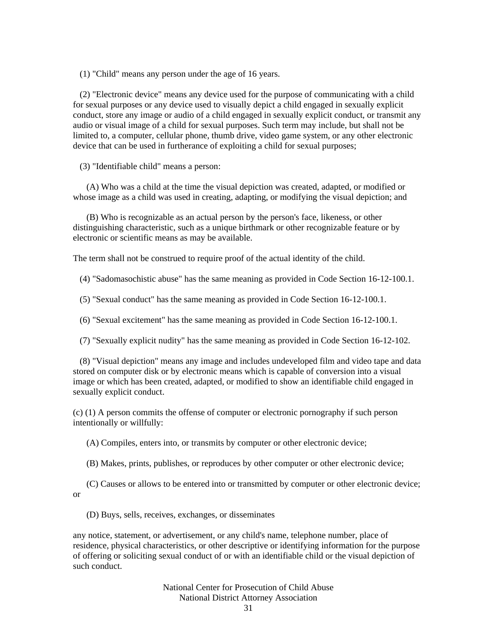(1) "Child" means any person under the age of 16 years.

 (2) "Electronic device" means any device used for the purpose of communicating with a child for sexual purposes or any device used to visually depict a child engaged in sexually explicit conduct, store any image or audio of a child engaged in sexually explicit conduct, or transmit any audio or visual image of a child for sexual purposes. Such term may include, but shall not be limited to, a computer, cellular phone, thumb drive, video game system, or any other electronic device that can be used in furtherance of exploiting a child for sexual purposes;

(3) "Identifiable child" means a person:

 (A) Who was a child at the time the visual depiction was created, adapted, or modified or whose image as a child was used in creating, adapting, or modifying the visual depiction; and

 (B) Who is recognizable as an actual person by the person's face, likeness, or other distinguishing characteristic, such as a unique birthmark or other recognizable feature or by electronic or scientific means as may be available.

The term shall not be construed to require proof of the actual identity of the child.

(4) "Sadomasochistic abuse" has the same meaning as provided in Code Section 16-12-100.1.

(5) "Sexual conduct" has the same meaning as provided in Code Section 16-12-100.1.

(6) "Sexual excitement" has the same meaning as provided in Code Section 16-12-100.1.

(7) "Sexually explicit nudity" has the same meaning as provided in Code Section 16-12-102.

 (8) "Visual depiction" means any image and includes undeveloped film and video tape and data stored on computer disk or by electronic means which is capable of conversion into a visual image or which has been created, adapted, or modified to show an identifiable child engaged in sexually explicit conduct.

(c) (1) A person commits the offense of computer or electronic pornography if such person intentionally or willfully:

(A) Compiles, enters into, or transmits by computer or other electronic device;

(B) Makes, prints, publishes, or reproduces by other computer or other electronic device;

 (C) Causes or allows to be entered into or transmitted by computer or other electronic device; or

(D) Buys, sells, receives, exchanges, or disseminates

any notice, statement, or advertisement, or any child's name, telephone number, place of residence, physical characteristics, or other descriptive or identifying information for the purpose of offering or soliciting sexual conduct of or with an identifiable child or the visual depiction of such conduct.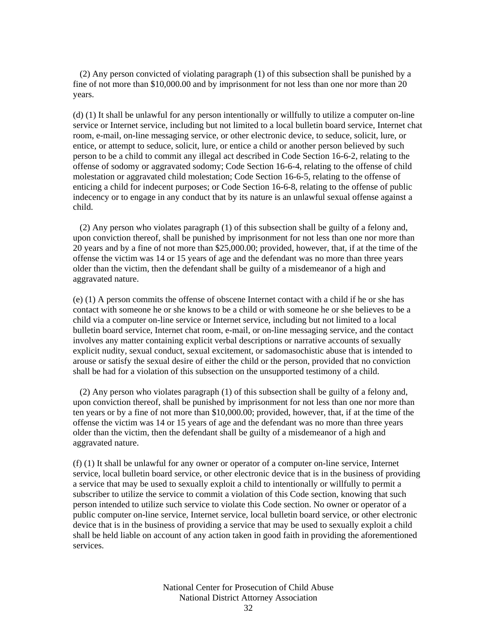(2) Any person convicted of violating paragraph (1) of this subsection shall be punished by a fine of not more than \$10,000.00 and by imprisonment for not less than one nor more than 20 years.

(d) (1) It shall be unlawful for any person intentionally or willfully to utilize a computer on-line service or Internet service, including but not limited to a local bulletin board service, Internet chat room, e-mail, on-line messaging service, or other electronic device, to seduce, solicit, lure, or entice, or attempt to seduce, solicit, lure, or entice a child or another person believed by such person to be a child to commit any illegal act described in Code Section 16-6-2, relating to the offense of sodomy or aggravated sodomy; Code Section 16-6-4, relating to the offense of child molestation or aggravated child molestation; Code Section 16-6-5, relating to the offense of enticing a child for indecent purposes; or Code Section 16-6-8, relating to the offense of public indecency or to engage in any conduct that by its nature is an unlawful sexual offense against a child.

 (2) Any person who violates paragraph (1) of this subsection shall be guilty of a felony and, upon conviction thereof, shall be punished by imprisonment for not less than one nor more than 20 years and by a fine of not more than \$25,000.00; provided, however, that, if at the time of the offense the victim was 14 or 15 years of age and the defendant was no more than three years older than the victim, then the defendant shall be guilty of a misdemeanor of a high and aggravated nature.

(e) (1) A person commits the offense of obscene Internet contact with a child if he or she has contact with someone he or she knows to be a child or with someone he or she believes to be a child via a computer on-line service or Internet service, including but not limited to a local bulletin board service, Internet chat room, e-mail, or on-line messaging service, and the contact involves any matter containing explicit verbal descriptions or narrative accounts of sexually explicit nudity, sexual conduct, sexual excitement, or sadomasochistic abuse that is intended to arouse or satisfy the sexual desire of either the child or the person, provided that no conviction shall be had for a violation of this subsection on the unsupported testimony of a child.

 (2) Any person who violates paragraph (1) of this subsection shall be guilty of a felony and, upon conviction thereof, shall be punished by imprisonment for not less than one nor more than ten years or by a fine of not more than \$10,000.00; provided, however, that, if at the time of the offense the victim was 14 or 15 years of age and the defendant was no more than three years older than the victim, then the defendant shall be guilty of a misdemeanor of a high and aggravated nature.

(f) (1) It shall be unlawful for any owner or operator of a computer on-line service, Internet service, local bulletin board service, or other electronic device that is in the business of providing a service that may be used to sexually exploit a child to intentionally or willfully to permit a subscriber to utilize the service to commit a violation of this Code section, knowing that such person intended to utilize such service to violate this Code section. No owner or operator of a public computer on-line service, Internet service, local bulletin board service, or other electronic device that is in the business of providing a service that may be used to sexually exploit a child shall be held liable on account of any action taken in good faith in providing the aforementioned services.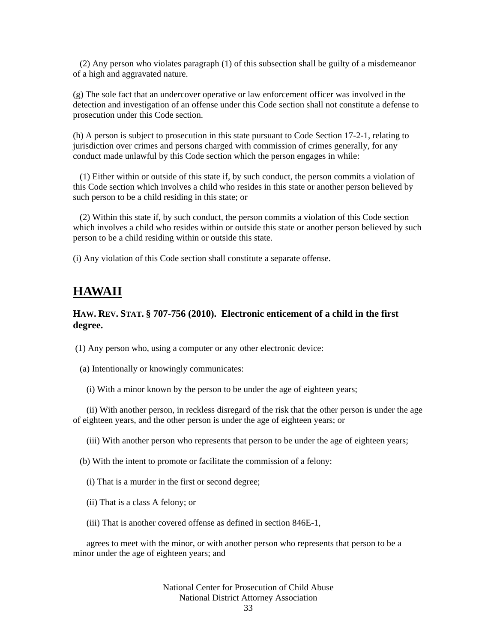(2) Any person who violates paragraph (1) of this subsection shall be guilty of a misdemeanor of a high and aggravated nature.

(g) The sole fact that an undercover operative or law enforcement officer was involved in the detection and investigation of an offense under this Code section shall not constitute a defense to prosecution under this Code section.

(h) A person is subject to prosecution in this state pursuant to Code Section 17-2-1, relating to jurisdiction over crimes and persons charged with commission of crimes generally, for any conduct made unlawful by this Code section which the person engages in while:

 (1) Either within or outside of this state if, by such conduct, the person commits a violation of this Code section which involves a child who resides in this state or another person believed by such person to be a child residing in this state; or

 (2) Within this state if, by such conduct, the person commits a violation of this Code section which involves a child who resides within or outside this state or another person believed by such person to be a child residing within or outside this state.

(i) Any violation of this Code section shall constitute a separate offense.

# **HAWAII**

### **HAW. REV. STAT. § 707-756 (2010). Electronic enticement of a child in the first degree.**

(1) Any person who, using a computer or any other electronic device:

(a) Intentionally or knowingly communicates:

(i) With a minor known by the person to be under the age of eighteen years;

 (ii) With another person, in reckless disregard of the risk that the other person is under the age of eighteen years, and the other person is under the age of eighteen years; or

(iii) With another person who represents that person to be under the age of eighteen years;

(b) With the intent to promote or facilitate the commission of a felony:

- (i) That is a murder in the first or second degree;
- (ii) That is a class A felony; or
- (iii) That is another covered offense as defined in section 846E-1,

 agrees to meet with the minor, or with another person who represents that person to be a minor under the age of eighteen years; and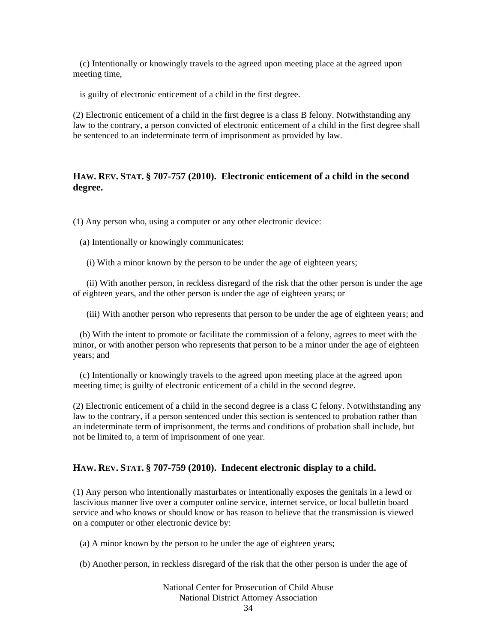(c) Intentionally or knowingly travels to the agreed upon meeting place at the agreed upon meeting time,

is guilty of electronic enticement of a child in the first degree.

(2) Electronic enticement of a child in the first degree is a class B felony. Notwithstanding any law to the contrary, a person convicted of electronic enticement of a child in the first degree shall be sentenced to an indeterminate term of imprisonment as provided by law.

### **HAW. REV. STAT. § 707-757 (2010). Electronic enticement of a child in the second degree.**

(1) Any person who, using a computer or any other electronic device:

(a) Intentionally or knowingly communicates:

(i) With a minor known by the person to be under the age of eighteen years;

 (ii) With another person, in reckless disregard of the risk that the other person is under the age of eighteen years, and the other person is under the age of eighteen years; or

(iii) With another person who represents that person to be under the age of eighteen years; and

 (b) With the intent to promote or facilitate the commission of a felony, agrees to meet with the minor, or with another person who represents that person to be a minor under the age of eighteen years; and

 (c) Intentionally or knowingly travels to the agreed upon meeting place at the agreed upon meeting time; is guilty of electronic enticement of a child in the second degree.

(2) Electronic enticement of a child in the second degree is a class C felony. Notwithstanding any law to the contrary, if a person sentenced under this section is sentenced to probation rather than an indeterminate term of imprisonment, the terms and conditions of probation shall include, but not be limited to, a term of imprisonment of one year.

### **HAW. REV. STAT. § 707-759 (2010). Indecent electronic display to a child.**

(1) Any person who intentionally masturbates or intentionally exposes the genitals in a lewd or lascivious manner live over a computer online service, internet service, or local bulletin board service and who knows or should know or has reason to believe that the transmission is viewed on a computer or other electronic device by:

(a) A minor known by the person to be under the age of eighteen years;

(b) Another person, in reckless disregard of the risk that the other person is under the age of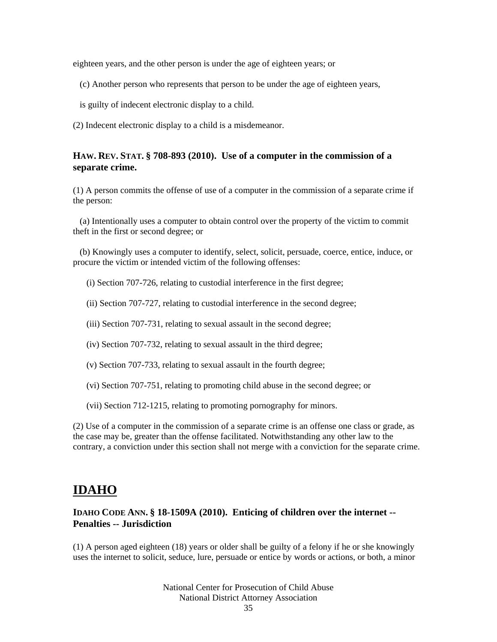eighteen years, and the other person is under the age of eighteen years; or

- (c) Another person who represents that person to be under the age of eighteen years,
- is guilty of indecent electronic display to a child.
- (2) Indecent electronic display to a child is a misdemeanor.

### **HAW. REV. STAT. § 708-893 (2010). Use of a computer in the commission of a separate crime.**

(1) A person commits the offense of use of a computer in the commission of a separate crime if the person:

 (a) Intentionally uses a computer to obtain control over the property of the victim to commit theft in the first or second degree; or

 (b) Knowingly uses a computer to identify, select, solicit, persuade, coerce, entice, induce, or procure the victim or intended victim of the following offenses:

(i) Section 707-726, relating to custodial interference in the first degree;

- (ii) Section 707-727, relating to custodial interference in the second degree;
- (iii) Section 707-731, relating to sexual assault in the second degree;
- (iv) Section 707-732, relating to sexual assault in the third degree;
- (v) Section 707-733, relating to sexual assault in the fourth degree;
- (vi) Section 707-751, relating to promoting child abuse in the second degree; or
- (vii) Section 712-1215, relating to promoting pornography for minors.

(2) Use of a computer in the commission of a separate crime is an offense one class or grade, as the case may be, greater than the offense facilitated. Notwithstanding any other law to the contrary, a conviction under this section shall not merge with a conviction for the separate crime.

# **IDAHO**

### **IDAHO CODE ANN. § 18-1509A (2010). Enticing of children over the internet -- Penalties -- Jurisdiction**

(1) A person aged eighteen (18) years or older shall be guilty of a felony if he or she knowingly uses the internet to solicit, seduce, lure, persuade or entice by words or actions, or both, a minor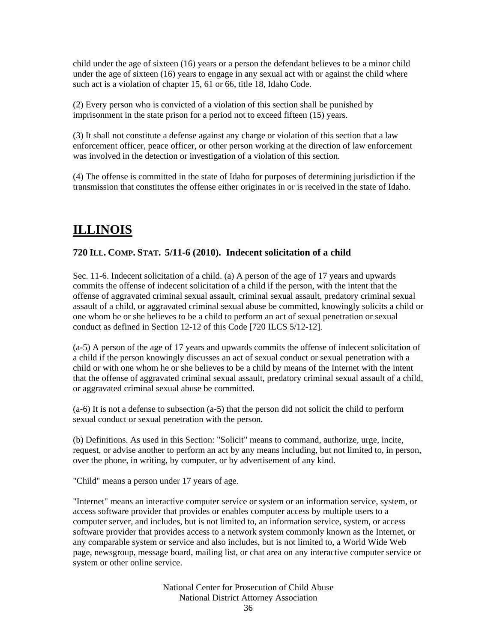child under the age of sixteen (16) years or a person the defendant believes to be a minor child under the age of sixteen (16) years to engage in any sexual act with or against the child where such act is a violation of chapter 15, 61 or 66, title 18, Idaho Code.

(2) Every person who is convicted of a violation of this section shall be punished by imprisonment in the state prison for a period not to exceed fifteen (15) years.

(3) It shall not constitute a defense against any charge or violation of this section that a law enforcement officer, peace officer, or other person working at the direction of law enforcement was involved in the detection or investigation of a violation of this section.

(4) The offense is committed in the state of Idaho for purposes of determining jurisdiction if the transmission that constitutes the offense either originates in or is received in the state of Idaho.

# **ILLINOIS**

## **720 ILL. COMP. STAT. 5/11-6 (2010). Indecent solicitation of a child**

Sec. 11-6. Indecent solicitation of a child. (a) A person of the age of 17 years and upwards commits the offense of indecent solicitation of a child if the person, with the intent that the offense of aggravated criminal sexual assault, criminal sexual assault, predatory criminal sexual assault of a child, or aggravated criminal sexual abuse be committed, knowingly solicits a child or one whom he or she believes to be a child to perform an act of sexual penetration or sexual conduct as defined in Section 12-12 of this Code [720 ILCS 5/12-12].

(a-5) A person of the age of 17 years and upwards commits the offense of indecent solicitation of a child if the person knowingly discusses an act of sexual conduct or sexual penetration with a child or with one whom he or she believes to be a child by means of the Internet with the intent that the offense of aggravated criminal sexual assault, predatory criminal sexual assault of a child, or aggravated criminal sexual abuse be committed.

(a-6) It is not a defense to subsection (a-5) that the person did not solicit the child to perform sexual conduct or sexual penetration with the person.

(b) Definitions. As used in this Section: "Solicit" means to command, authorize, urge, incite, request, or advise another to perform an act by any means including, but not limited to, in person, over the phone, in writing, by computer, or by advertisement of any kind.

"Child" means a person under 17 years of age.

"Internet" means an interactive computer service or system or an information service, system, or access software provider that provides or enables computer access by multiple users to a computer server, and includes, but is not limited to, an information service, system, or access software provider that provides access to a network system commonly known as the Internet, or any comparable system or service and also includes, but is not limited to, a World Wide Web page, newsgroup, message board, mailing list, or chat area on any interactive computer service or system or other online service.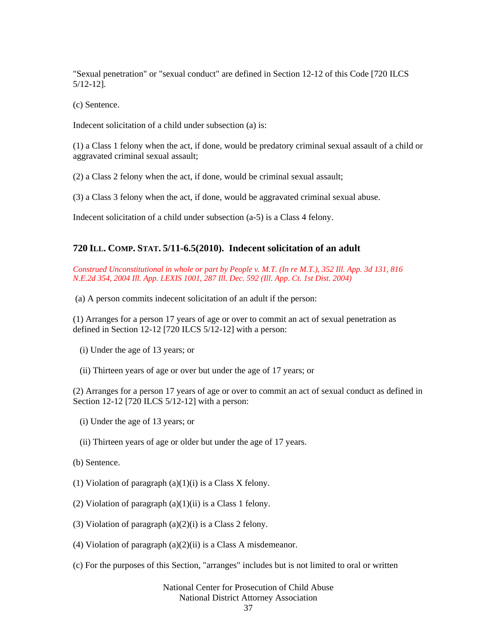"Sexual penetration" or "sexual conduct" are defined in Section 12-12 of this Code [720 ILCS 5/12-12].

(c) Sentence.

Indecent solicitation of a child under subsection (a) is:

(1) a Class 1 felony when the act, if done, would be predatory criminal sexual assault of a child or aggravated criminal sexual assault;

(2) a Class 2 felony when the act, if done, would be criminal sexual assault;

(3) a Class 3 felony when the act, if done, would be aggravated criminal sexual abuse.

Indecent solicitation of a child under subsection (a-5) is a Class 4 felony.

## **720 ILL. COMP. STAT. 5/11-6.5(2010). Indecent solicitation of an adult**

*Construed Unconstitutional in whole or part by People v. M.T. (In re M.T.), 352 Ill. App. 3d 131, 816 N.E.2d 354, 2004 Ill. App. LEXIS 1001, 287 Ill. Dec. 592 (Ill. App. Ct. 1st Dist. 2004)* 

(a) A person commits indecent solicitation of an adult if the person:

(1) Arranges for a person 17 years of age or over to commit an act of sexual penetration as defined in Section 12-12 [720 ILCS 5/12-12] with a person:

- (i) Under the age of 13 years; or
- (ii) Thirteen years of age or over but under the age of 17 years; or

(2) Arranges for a person 17 years of age or over to commit an act of sexual conduct as defined in Section 12-12 [720 ILCS 5/12-12] with a person:

- (i) Under the age of 13 years; or
- (ii) Thirteen years of age or older but under the age of 17 years.
- (b) Sentence.
- (1) Violation of paragraph  $(a)(1)(i)$  is a Class X felony.
- (2) Violation of paragraph  $(a)(1)(ii)$  is a Class 1 felony.
- (3) Violation of paragraph  $(a)(2)(i)$  is a Class 2 felony.
- (4) Violation of paragraph  $(a)(2)(ii)$  is a Class A misdemeanor.
- (c) For the purposes of this Section, "arranges" includes but is not limited to oral or written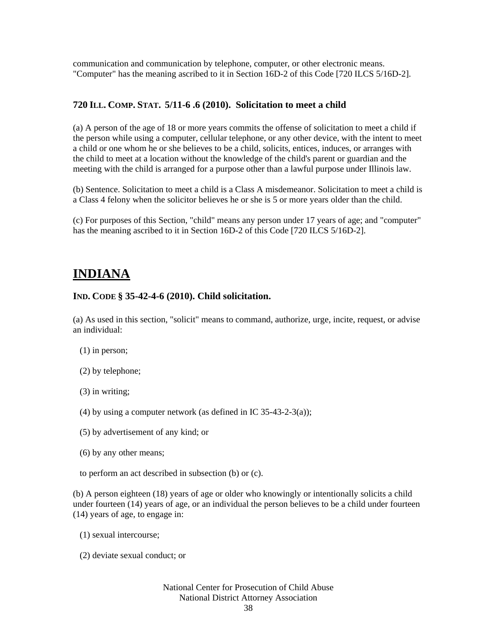communication and communication by telephone, computer, or other electronic means. "Computer" has the meaning ascribed to it in Section 16D-2 of this Code [720 ILCS 5/16D-2].

### **720 ILL. COMP. STAT. 5/11-6 .6 (2010). Solicitation to meet a child**

(a) A person of the age of 18 or more years commits the offense of solicitation to meet a child if the person while using a computer, cellular telephone, or any other device, with the intent to meet a child or one whom he or she believes to be a child, solicits, entices, induces, or arranges with the child to meet at a location without the knowledge of the child's parent or guardian and the meeting with the child is arranged for a purpose other than a lawful purpose under Illinois law.

(b) Sentence. Solicitation to meet a child is a Class A misdemeanor. Solicitation to meet a child is a Class 4 felony when the solicitor believes he or she is 5 or more years older than the child.

(c) For purposes of this Section, "child" means any person under 17 years of age; and "computer" has the meaning ascribed to it in Section 16D-2 of this Code [720 ILCS 5/16D-2].

# **INDIANA**

## **IND. CODE § 35-42-4-6 (2010). Child solicitation.**

(a) As used in this section, "solicit" means to command, authorize, urge, incite, request, or advise an individual:

- (1) in person;
- (2) by telephone;
- (3) in writing;
- (4) by using a computer network (as defined in IC  $35-43-2-3(a)$ );
- (5) by advertisement of any kind; or
- (6) by any other means;
- to perform an act described in subsection (b) or (c).

(b) A person eighteen (18) years of age or older who knowingly or intentionally solicits a child under fourteen (14) years of age, or an individual the person believes to be a child under fourteen (14) years of age, to engage in:

- (1) sexual intercourse;
- (2) deviate sexual conduct; or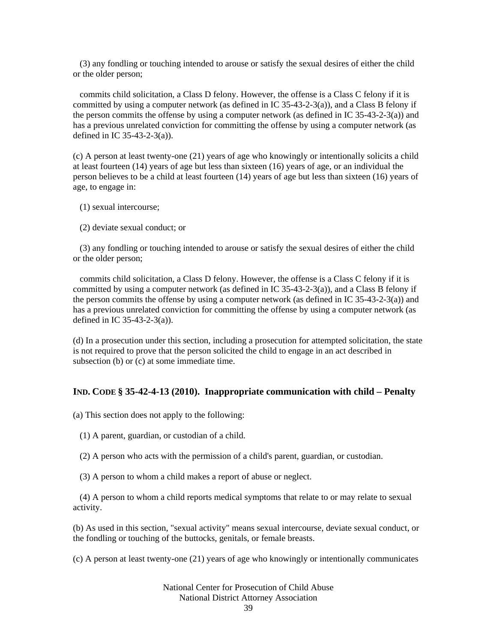(3) any fondling or touching intended to arouse or satisfy the sexual desires of either the child or the older person;

 commits child solicitation, a Class D felony. However, the offense is a Class C felony if it is committed by using a computer network (as defined in IC 35-43-2-3(a)), and a Class B felony if the person commits the offense by using a computer network (as defined in IC 35-43-2-3(a)) and has a previous unrelated conviction for committing the offense by using a computer network (as defined in IC 35-43-2-3(a)).

(c) A person at least twenty-one (21) years of age who knowingly or intentionally solicits a child at least fourteen (14) years of age but less than sixteen (16) years of age, or an individual the person believes to be a child at least fourteen (14) years of age but less than sixteen (16) years of age, to engage in:

- (1) sexual intercourse;
- (2) deviate sexual conduct; or

 (3) any fondling or touching intended to arouse or satisfy the sexual desires of either the child or the older person;

 commits child solicitation, a Class D felony. However, the offense is a Class C felony if it is committed by using a computer network (as defined in IC  $35-43-2-3(a)$ ), and a Class B felony if the person commits the offense by using a computer network (as defined in IC 35-43-2-3(a)) and has a previous unrelated conviction for committing the offense by using a computer network (as defined in IC 35-43-2-3(a)).

(d) In a prosecution under this section, including a prosecution for attempted solicitation, the state is not required to prove that the person solicited the child to engage in an act described in subsection (b) or (c) at some immediate time.

## **IND. CODE § 35-42-4-13 (2010). Inappropriate communication with child – Penalty**

(a) This section does not apply to the following:

(1) A parent, guardian, or custodian of a child.

(2) A person who acts with the permission of a child's parent, guardian, or custodian.

(3) A person to whom a child makes a report of abuse or neglect.

 (4) A person to whom a child reports medical symptoms that relate to or may relate to sexual activity.

(b) As used in this section, "sexual activity" means sexual intercourse, deviate sexual conduct, or the fondling or touching of the buttocks, genitals, or female breasts.

(c) A person at least twenty-one (21) years of age who knowingly or intentionally communicates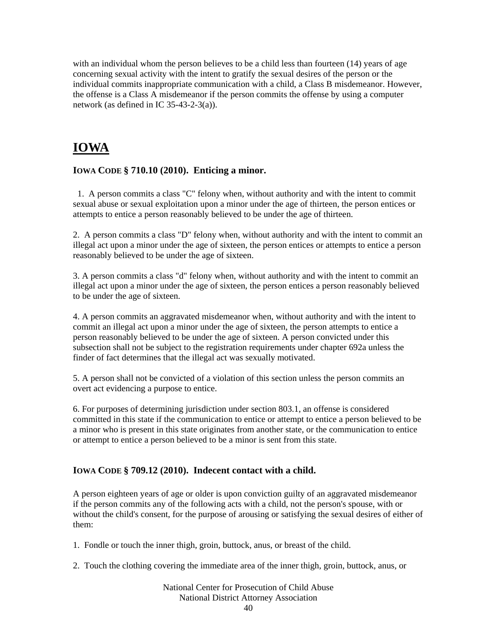with an individual whom the person believes to be a child less than fourteen (14) years of age concerning sexual activity with the intent to gratify the sexual desires of the person or the individual commits inappropriate communication with a child, a Class B misdemeanor. However, the offense is a Class A misdemeanor if the person commits the offense by using a computer network (as defined in IC 35-43-2-3(a)).

# **IOWA**

## **IOWA CODE § 710.10 (2010). Enticing a minor.**

 1. A person commits a class "C" felony when, without authority and with the intent to commit sexual abuse or sexual exploitation upon a minor under the age of thirteen, the person entices or attempts to entice a person reasonably believed to be under the age of thirteen.

2. A person commits a class "D" felony when, without authority and with the intent to commit an illegal act upon a minor under the age of sixteen, the person entices or attempts to entice a person reasonably believed to be under the age of sixteen.

3. A person commits a class "d" felony when, without authority and with the intent to commit an illegal act upon a minor under the age of sixteen, the person entices a person reasonably believed to be under the age of sixteen.

4. A person commits an aggravated misdemeanor when, without authority and with the intent to commit an illegal act upon a minor under the age of sixteen, the person attempts to entice a person reasonably believed to be under the age of sixteen. A person convicted under this subsection shall not be subject to the registration requirements under chapter 692a unless the finder of fact determines that the illegal act was sexually motivated.

5. A person shall not be convicted of a violation of this section unless the person commits an overt act evidencing a purpose to entice.

6. For purposes of determining jurisdiction under section 803.1, an offense is considered committed in this state if the communication to entice or attempt to entice a person believed to be a minor who is present in this state originates from another state, or the communication to entice or attempt to entice a person believed to be a minor is sent from this state.

# **IOWA CODE § 709.12 (2010). Indecent contact with a child.**

A person eighteen years of age or older is upon conviction guilty of an aggravated misdemeanor if the person commits any of the following acts with a child, not the person's spouse, with or without the child's consent, for the purpose of arousing or satisfying the sexual desires of either of them:

1. Fondle or touch the inner thigh, groin, buttock, anus, or breast of the child.

2. Touch the clothing covering the immediate area of the inner thigh, groin, buttock, anus, or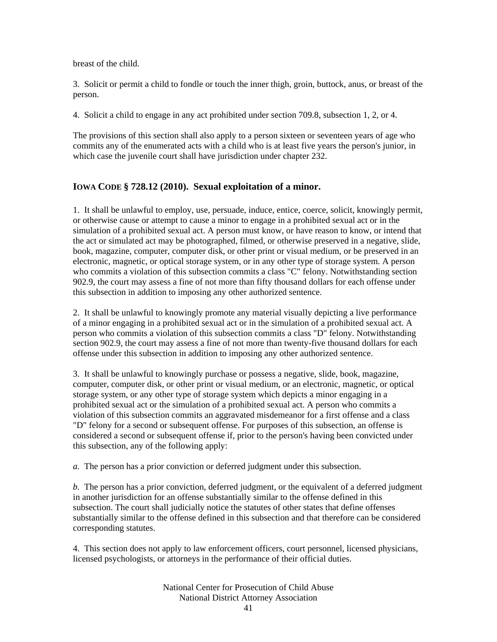breast of the child.

3. Solicit or permit a child to fondle or touch the inner thigh, groin, buttock, anus, or breast of the person.

4. Solicit a child to engage in any act prohibited under section 709.8, subsection 1, 2, or 4.

The provisions of this section shall also apply to a person sixteen or seventeen years of age who commits any of the enumerated acts with a child who is at least five years the person's junior, in which case the juvenile court shall have jurisdiction under chapter 232.

## **IOWA CODE § 728.12 (2010). Sexual exploitation of a minor.**

1. It shall be unlawful to employ, use, persuade, induce, entice, coerce, solicit, knowingly permit, or otherwise cause or attempt to cause a minor to engage in a prohibited sexual act or in the simulation of a prohibited sexual act. A person must know, or have reason to know, or intend that the act or simulated act may be photographed, filmed, or otherwise preserved in a negative, slide, book, magazine, computer, computer disk, or other print or visual medium, or be preserved in an electronic, magnetic, or optical storage system, or in any other type of storage system. A person who commits a violation of this subsection commits a class "C" felony. Notwithstanding section 902.9, the court may assess a fine of not more than fifty thousand dollars for each offense under this subsection in addition to imposing any other authorized sentence.

2. It shall be unlawful to knowingly promote any material visually depicting a live performance of a minor engaging in a prohibited sexual act or in the simulation of a prohibited sexual act. A person who commits a violation of this subsection commits a class "D" felony. Notwithstanding section 902.9, the court may assess a fine of not more than twenty-five thousand dollars for each offense under this subsection in addition to imposing any other authorized sentence.

3. It shall be unlawful to knowingly purchase or possess a negative, slide, book, magazine, computer, computer disk, or other print or visual medium, or an electronic, magnetic, or optical storage system, or any other type of storage system which depicts a minor engaging in a prohibited sexual act or the simulation of a prohibited sexual act. A person who commits a violation of this subsection commits an aggravated misdemeanor for a first offense and a class "D" felony for a second or subsequent offense. For purposes of this subsection, an offense is considered a second or subsequent offense if, prior to the person's having been convicted under this subsection, any of the following apply:

*a.* The person has a prior conviction or deferred judgment under this subsection.

*b.* The person has a prior conviction, deferred judgment, or the equivalent of a deferred judgment in another jurisdiction for an offense substantially similar to the offense defined in this subsection. The court shall judicially notice the statutes of other states that define offenses substantially similar to the offense defined in this subsection and that therefore can be considered corresponding statutes.

4. This section does not apply to law enforcement officers, court personnel, licensed physicians, licensed psychologists, or attorneys in the performance of their official duties.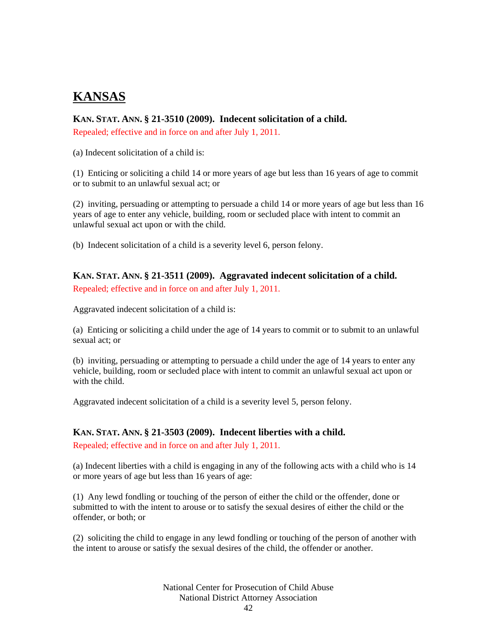# **KANSAS**

**KAN. STAT. ANN. § 21-3510 (2009). Indecent solicitation of a child.** 

Repealed; effective and in force on and after July 1, 2011.

(a) Indecent solicitation of a child is:

(1) Enticing or soliciting a child 14 or more years of age but less than 16 years of age to commit or to submit to an unlawful sexual act; or

(2) inviting, persuading or attempting to persuade a child 14 or more years of age but less than 16 years of age to enter any vehicle, building, room or secluded place with intent to commit an unlawful sexual act upon or with the child.

(b) Indecent solicitation of a child is a severity level 6, person felony.

**KAN. STAT. ANN. § 21-3511 (2009). Aggravated indecent solicitation of a child.**  Repealed; effective and in force on and after July 1, 2011.

Aggravated indecent solicitation of a child is:

(a) Enticing or soliciting a child under the age of 14 years to commit or to submit to an unlawful sexual act; or

(b) inviting, persuading or attempting to persuade a child under the age of 14 years to enter any vehicle, building, room or secluded place with intent to commit an unlawful sexual act upon or with the child.

Aggravated indecent solicitation of a child is a severity level 5, person felony.

# **KAN. STAT. ANN. § 21-3503 (2009). Indecent liberties with a child.**

Repealed; effective and in force on and after July 1, 2011.

(a) Indecent liberties with a child is engaging in any of the following acts with a child who is 14 or more years of age but less than 16 years of age:

(1) Any lewd fondling or touching of the person of either the child or the offender, done or submitted to with the intent to arouse or to satisfy the sexual desires of either the child or the offender, or both; or

(2) soliciting the child to engage in any lewd fondling or touching of the person of another with the intent to arouse or satisfy the sexual desires of the child, the offender or another.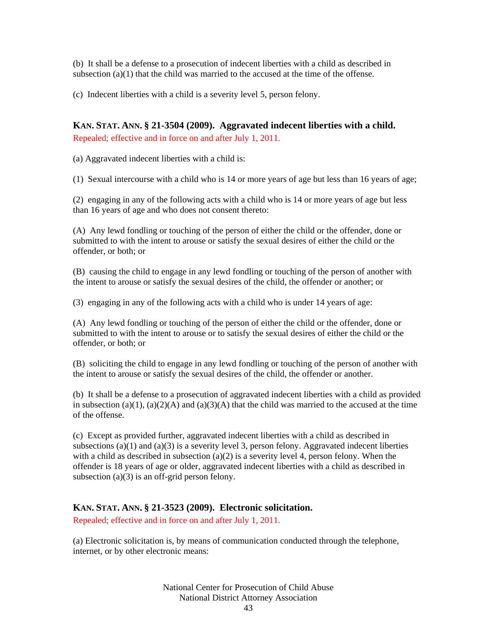(b) It shall be a defense to a prosecution of indecent liberties with a child as described in subsection (a)(1) that the child was married to the accused at the time of the offense.

(c) Indecent liberties with a child is a severity level 5, person felony.

# **KAN. STAT. ANN. § 21-3504 (2009). Aggravated indecent liberties with a child.**  Repealed; effective and in force on and after July 1, 2011.

(a) Aggravated indecent liberties with a child is:

(1) Sexual intercourse with a child who is 14 or more years of age but less than 16 years of age;

(2) engaging in any of the following acts with a child who is 14 or more years of age but less than 16 years of age and who does not consent thereto:

(A) Any lewd fondling or touching of the person of either the child or the offender, done or submitted to with the intent to arouse or satisfy the sexual desires of either the child or the offender, or both; or

(B) causing the child to engage in any lewd fondling or touching of the person of another with the intent to arouse or satisfy the sexual desires of the child, the offender or another; or

(3) engaging in any of the following acts with a child who is under 14 years of age:

(A) Any lewd fondling or touching of the person of either the child or the offender, done or submitted to with the intent to arouse or to satisfy the sexual desires of either the child or the offender, or both; or

(B) soliciting the child to engage in any lewd fondling or touching of the person of another with the intent to arouse or satisfy the sexual desires of the child, the offender or another.

(b) It shall be a defense to a prosecution of aggravated indecent liberties with a child as provided in subsection (a)(1), (a)(2)(A) and (a)(3)(A) that the child was married to the accused at the time of the offense.

(c) Except as provided further, aggravated indecent liberties with a child as described in subsections  $(a)(1)$  and  $(a)(3)$  is a severity level 3, person felony. Aggravated indecent liberties with a child as described in subsection  $(a)(2)$  is a severity level 4, person felony. When the offender is 18 years of age or older, aggravated indecent liberties with a child as described in subsection (a)(3) is an off-grid person felony.

## **KAN. STAT. ANN. § 21-3523 (2009). Electronic solicitation.**

Repealed; effective and in force on and after July 1, 2011.

(a) Electronic solicitation is, by means of communication conducted through the telephone, internet, or by other electronic means: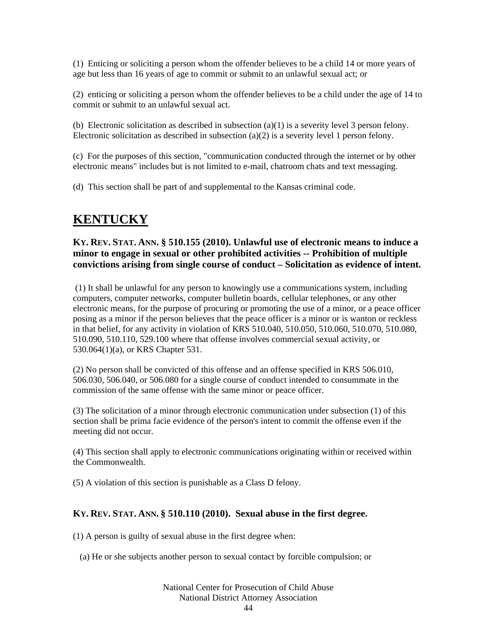(1) Enticing or soliciting a person whom the offender believes to be a child 14 or more years of age but less than 16 years of age to commit or submit to an unlawful sexual act; or

(2) enticing or soliciting a person whom the offender believes to be a child under the age of 14 to commit or submit to an unlawful sexual act.

(b) Electronic solicitation as described in subsection (a)(1) is a severity level 3 person felony. Electronic solicitation as described in subsection (a)(2) is a severity level 1 person felony.

(c) For the purposes of this section, "communication conducted through the internet or by other electronic means" includes but is not limited to e-mail, chatroom chats and text messaging.

(d) This section shall be part of and supplemental to the Kansas criminal code.

# **KENTUCKY**

## **KY. REV. STAT. ANN. § 510.155 (2010). Unlawful use of electronic means to induce a minor to engage in sexual or other prohibited activities -- Prohibition of multiple convictions arising from single course of conduct – Solicitation as evidence of intent.**

 (1) It shall be unlawful for any person to knowingly use a communications system, including computers, computer networks, computer bulletin boards, cellular telephones, or any other electronic means, for the purpose of procuring or promoting the use of a minor, or a peace officer posing as a minor if the person believes that the peace officer is a minor or is wanton or reckless in that belief, for any activity in violation of KRS 510.040, 510.050, 510.060, 510.070, 510.080, 510.090, 510.110, 529.100 where that offense involves commercial sexual activity, or 530.064(1)(a), or KRS Chapter 531.

(2) No person shall be convicted of this offense and an offense specified in KRS 506.010, 506.030, 506.040, or 506.080 for a single course of conduct intended to consummate in the commission of the same offense with the same minor or peace officer.

(3) The solicitation of a minor through electronic communication under subsection (1) of this section shall be prima facie evidence of the person's intent to commit the offense even if the meeting did not occur.

(4) This section shall apply to electronic communications originating within or received within the Commonwealth.

(5) A violation of this section is punishable as a Class D felony.

## **KY. REV. STAT. ANN. § 510.110 (2010). Sexual abuse in the first degree.**

(1) A person is guilty of sexual abuse in the first degree when:

(a) He or she subjects another person to sexual contact by forcible compulsion; or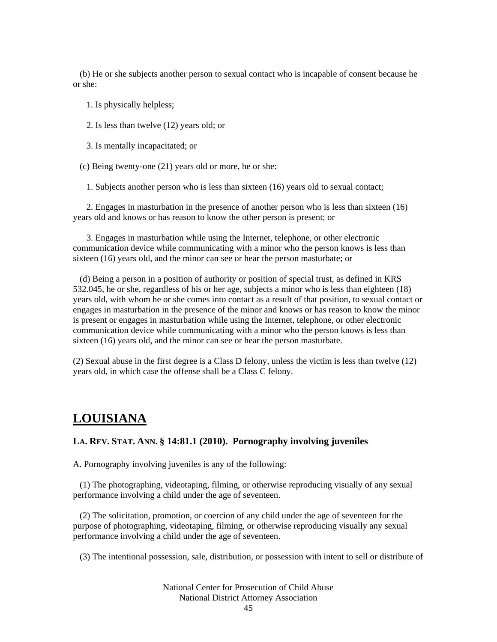(b) He or she subjects another person to sexual contact who is incapable of consent because he or she:

- 1. Is physically helpless;
- 2. Is less than twelve (12) years old; or
- 3. Is mentally incapacitated; or

(c) Being twenty-one (21) years old or more, he or she:

1. Subjects another person who is less than sixteen (16) years old to sexual contact;

 2. Engages in masturbation in the presence of another person who is less than sixteen (16) years old and knows or has reason to know the other person is present; or

 3. Engages in masturbation while using the Internet, telephone, or other electronic communication device while communicating with a minor who the person knows is less than sixteen (16) years old, and the minor can see or hear the person masturbate; or

 (d) Being a person in a position of authority or position of special trust, as defined in KRS 532.045, he or she, regardless of his or her age, subjects a minor who is less than eighteen (18) years old, with whom he or she comes into contact as a result of that position, to sexual contact or engages in masturbation in the presence of the minor and knows or has reason to know the minor is present or engages in masturbation while using the Internet, telephone, or other electronic communication device while communicating with a minor who the person knows is less than sixteen (16) years old, and the minor can see or hear the person masturbate.

(2) Sexual abuse in the first degree is a Class D felony, unless the victim is less than twelve (12) years old, in which case the offense shall be a Class C felony.

# **LOUISIANA**

## **LA. REV. STAT. ANN. § 14:81.1 (2010). Pornography involving juveniles**

A. Pornography involving juveniles is any of the following:

 (1) The photographing, videotaping, filming, or otherwise reproducing visually of any sexual performance involving a child under the age of seventeen.

 (2) The solicitation, promotion, or coercion of any child under the age of seventeen for the purpose of photographing, videotaping, filming, or otherwise reproducing visually any sexual performance involving a child under the age of seventeen.

(3) The intentional possession, sale, distribution, or possession with intent to sell or distribute of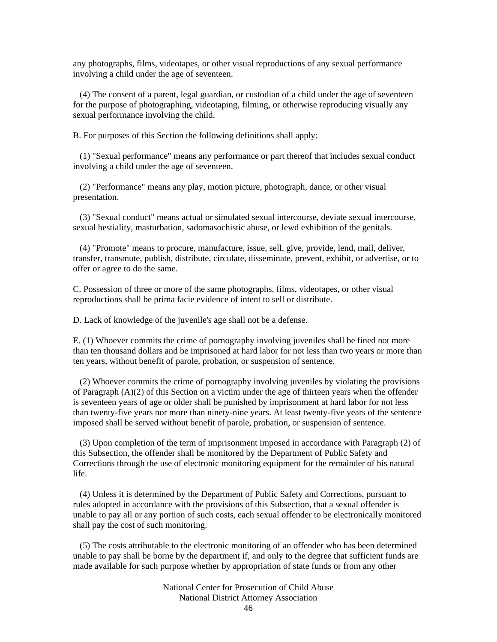any photographs, films, videotapes, or other visual reproductions of any sexual performance involving a child under the age of seventeen.

 (4) The consent of a parent, legal guardian, or custodian of a child under the age of seventeen for the purpose of photographing, videotaping, filming, or otherwise reproducing visually any sexual performance involving the child.

B. For purposes of this Section the following definitions shall apply:

 (1) "Sexual performance" means any performance or part thereof that includes sexual conduct involving a child under the age of seventeen.

 (2) "Performance" means any play, motion picture, photograph, dance, or other visual presentation.

 (3) "Sexual conduct" means actual or simulated sexual intercourse, deviate sexual intercourse, sexual bestiality, masturbation, sadomasochistic abuse, or lewd exhibition of the genitals.

 (4) "Promote" means to procure, manufacture, issue, sell, give, provide, lend, mail, deliver, transfer, transmute, publish, distribute, circulate, disseminate, prevent, exhibit, or advertise, or to offer or agree to do the same.

C. Possession of three or more of the same photographs, films, videotapes, or other visual reproductions shall be prima facie evidence of intent to sell or distribute.

D. Lack of knowledge of the juvenile's age shall not be a defense.

E. (1) Whoever commits the crime of pornography involving juveniles shall be fined not more than ten thousand dollars and be imprisoned at hard labor for not less than two years or more than ten years, without benefit of parole, probation, or suspension of sentence.

 (2) Whoever commits the crime of pornography involving juveniles by violating the provisions of Paragraph  $(A)(2)$  of this Section on a victim under the age of thirteen years when the offender is seventeen years of age or older shall be punished by imprisonment at hard labor for not less than twenty-five years nor more than ninety-nine years. At least twenty-five years of the sentence imposed shall be served without benefit of parole, probation, or suspension of sentence.

 (3) Upon completion of the term of imprisonment imposed in accordance with Paragraph (2) of this Subsection, the offender shall be monitored by the Department of Public Safety and Corrections through the use of electronic monitoring equipment for the remainder of his natural life.

 (4) Unless it is determined by the Department of Public Safety and Corrections, pursuant to rules adopted in accordance with the provisions of this Subsection, that a sexual offender is unable to pay all or any portion of such costs, each sexual offender to be electronically monitored shall pay the cost of such monitoring.

 (5) The costs attributable to the electronic monitoring of an offender who has been determined unable to pay shall be borne by the department if, and only to the degree that sufficient funds are made available for such purpose whether by appropriation of state funds or from any other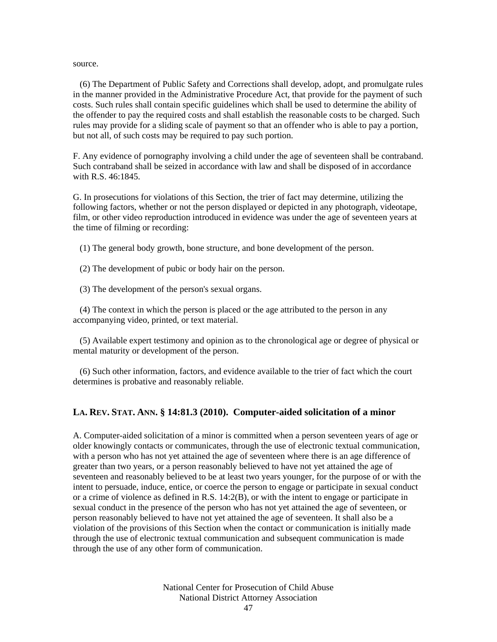source.

 (6) The Department of Public Safety and Corrections shall develop, adopt, and promulgate rules in the manner provided in the Administrative Procedure Act, that provide for the payment of such costs. Such rules shall contain specific guidelines which shall be used to determine the ability of the offender to pay the required costs and shall establish the reasonable costs to be charged. Such rules may provide for a sliding scale of payment so that an offender who is able to pay a portion, but not all, of such costs may be required to pay such portion.

F. Any evidence of pornography involving a child under the age of seventeen shall be contraband. Such contraband shall be seized in accordance with law and shall be disposed of in accordance with R.S. 46:1845.

G. In prosecutions for violations of this Section, the trier of fact may determine, utilizing the following factors, whether or not the person displayed or depicted in any photograph, videotape, film, or other video reproduction introduced in evidence was under the age of seventeen years at the time of filming or recording:

(1) The general body growth, bone structure, and bone development of the person.

(2) The development of pubic or body hair on the person.

(3) The development of the person's sexual organs.

 (4) The context in which the person is placed or the age attributed to the person in any accompanying video, printed, or text material.

 (5) Available expert testimony and opinion as to the chronological age or degree of physical or mental maturity or development of the person.

 (6) Such other information, factors, and evidence available to the trier of fact which the court determines is probative and reasonably reliable.

## **LA. REV. STAT. ANN. § 14:81.3 (2010). Computer-aided solicitation of a minor**

A. Computer-aided solicitation of a minor is committed when a person seventeen years of age or older knowingly contacts or communicates, through the use of electronic textual communication, with a person who has not yet attained the age of seventeen where there is an age difference of greater than two years, or a person reasonably believed to have not yet attained the age of seventeen and reasonably believed to be at least two years younger, for the purpose of or with the intent to persuade, induce, entice, or coerce the person to engage or participate in sexual conduct or a crime of violence as defined in R.S.  $14:2(B)$ , or with the intent to engage or participate in sexual conduct in the presence of the person who has not yet attained the age of seventeen, or person reasonably believed to have not yet attained the age of seventeen. It shall also be a violation of the provisions of this Section when the contact or communication is initially made through the use of electronic textual communication and subsequent communication is made through the use of any other form of communication.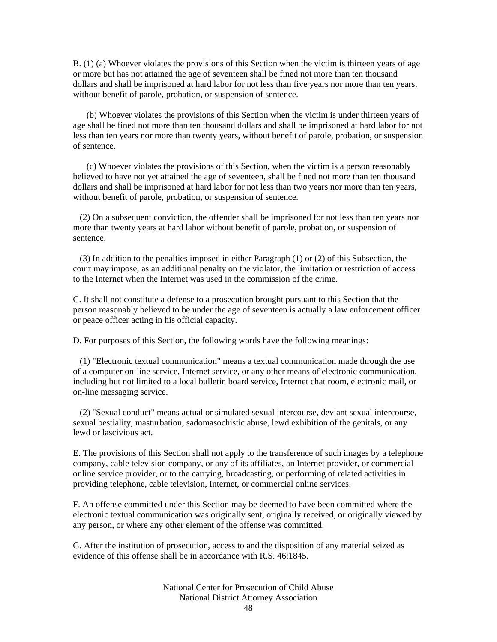B. (1) (a) Whoever violates the provisions of this Section when the victim is thirteen years of age or more but has not attained the age of seventeen shall be fined not more than ten thousand dollars and shall be imprisoned at hard labor for not less than five years nor more than ten years, without benefit of parole, probation, or suspension of sentence.

 (b) Whoever violates the provisions of this Section when the victim is under thirteen years of age shall be fined not more than ten thousand dollars and shall be imprisoned at hard labor for not less than ten years nor more than twenty years, without benefit of parole, probation, or suspension of sentence.

 (c) Whoever violates the provisions of this Section, when the victim is a person reasonably believed to have not yet attained the age of seventeen, shall be fined not more than ten thousand dollars and shall be imprisoned at hard labor for not less than two years nor more than ten years, without benefit of parole, probation, or suspension of sentence.

 (2) On a subsequent conviction, the offender shall be imprisoned for not less than ten years nor more than twenty years at hard labor without benefit of parole, probation, or suspension of sentence.

 (3) In addition to the penalties imposed in either Paragraph (1) or (2) of this Subsection, the court may impose, as an additional penalty on the violator, the limitation or restriction of access to the Internet when the Internet was used in the commission of the crime.

C. It shall not constitute a defense to a prosecution brought pursuant to this Section that the person reasonably believed to be under the age of seventeen is actually a law enforcement officer or peace officer acting in his official capacity.

D. For purposes of this Section, the following words have the following meanings:

 (1) "Electronic textual communication" means a textual communication made through the use of a computer on-line service, Internet service, or any other means of electronic communication, including but not limited to a local bulletin board service, Internet chat room, electronic mail, or on-line messaging service.

 (2) "Sexual conduct" means actual or simulated sexual intercourse, deviant sexual intercourse, sexual bestiality, masturbation, sadomasochistic abuse, lewd exhibition of the genitals, or any lewd or lascivious act.

E. The provisions of this Section shall not apply to the transference of such images by a telephone company, cable television company, or any of its affiliates, an Internet provider, or commercial online service provider, or to the carrying, broadcasting, or performing of related activities in providing telephone, cable television, Internet, or commercial online services.

F. An offense committed under this Section may be deemed to have been committed where the electronic textual communication was originally sent, originally received, or originally viewed by any person, or where any other element of the offense was committed.

G. After the institution of prosecution, access to and the disposition of any material seized as evidence of this offense shall be in accordance with R.S. 46:1845.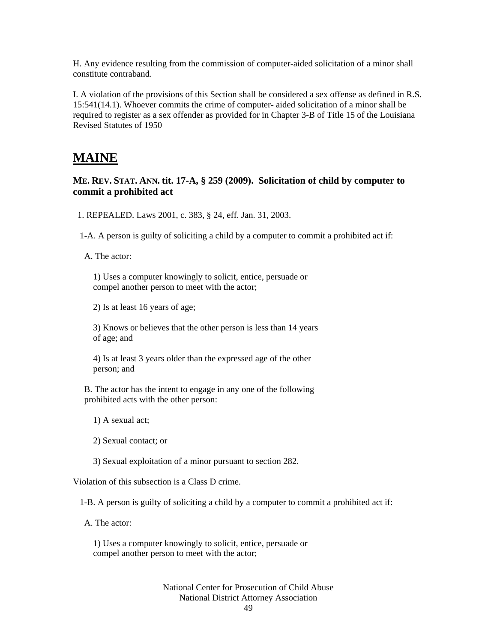H. Any evidence resulting from the commission of computer-aided solicitation of a minor shall constitute contraband.

I. A violation of the provisions of this Section shall be considered a sex offense as defined in R.S. 15:541(14.1). Whoever commits the crime of computer- aided solicitation of a minor shall be required to register as a sex offender as provided for in Chapter 3-B of Title 15 of the Louisiana Revised Statutes of 1950

# **MAINE**

## **ME. REV. STAT. ANN. tit. 17-A, § 259 (2009). Solicitation of child by computer to commit a prohibited act**

1. REPEALED. Laws 2001, c. 383, § 24, eff. Jan. 31, 2003.

1-A. A person is guilty of soliciting a child by a computer to commit a prohibited act if:

A. The actor:

 1) Uses a computer knowingly to solicit, entice, persuade or compel another person to meet with the actor;

2) Is at least 16 years of age;

 3) Knows or believes that the other person is less than 14 years of age; and

 4) Is at least 3 years older than the expressed age of the other person; and

 B. The actor has the intent to engage in any one of the following prohibited acts with the other person:

1) A sexual act;

2) Sexual contact; or

3) Sexual exploitation of a minor pursuant to section 282.

Violation of this subsection is a Class D crime.

1-B. A person is guilty of soliciting a child by a computer to commit a prohibited act if:

A. The actor:

 1) Uses a computer knowingly to solicit, entice, persuade or compel another person to meet with the actor;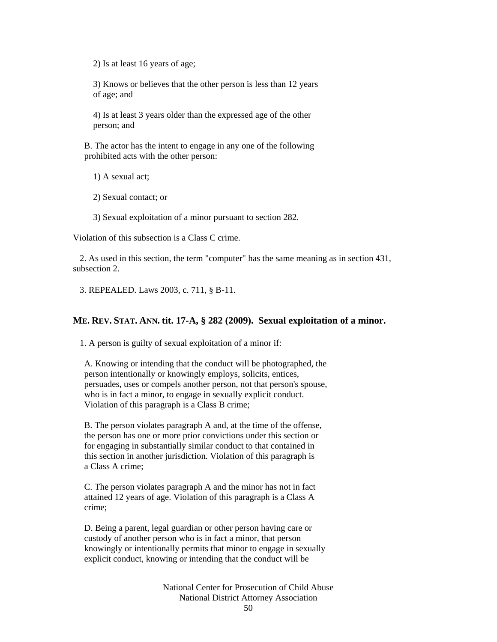2) Is at least 16 years of age;

 3) Knows or believes that the other person is less than 12 years of age; and

 4) Is at least 3 years older than the expressed age of the other person; and

 B. The actor has the intent to engage in any one of the following prohibited acts with the other person:

1) A sexual act;

2) Sexual contact; or

3) Sexual exploitation of a minor pursuant to section 282.

Violation of this subsection is a Class C crime.

 2. As used in this section, the term "computer" has the same meaning as in section 431, subsection 2.

3. REPEALED. Laws 2003, c. 711, § B-11.

### **ME. REV. STAT. ANN. tit. 17-A, § 282 (2009). Sexual exploitation of a minor.**

1. A person is guilty of sexual exploitation of a minor if:

 A. Knowing or intending that the conduct will be photographed, the person intentionally or knowingly employs, solicits, entices, persuades, uses or compels another person, not that person's spouse, who is in fact a minor, to engage in sexually explicit conduct. Violation of this paragraph is a Class B crime;

 B. The person violates paragraph A and, at the time of the offense, the person has one or more prior convictions under this section or for engaging in substantially similar conduct to that contained in this section in another jurisdiction. Violation of this paragraph is a Class A crime;

 C. The person violates paragraph A and the minor has not in fact attained 12 years of age. Violation of this paragraph is a Class A crime;

 D. Being a parent, legal guardian or other person having care or custody of another person who is in fact a minor, that person knowingly or intentionally permits that minor to engage in sexually explicit conduct, knowing or intending that the conduct will be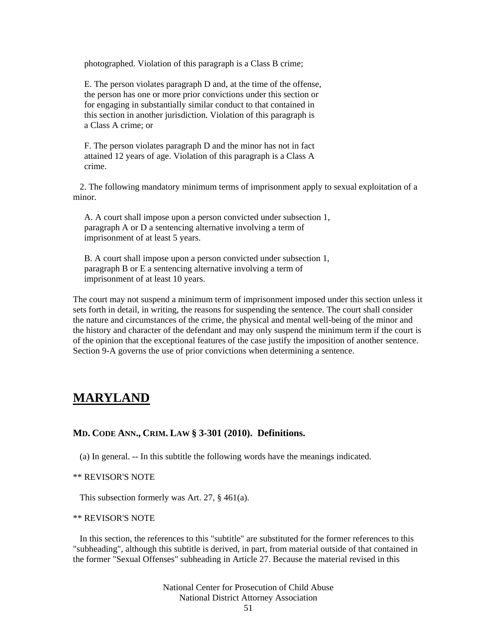photographed. Violation of this paragraph is a Class B crime;

 E. The person violates paragraph D and, at the time of the offense, the person has one or more prior convictions under this section or for engaging in substantially similar conduct to that contained in this section in another jurisdiction. Violation of this paragraph is a Class A crime; or

 F. The person violates paragraph D and the minor has not in fact attained 12 years of age. Violation of this paragraph is a Class A crime.

 2. The following mandatory minimum terms of imprisonment apply to sexual exploitation of a minor.

 A. A court shall impose upon a person convicted under subsection 1, paragraph A or D a sentencing alternative involving a term of imprisonment of at least 5 years.

 B. A court shall impose upon a person convicted under subsection 1, paragraph B or E a sentencing alternative involving a term of imprisonment of at least 10 years.

The court may not suspend a minimum term of imprisonment imposed under this section unless it sets forth in detail, in writing, the reasons for suspending the sentence. The court shall consider the nature and circumstances of the crime, the physical and mental well-being of the minor and the history and character of the defendant and may only suspend the minimum term if the court is of the opinion that the exceptional features of the case justify the imposition of another sentence. Section 9-A governs the use of prior convictions when determining a sentence.

# **MARYLAND**

## **MD. CODE ANN., CRIM. LAW § 3-301 (2010). Definitions.**

(a) In general. -- In this subtitle the following words have the meanings indicated.

### \*\* REVISOR'S NOTE

This subsection formerly was Art. 27, § 461(a).

### \*\* REVISOR'S NOTE

 In this section, the references to this "subtitle" are substituted for the former references to this "subheading", although this subtitle is derived, in part, from material outside of that contained in the former "Sexual Offenses" subheading in Article 27. Because the material revised in this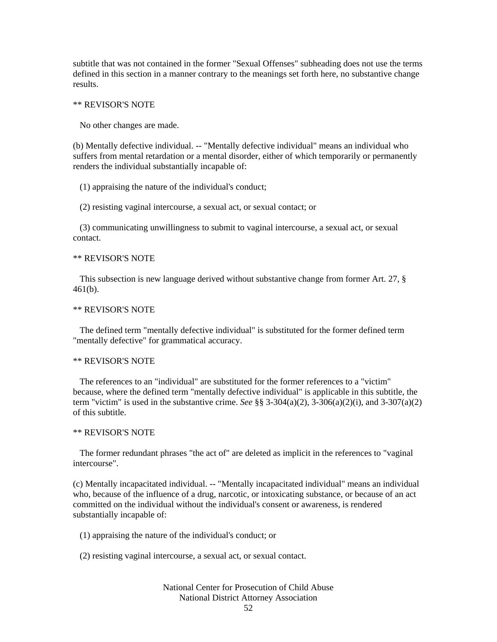subtitle that was not contained in the former "Sexual Offenses" subheading does not use the terms defined in this section in a manner contrary to the meanings set forth here, no substantive change results.

### \*\* REVISOR'S NOTE

No other changes are made.

(b) Mentally defective individual. -- "Mentally defective individual" means an individual who suffers from mental retardation or a mental disorder, either of which temporarily or permanently renders the individual substantially incapable of:

(1) appraising the nature of the individual's conduct;

(2) resisting vaginal intercourse, a sexual act, or sexual contact; or

 (3) communicating unwillingness to submit to vaginal intercourse, a sexual act, or sexual contact.

#### \*\* REVISOR'S NOTE

 This subsection is new language derived without substantive change from former Art. 27, § 461(b).

#### \*\* REVISOR'S NOTE

 The defined term "mentally defective individual" is substituted for the former defined term "mentally defective" for grammatical accuracy.

### \*\* REVISOR'S NOTE

 The references to an "individual" are substituted for the former references to a "victim" because, where the defined term "mentally defective individual" is applicable in this subtitle, the term "victim" is used in the substantive crime. *See* §§  $3-304(a)(2)$ ,  $3-306(a)(2)(i)$ , and  $3-307(a)(2)$ of this subtitle.

### \*\* REVISOR'S NOTE

 The former redundant phrases "the act of" are deleted as implicit in the references to "vaginal intercourse".

(c) Mentally incapacitated individual. -- "Mentally incapacitated individual" means an individual who, because of the influence of a drug, narcotic, or intoxicating substance, or because of an act committed on the individual without the individual's consent or awareness, is rendered substantially incapable of:

(1) appraising the nature of the individual's conduct; or

(2) resisting vaginal intercourse, a sexual act, or sexual contact.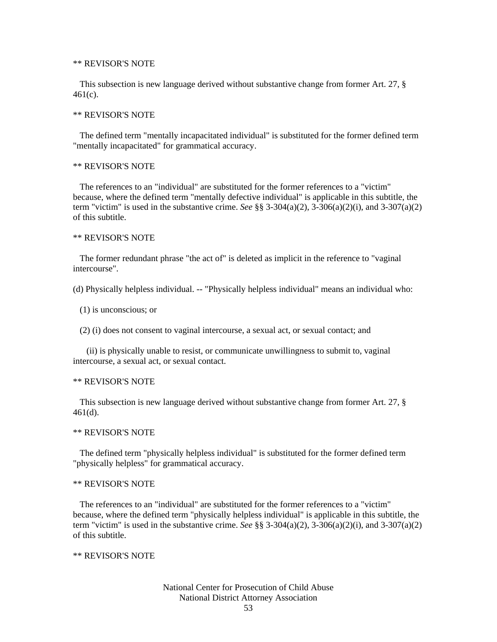#### \*\* REVISOR'S NOTE

 This subsection is new language derived without substantive change from former Art. 27, § 461(c).

#### \*\* REVISOR'S NOTE

 The defined term "mentally incapacitated individual" is substituted for the former defined term "mentally incapacitated" for grammatical accuracy.

### \*\* REVISOR'S NOTE

 The references to an "individual" are substituted for the former references to a "victim" because, where the defined term "mentally defective individual" is applicable in this subtitle, the term "victim" is used in the substantive crime. *See* §§  $3-304(a)(2)$ ,  $3-306(a)(2)(i)$ , and  $3-307(a)(2)$ of this subtitle.

#### \*\* REVISOR'S NOTE

 The former redundant phrase "the act of" is deleted as implicit in the reference to "vaginal intercourse".

(d) Physically helpless individual. -- "Physically helpless individual" means an individual who:

(1) is unconscious; or

(2) (i) does not consent to vaginal intercourse, a sexual act, or sexual contact; and

 (ii) is physically unable to resist, or communicate unwillingness to submit to, vaginal intercourse, a sexual act, or sexual contact.

### \*\* REVISOR'S NOTE

 This subsection is new language derived without substantive change from former Art. 27, §  $461(d)$ .

#### \*\* REVISOR'S NOTE

 The defined term "physically helpless individual" is substituted for the former defined term "physically helpless" for grammatical accuracy.

#### \*\* REVISOR'S NOTE

 The references to an "individual" are substituted for the former references to a "victim" because, where the defined term "physically helpless individual" is applicable in this subtitle, the term "victim" is used in the substantive crime. *See* §§  $3-304(a)(2)$ ,  $3-306(a)(2)(i)$ , and  $3-307(a)(2)$ of this subtitle.

### \*\* REVISOR'S NOTE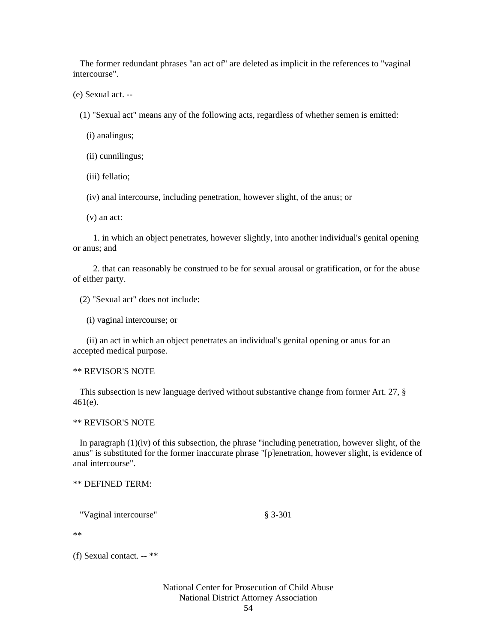The former redundant phrases "an act of" are deleted as implicit in the references to "vaginal intercourse".

(e) Sexual act. --

(1) "Sexual act" means any of the following acts, regardless of whether semen is emitted:

(i) analingus;

(ii) cunnilingus;

(iii) fellatio;

(iv) anal intercourse, including penetration, however slight, of the anus; or

(v) an act:

 1. in which an object penetrates, however slightly, into another individual's genital opening or anus; and

 2. that can reasonably be construed to be for sexual arousal or gratification, or for the abuse of either party.

(2) "Sexual act" does not include:

(i) vaginal intercourse; or

 (ii) an act in which an object penetrates an individual's genital opening or anus for an accepted medical purpose.

## \*\* REVISOR'S NOTE

 This subsection is new language derived without substantive change from former Art. 27, § 461(e).

#### \*\* REVISOR'S NOTE

In paragraph  $(1)(iv)$  of this subsection, the phrase "including penetration, however slight, of the anus" is substituted for the former inaccurate phrase "[p]enetration, however slight, is evidence of anal intercourse".

#### \*\* DEFINED TERM:

"Vaginal intercourse" § 3-301

\*\*

(f) Sexual contact. -- \*\*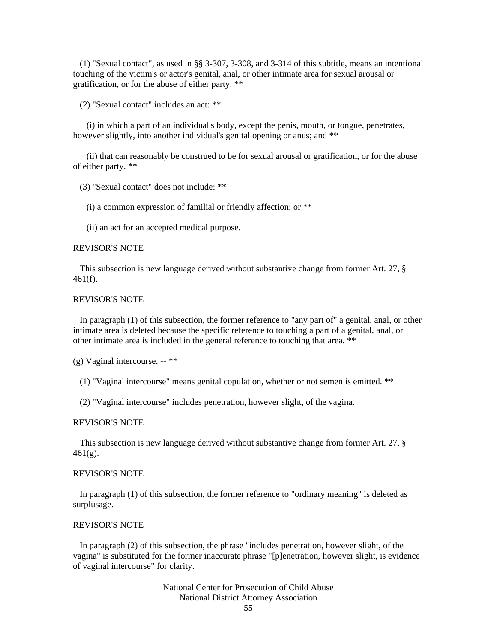(1) "Sexual contact", as used in §§ 3-307, 3-308, and 3-314 of this subtitle, means an intentional touching of the victim's or actor's genital, anal, or other intimate area for sexual arousal or gratification, or for the abuse of either party. \*\*

(2) "Sexual contact" includes an act: \*\*

 (i) in which a part of an individual's body, except the penis, mouth, or tongue, penetrates, however slightly, into another individual's genital opening or anus; and \*\*

 (ii) that can reasonably be construed to be for sexual arousal or gratification, or for the abuse of either party. \*\*

(3) "Sexual contact" does not include: \*\*

(i) a common expression of familial or friendly affection; or \*\*

(ii) an act for an accepted medical purpose.

#### REVISOR'S NOTE

 This subsection is new language derived without substantive change from former Art. 27, §  $461(f)$ .

### REVISOR'S NOTE

 In paragraph (1) of this subsection, the former reference to "any part of" a genital, anal, or other intimate area is deleted because the specific reference to touching a part of a genital, anal, or other intimate area is included in the general reference to touching that area. \*\*

(g) Vaginal intercourse. -- \*\*

- (1) "Vaginal intercourse" means genital copulation, whether or not semen is emitted. \*\*
- (2) "Vaginal intercourse" includes penetration, however slight, of the vagina.

#### REVISOR'S NOTE

 This subsection is new language derived without substantive change from former Art. 27, §  $461(g)$ .

### REVISOR'S NOTE

 In paragraph (1) of this subsection, the former reference to "ordinary meaning" is deleted as surplusage.

#### REVISOR'S NOTE

 In paragraph (2) of this subsection, the phrase "includes penetration, however slight, of the vagina" is substituted for the former inaccurate phrase "[p]enetration, however slight, is evidence of vaginal intercourse" for clarity.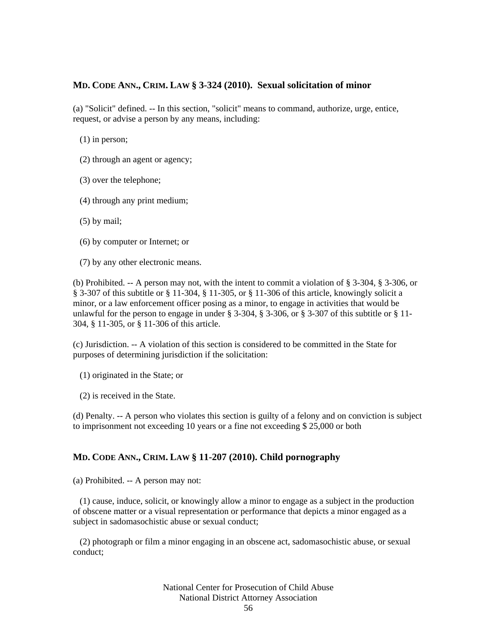## **MD. CODE ANN., CRIM. LAW § 3-324 (2010). Sexual solicitation of minor**

(a) "Solicit" defined. -- In this section, "solicit" means to command, authorize, urge, entice, request, or advise a person by any means, including:

(1) in person;

- (2) through an agent or agency;
- (3) over the telephone;
- (4) through any print medium;
- (5) by mail;
- (6) by computer or Internet; or
- (7) by any other electronic means.

(b) Prohibited. -- A person may not, with the intent to commit a violation of § 3-304, § 3-306, or § 3-307 of this subtitle or § 11-304, § 11-305, or § 11-306 of this article, knowingly solicit a minor, or a law enforcement officer posing as a minor, to engage in activities that would be unlawful for the person to engage in under § 3-304, § 3-306, or § 3-307 of this subtitle or § 11- 304, § 11-305, or § 11-306 of this article.

(c) Jurisdiction. -- A violation of this section is considered to be committed in the State for purposes of determining jurisdiction if the solicitation:

(1) originated in the State; or

(2) is received in the State.

(d) Penalty. -- A person who violates this section is guilty of a felony and on conviction is subject to imprisonment not exceeding 10 years or a fine not exceeding \$ 25,000 or both

## **MD. CODE ANN., CRIM. LAW § 11-207 (2010). Child pornography**

(a) Prohibited. -- A person may not:

 (1) cause, induce, solicit, or knowingly allow a minor to engage as a subject in the production of obscene matter or a visual representation or performance that depicts a minor engaged as a subject in sadomasochistic abuse or sexual conduct;

 (2) photograph or film a minor engaging in an obscene act, sadomasochistic abuse, or sexual conduct;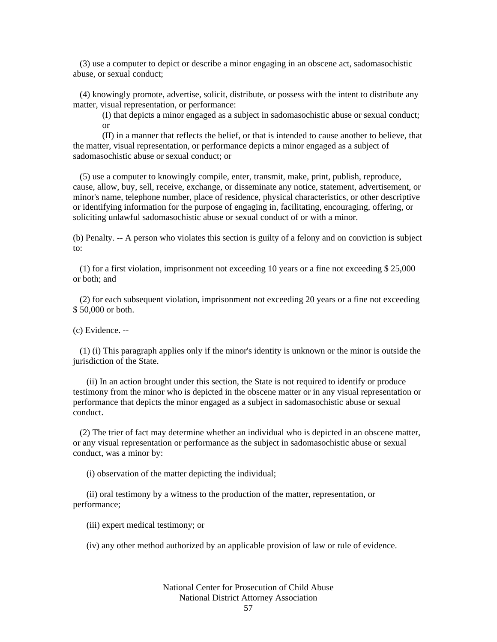(3) use a computer to depict or describe a minor engaging in an obscene act, sadomasochistic abuse, or sexual conduct;

 (4) knowingly promote, advertise, solicit, distribute, or possess with the intent to distribute any matter, visual representation, or performance:

(I) that depicts a minor engaged as a subject in sadomasochistic abuse or sexual conduct; or

(II) in a manner that reflects the belief, or that is intended to cause another to believe, that the matter, visual representation, or performance depicts a minor engaged as a subject of sadomasochistic abuse or sexual conduct; or

 (5) use a computer to knowingly compile, enter, transmit, make, print, publish, reproduce, cause, allow, buy, sell, receive, exchange, or disseminate any notice, statement, advertisement, or minor's name, telephone number, place of residence, physical characteristics, or other descriptive or identifying information for the purpose of engaging in, facilitating, encouraging, offering, or soliciting unlawful sadomasochistic abuse or sexual conduct of or with a minor.

(b) Penalty. -- A person who violates this section is guilty of a felony and on conviction is subject to:

 (1) for a first violation, imprisonment not exceeding 10 years or a fine not exceeding \$ 25,000 or both; and

 (2) for each subsequent violation, imprisonment not exceeding 20 years or a fine not exceeding \$50,000 or both.

(c) Evidence. --

 (1) (i) This paragraph applies only if the minor's identity is unknown or the minor is outside the jurisdiction of the State.

 (ii) In an action brought under this section, the State is not required to identify or produce testimony from the minor who is depicted in the obscene matter or in any visual representation or performance that depicts the minor engaged as a subject in sadomasochistic abuse or sexual conduct.

 (2) The trier of fact may determine whether an individual who is depicted in an obscene matter, or any visual representation or performance as the subject in sadomasochistic abuse or sexual conduct, was a minor by:

(i) observation of the matter depicting the individual;

 (ii) oral testimony by a witness to the production of the matter, representation, or performance;

(iii) expert medical testimony; or

(iv) any other method authorized by an applicable provision of law or rule of evidence.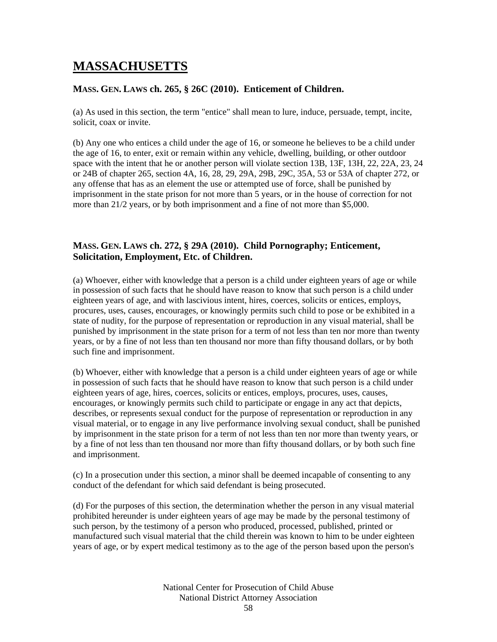# **MASSACHUSETTS**

## **MASS. GEN. LAWS ch. 265, § 26C (2010). Enticement of Children.**

(a) As used in this section, the term "entice" shall mean to lure, induce, persuade, tempt, incite, solicit, coax or invite.

(b) Any one who entices a child under the age of 16, or someone he believes to be a child under the age of 16, to enter, exit or remain within any vehicle, dwelling, building, or other outdoor space with the intent that he or another person will violate section 13B, 13F, 13H, 22, 22A, 23, 24 or 24B of chapter 265, section 4A, 16, 28, 29, 29A, 29B, 29C, 35A, 53 or 53A of chapter 272, or any offense that has as an element the use or attempted use of force, shall be punished by imprisonment in the state prison for not more than 5 years, or in the house of correction for not more than 21/2 years, or by both imprisonment and a fine of not more than \$5,000.

# **MASS. GEN. LAWS ch. 272, § 29A (2010). Child Pornography; Enticement, Solicitation, Employment, Etc. of Children.**

(a) Whoever, either with knowledge that a person is a child under eighteen years of age or while in possession of such facts that he should have reason to know that such person is a child under eighteen years of age, and with lascivious intent, hires, coerces, solicits or entices, employs, procures, uses, causes, encourages, or knowingly permits such child to pose or be exhibited in a state of nudity, for the purpose of representation or reproduction in any visual material, shall be punished by imprisonment in the state prison for a term of not less than ten nor more than twenty years, or by a fine of not less than ten thousand nor more than fifty thousand dollars, or by both such fine and imprisonment.

(b) Whoever, either with knowledge that a person is a child under eighteen years of age or while in possession of such facts that he should have reason to know that such person is a child under eighteen years of age, hires, coerces, solicits or entices, employs, procures, uses, causes, encourages, or knowingly permits such child to participate or engage in any act that depicts, describes, or represents sexual conduct for the purpose of representation or reproduction in any visual material, or to engage in any live performance involving sexual conduct, shall be punished by imprisonment in the state prison for a term of not less than ten nor more than twenty years, or by a fine of not less than ten thousand nor more than fifty thousand dollars, or by both such fine and imprisonment.

(c) In a prosecution under this section, a minor shall be deemed incapable of consenting to any conduct of the defendant for which said defendant is being prosecuted.

(d) For the purposes of this section, the determination whether the person in any visual material prohibited hereunder is under eighteen years of age may be made by the personal testimony of such person, by the testimony of a person who produced, processed, published, printed or manufactured such visual material that the child therein was known to him to be under eighteen years of age, or by expert medical testimony as to the age of the person based upon the person's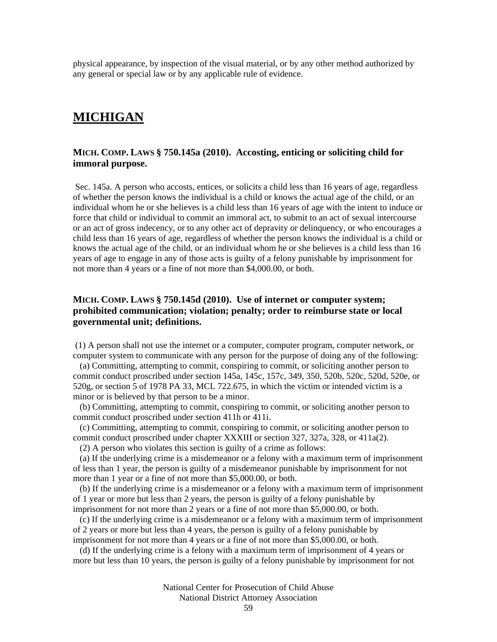physical appearance, by inspection of the visual material, or by any other method authorized by any general or special law or by any applicable rule of evidence.

# **MICHIGAN**

## **MICH. COMP. LAWS § 750.145a (2010). Accosting, enticing or soliciting child for immoral purpose.**

 Sec. 145a. A person who accosts, entices, or solicits a child less than 16 years of age, regardless of whether the person knows the individual is a child or knows the actual age of the child, or an individual whom he or she believes is a child less than 16 years of age with the intent to induce or force that child or individual to commit an immoral act, to submit to an act of sexual intercourse or an act of gross indecency, or to any other act of depravity or delinquency, or who encourages a child less than 16 years of age, regardless of whether the person knows the individual is a child or knows the actual age of the child, or an individual whom he or she believes is a child less than 16 years of age to engage in any of those acts is guilty of a felony punishable by imprisonment for not more than 4 years or a fine of not more than \$4,000.00, or both.

## **MICH. COMP. LAWS § 750.145d (2010). Use of internet or computer system; prohibited communication; violation; penalty; order to reimburse state or local governmental unit; definitions.**

 (1) A person shall not use the internet or a computer, computer program, computer network, or computer system to communicate with any person for the purpose of doing any of the following:

 (a) Committing, attempting to commit, conspiring to commit, or soliciting another person to commit conduct proscribed under section 145a, 145c, 157c, 349, 350, 520b, 520c, 520d, 520e, or 520g, or section 5 of 1978 PA 33, MCL 722.675, in which the victim or intended victim is a minor or is believed by that person to be a minor.

 (b) Committing, attempting to commit, conspiring to commit, or soliciting another person to commit conduct proscribed under section 411h or 411i.

 (c) Committing, attempting to commit, conspiring to commit, or soliciting another person to commit conduct proscribed under chapter XXXIII or section 327, 327a, 328, or 411a(2).

(2) A person who violates this section is guilty of a crime as follows:

 (a) If the underlying crime is a misdemeanor or a felony with a maximum term of imprisonment of less than 1 year, the person is guilty of a misdemeanor punishable by imprisonment for not more than 1 year or a fine of not more than \$5,000.00, or both.

 (b) If the underlying crime is a misdemeanor or a felony with a maximum term of imprisonment of 1 year or more but less than 2 years, the person is guilty of a felony punishable by imprisonment for not more than 2 years or a fine of not more than \$5,000.00, or both.

 (c) If the underlying crime is a misdemeanor or a felony with a maximum term of imprisonment of 2 years or more but less than 4 years, the person is guilty of a felony punishable by imprisonment for not more than 4 years or a fine of not more than \$5,000.00, or both.

 (d) If the underlying crime is a felony with a maximum term of imprisonment of 4 years or more but less than 10 years, the person is guilty of a felony punishable by imprisonment for not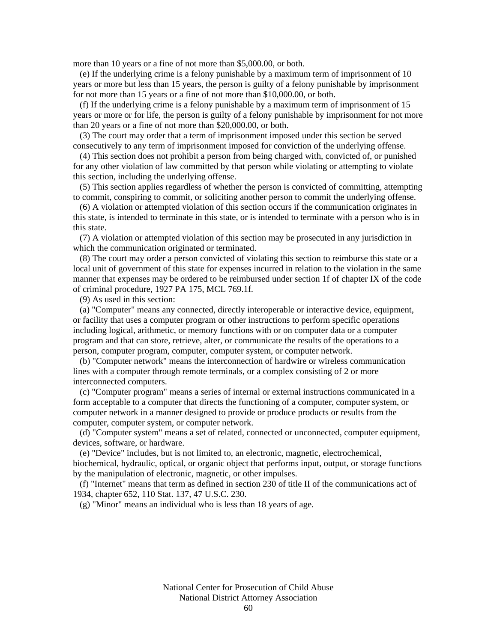more than 10 years or a fine of not more than \$5,000.00, or both.

 (e) If the underlying crime is a felony punishable by a maximum term of imprisonment of 10 years or more but less than 15 years, the person is guilty of a felony punishable by imprisonment for not more than 15 years or a fine of not more than \$10,000.00, or both.

 (f) If the underlying crime is a felony punishable by a maximum term of imprisonment of 15 years or more or for life, the person is guilty of a felony punishable by imprisonment for not more than 20 years or a fine of not more than \$20,000.00, or both.

 (3) The court may order that a term of imprisonment imposed under this section be served consecutively to any term of imprisonment imposed for conviction of the underlying offense.

 (4) This section does not prohibit a person from being charged with, convicted of, or punished for any other violation of law committed by that person while violating or attempting to violate this section, including the underlying offense.

 (5) This section applies regardless of whether the person is convicted of committing, attempting to commit, conspiring to commit, or soliciting another person to commit the underlying offense.

 (6) A violation or attempted violation of this section occurs if the communication originates in this state, is intended to terminate in this state, or is intended to terminate with a person who is in this state.

 (7) A violation or attempted violation of this section may be prosecuted in any jurisdiction in which the communication originated or terminated.

 (8) The court may order a person convicted of violating this section to reimburse this state or a local unit of government of this state for expenses incurred in relation to the violation in the same manner that expenses may be ordered to be reimbursed under section 1f of chapter IX of the code of criminal procedure, 1927 PA 175, MCL 769.1f.

(9) As used in this section:

 (a) "Computer" means any connected, directly interoperable or interactive device, equipment, or facility that uses a computer program or other instructions to perform specific operations including logical, arithmetic, or memory functions with or on computer data or a computer program and that can store, retrieve, alter, or communicate the results of the operations to a person, computer program, computer, computer system, or computer network.

 (b) "Computer network" means the interconnection of hardwire or wireless communication lines with a computer through remote terminals, or a complex consisting of 2 or more interconnected computers.

 (c) "Computer program" means a series of internal or external instructions communicated in a form acceptable to a computer that directs the functioning of a computer, computer system, or computer network in a manner designed to provide or produce products or results from the computer, computer system, or computer network.

 (d) "Computer system" means a set of related, connected or unconnected, computer equipment, devices, software, or hardware.

 (e) "Device" includes, but is not limited to, an electronic, magnetic, electrochemical, biochemical, hydraulic, optical, or organic object that performs input, output, or storage functions by the manipulation of electronic, magnetic, or other impulses.

 (f) "Internet" means that term as defined in section 230 of title II of the communications act of 1934, chapter 652, 110 Stat. 137, 47 U.S.C. 230.

(g) "Minor" means an individual who is less than 18 years of age.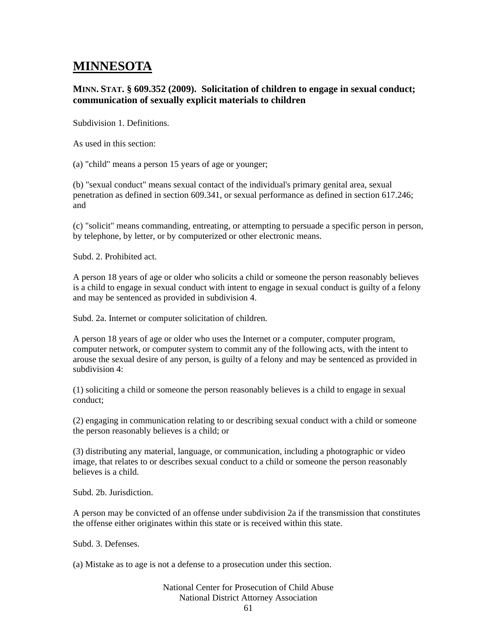# **MINNESOTA**

# **MINN. STAT. § 609.352 (2009). Solicitation of children to engage in sexual conduct; communication of sexually explicit materials to children**

Subdivision 1. Definitions.

As used in this section:

(a) "child" means a person 15 years of age or younger;

(b) "sexual conduct" means sexual contact of the individual's primary genital area, sexual penetration as defined in section 609.341, or sexual performance as defined in section 617.246; and

(c) "solicit" means commanding, entreating, or attempting to persuade a specific person in person, by telephone, by letter, or by computerized or other electronic means.

Subd. 2. Prohibited act.

A person 18 years of age or older who solicits a child or someone the person reasonably believes is a child to engage in sexual conduct with intent to engage in sexual conduct is guilty of a felony and may be sentenced as provided in subdivision 4.

Subd. 2a. Internet or computer solicitation of children.

A person 18 years of age or older who uses the Internet or a computer, computer program, computer network, or computer system to commit any of the following acts, with the intent to arouse the sexual desire of any person, is guilty of a felony and may be sentenced as provided in subdivision 4:

(1) soliciting a child or someone the person reasonably believes is a child to engage in sexual conduct;

(2) engaging in communication relating to or describing sexual conduct with a child or someone the person reasonably believes is a child; or

(3) distributing any material, language, or communication, including a photographic or video image, that relates to or describes sexual conduct to a child or someone the person reasonably believes is a child.

Subd. 2b. Jurisdiction.

A person may be convicted of an offense under subdivision 2a if the transmission that constitutes the offense either originates within this state or is received within this state.

Subd. 3. Defenses.

(a) Mistake as to age is not a defense to a prosecution under this section.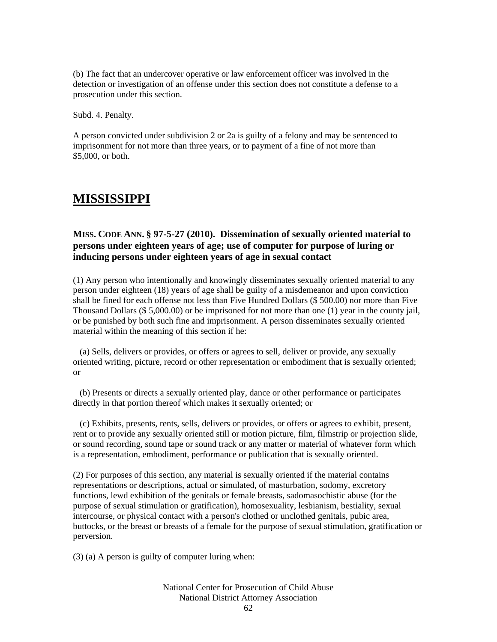(b) The fact that an undercover operative or law enforcement officer was involved in the detection or investigation of an offense under this section does not constitute a defense to a prosecution under this section.

Subd. 4. Penalty.

A person convicted under subdivision 2 or 2a is guilty of a felony and may be sentenced to imprisonment for not more than three years, or to payment of a fine of not more than \$5,000, or both.

# **MISSISSIPPI**

## **MISS. CODE ANN. § 97-5-27 (2010). Dissemination of sexually oriented material to persons under eighteen years of age; use of computer for purpose of luring or inducing persons under eighteen years of age in sexual contact**

(1) Any person who intentionally and knowingly disseminates sexually oriented material to any person under eighteen (18) years of age shall be guilty of a misdemeanor and upon conviction shall be fined for each offense not less than Five Hundred Dollars (\$ 500.00) nor more than Five Thousand Dollars (\$ 5,000.00) or be imprisoned for not more than one (1) year in the county jail, or be punished by both such fine and imprisonment. A person disseminates sexually oriented material within the meaning of this section if he:

 (a) Sells, delivers or provides, or offers or agrees to sell, deliver or provide, any sexually oriented writing, picture, record or other representation or embodiment that is sexually oriented; or

 (b) Presents or directs a sexually oriented play, dance or other performance or participates directly in that portion thereof which makes it sexually oriented; or

 (c) Exhibits, presents, rents, sells, delivers or provides, or offers or agrees to exhibit, present, rent or to provide any sexually oriented still or motion picture, film, filmstrip or projection slide, or sound recording, sound tape or sound track or any matter or material of whatever form which is a representation, embodiment, performance or publication that is sexually oriented.

(2) For purposes of this section, any material is sexually oriented if the material contains representations or descriptions, actual or simulated, of masturbation, sodomy, excretory functions, lewd exhibition of the genitals or female breasts, sadomasochistic abuse (for the purpose of sexual stimulation or gratification), homosexuality, lesbianism, bestiality, sexual intercourse, or physical contact with a person's clothed or unclothed genitals, pubic area, buttocks, or the breast or breasts of a female for the purpose of sexual stimulation, gratification or perversion.

(3) (a) A person is guilty of computer luring when: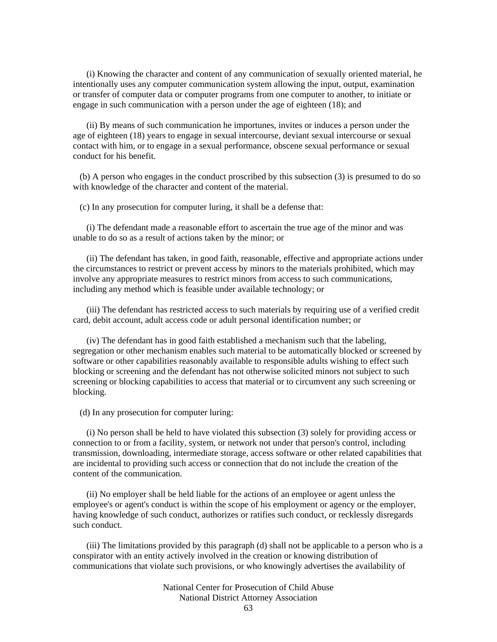(i) Knowing the character and content of any communication of sexually oriented material, he intentionally uses any computer communication system allowing the input, output, examination or transfer of computer data or computer programs from one computer to another, to initiate or engage in such communication with a person under the age of eighteen (18); and

 (ii) By means of such communication he importunes, invites or induces a person under the age of eighteen (18) years to engage in sexual intercourse, deviant sexual intercourse or sexual contact with him, or to engage in a sexual performance, obscene sexual performance or sexual conduct for his benefit.

 (b) A person who engages in the conduct proscribed by this subsection (3) is presumed to do so with knowledge of the character and content of the material.

(c) In any prosecution for computer luring, it shall be a defense that:

 (i) The defendant made a reasonable effort to ascertain the true age of the minor and was unable to do so as a result of actions taken by the minor; or

 (ii) The defendant has taken, in good faith, reasonable, effective and appropriate actions under the circumstances to restrict or prevent access by minors to the materials prohibited, which may involve any appropriate measures to restrict minors from access to such communications, including any method which is feasible under available technology; or

 (iii) The defendant has restricted access to such materials by requiring use of a verified credit card, debit account, adult access code or adult personal identification number; or

 (iv) The defendant has in good faith established a mechanism such that the labeling, segregation or other mechanism enables such material to be automatically blocked or screened by software or other capabilities reasonably available to responsible adults wishing to effect such blocking or screening and the defendant has not otherwise solicited minors not subject to such screening or blocking capabilities to access that material or to circumvent any such screening or blocking.

(d) In any prosecution for computer luring:

 (i) No person shall be held to have violated this subsection (3) solely for providing access or connection to or from a facility, system, or network not under that person's control, including transmission, downloading, intermediate storage, access software or other related capabilities that are incidental to providing such access or connection that do not include the creation of the content of the communication.

 (ii) No employer shall be held liable for the actions of an employee or agent unless the employee's or agent's conduct is within the scope of his employment or agency or the employer, having knowledge of such conduct, authorizes or ratifies such conduct, or recklessly disregards such conduct.

 (iii) The limitations provided by this paragraph (d) shall not be applicable to a person who is a conspirator with an entity actively involved in the creation or knowing distribution of communications that violate such provisions, or who knowingly advertises the availability of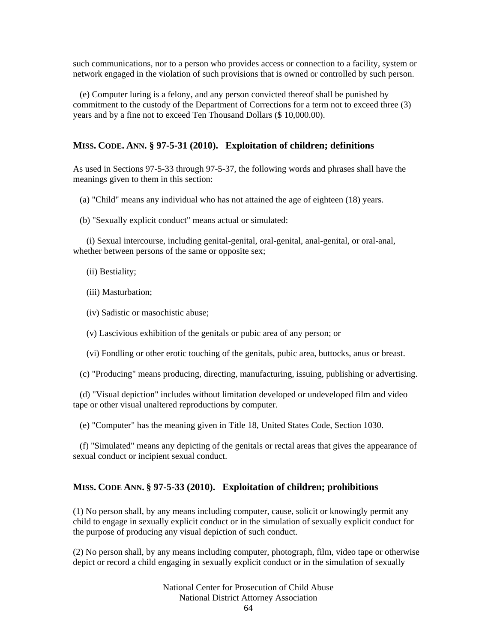such communications, nor to a person who provides access or connection to a facility, system or network engaged in the violation of such provisions that is owned or controlled by such person.

 (e) Computer luring is a felony, and any person convicted thereof shall be punished by commitment to the custody of the Department of Corrections for a term not to exceed three (3) years and by a fine not to exceed Ten Thousand Dollars (\$ 10,000.00).

### **MISS. CODE. ANN. § 97-5-31 (2010). Exploitation of children; definitions**

As used in Sections 97-5-33 through 97-5-37, the following words and phrases shall have the meanings given to them in this section:

(a) "Child" means any individual who has not attained the age of eighteen (18) years.

(b) "Sexually explicit conduct" means actual or simulated:

 (i) Sexual intercourse, including genital-genital, oral-genital, anal-genital, or oral-anal, whether between persons of the same or opposite sex;

(ii) Bestiality;

(iii) Masturbation;

- (iv) Sadistic or masochistic abuse;
- (v) Lascivious exhibition of the genitals or pubic area of any person; or
- (vi) Fondling or other erotic touching of the genitals, pubic area, buttocks, anus or breast.

(c) "Producing" means producing, directing, manufacturing, issuing, publishing or advertising.

 (d) "Visual depiction" includes without limitation developed or undeveloped film and video tape or other visual unaltered reproductions by computer.

(e) "Computer" has the meaning given in Title 18, United States Code, Section 1030.

 (f) "Simulated" means any depicting of the genitals or rectal areas that gives the appearance of sexual conduct or incipient sexual conduct.

## **MISS. CODE ANN. § 97-5-33 (2010). Exploitation of children; prohibitions**

(1) No person shall, by any means including computer, cause, solicit or knowingly permit any child to engage in sexually explicit conduct or in the simulation of sexually explicit conduct for the purpose of producing any visual depiction of such conduct.

(2) No person shall, by any means including computer, photograph, film, video tape or otherwise depict or record a child engaging in sexually explicit conduct or in the simulation of sexually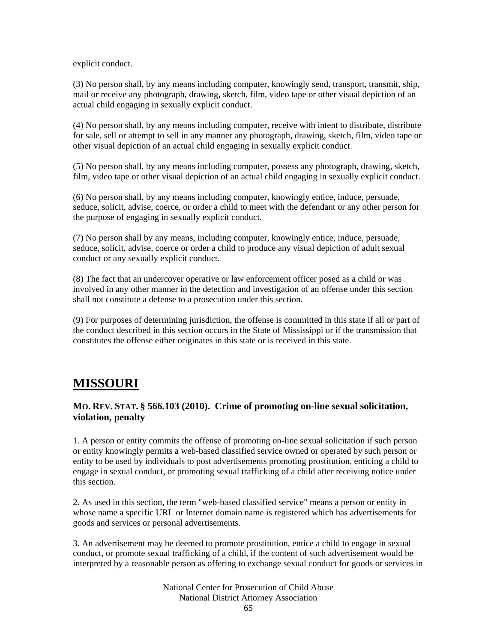explicit conduct.

(3) No person shall, by any means including computer, knowingly send, transport, transmit, ship, mail or receive any photograph, drawing, sketch, film, video tape or other visual depiction of an actual child engaging in sexually explicit conduct.

(4) No person shall, by any means including computer, receive with intent to distribute, distribute for sale, sell or attempt to sell in any manner any photograph, drawing, sketch, film, video tape or other visual depiction of an actual child engaging in sexually explicit conduct.

(5) No person shall, by any means including computer, possess any photograph, drawing, sketch, film, video tape or other visual depiction of an actual child engaging in sexually explicit conduct.

(6) No person shall, by any means including computer, knowingly entice, induce, persuade, seduce, solicit, advise, coerce, or order a child to meet with the defendant or any other person for the purpose of engaging in sexually explicit conduct.

(7) No person shall by any means, including computer, knowingly entice, induce, persuade, seduce, solicit, advise, coerce or order a child to produce any visual depiction of adult sexual conduct or any sexually explicit conduct.

(8) The fact that an undercover operative or law enforcement officer posed as a child or was involved in any other manner in the detection and investigation of an offense under this section shall not constitute a defense to a prosecution under this section.

(9) For purposes of determining jurisdiction, the offense is committed in this state if all or part of the conduct described in this section occurs in the State of Mississippi or if the transmission that constitutes the offense either originates in this state or is received in this state.

# **MISSOURI**

# **MO. REV. STAT. § 566.103 (2010). Crime of promoting on-line sexual solicitation, violation, penalty**

1. A person or entity commits the offense of promoting on-line sexual solicitation if such person or entity knowingly permits a web-based classified service owned or operated by such person or entity to be used by individuals to post advertisements promoting prostitution, enticing a child to engage in sexual conduct, or promoting sexual trafficking of a child after receiving notice under this section.

2. As used in this section, the term "web-based classified service" means a person or entity in whose name a specific URL or Internet domain name is registered which has advertisements for goods and services or personal advertisements.

3. An advertisement may be deemed to promote prostitution, entice a child to engage in sexual conduct, or promote sexual trafficking of a child, if the content of such advertisement would be interpreted by a reasonable person as offering to exchange sexual conduct for goods or services in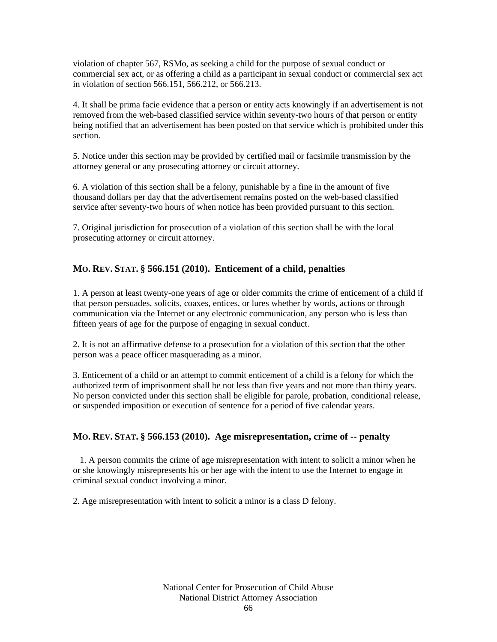violation of chapter 567, RSMo, as seeking a child for the purpose of sexual conduct or commercial sex act, or as offering a child as a participant in sexual conduct or commercial sex act in violation of section 566.151, 566.212, or 566.213.

4. It shall be prima facie evidence that a person or entity acts knowingly if an advertisement is not removed from the web-based classified service within seventy-two hours of that person or entity being notified that an advertisement has been posted on that service which is prohibited under this section.

5. Notice under this section may be provided by certified mail or facsimile transmission by the attorney general or any prosecuting attorney or circuit attorney.

6. A violation of this section shall be a felony, punishable by a fine in the amount of five thousand dollars per day that the advertisement remains posted on the web-based classified service after seventy-two hours of when notice has been provided pursuant to this section.

7. Original jurisdiction for prosecution of a violation of this section shall be with the local prosecuting attorney or circuit attorney.

# **MO. REV. STAT. § 566.151 (2010). Enticement of a child, penalties**

1. A person at least twenty-one years of age or older commits the crime of enticement of a child if that person persuades, solicits, coaxes, entices, or lures whether by words, actions or through communication via the Internet or any electronic communication, any person who is less than fifteen years of age for the purpose of engaging in sexual conduct.

2. It is not an affirmative defense to a prosecution for a violation of this section that the other person was a peace officer masquerading as a minor.

3. Enticement of a child or an attempt to commit enticement of a child is a felony for which the authorized term of imprisonment shall be not less than five years and not more than thirty years. No person convicted under this section shall be eligible for parole, probation, conditional release, or suspended imposition or execution of sentence for a period of five calendar years.

## **MO. REV. STAT. § 566.153 (2010). Age misrepresentation, crime of -- penalty**

 1. A person commits the crime of age misrepresentation with intent to solicit a minor when he or she knowingly misrepresents his or her age with the intent to use the Internet to engage in criminal sexual conduct involving a minor.

2. Age misrepresentation with intent to solicit a minor is a class D felony.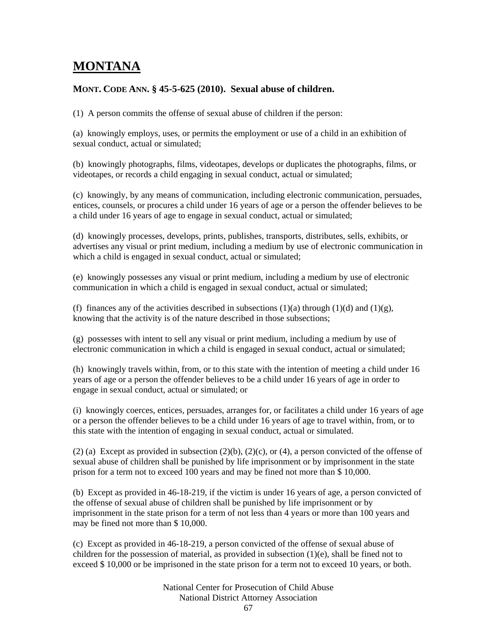# **MONTANA**

# **MONT. CODE ANN. § 45-5-625 (2010). Sexual abuse of children.**

(1) A person commits the offense of sexual abuse of children if the person:

(a) knowingly employs, uses, or permits the employment or use of a child in an exhibition of sexual conduct, actual or simulated;

(b) knowingly photographs, films, videotapes, develops or duplicates the photographs, films, or videotapes, or records a child engaging in sexual conduct, actual or simulated;

(c) knowingly, by any means of communication, including electronic communication, persuades, entices, counsels, or procures a child under 16 years of age or a person the offender believes to be a child under 16 years of age to engage in sexual conduct, actual or simulated;

(d) knowingly processes, develops, prints, publishes, transports, distributes, sells, exhibits, or advertises any visual or print medium, including a medium by use of electronic communication in which a child is engaged in sexual conduct, actual or simulated;

(e) knowingly possesses any visual or print medium, including a medium by use of electronic communication in which a child is engaged in sexual conduct, actual or simulated;

(f) finances any of the activities described in subsections  $(1)(a)$  through  $(1)(d)$  and  $(1)(g)$ , knowing that the activity is of the nature described in those subsections;

(g) possesses with intent to sell any visual or print medium, including a medium by use of electronic communication in which a child is engaged in sexual conduct, actual or simulated;

(h) knowingly travels within, from, or to this state with the intention of meeting a child under 16 years of age or a person the offender believes to be a child under 16 years of age in order to engage in sexual conduct, actual or simulated; or

(i) knowingly coerces, entices, persuades, arranges for, or facilitates a child under 16 years of age or a person the offender believes to be a child under 16 years of age to travel within, from, or to this state with the intention of engaging in sexual conduct, actual or simulated.

 $(2)$  (a) Except as provided in subsection  $(2)(b)$ ,  $(2)(c)$ , or  $(4)$ , a person convicted of the offense of sexual abuse of children shall be punished by life imprisonment or by imprisonment in the state prison for a term not to exceed 100 years and may be fined not more than \$ 10,000.

(b) Except as provided in 46-18-219, if the victim is under 16 years of age, a person convicted of the offense of sexual abuse of children shall be punished by life imprisonment or by imprisonment in the state prison for a term of not less than 4 years or more than 100 years and may be fined not more than \$ 10,000.

(c) Except as provided in 46-18-219, a person convicted of the offense of sexual abuse of children for the possession of material, as provided in subsection (1)(e), shall be fined not to exceed \$ 10,000 or be imprisoned in the state prison for a term not to exceed 10 years, or both.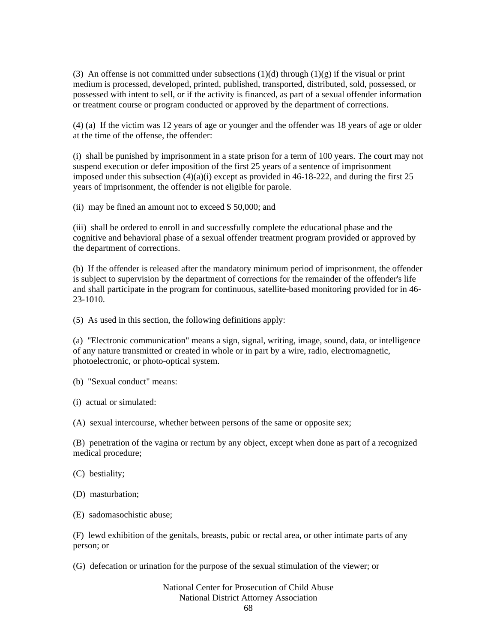(3) An offense is not committed under subsections (1)(d) through (1)(g) if the visual or print medium is processed, developed, printed, published, transported, distributed, sold, possessed, or possessed with intent to sell, or if the activity is financed, as part of a sexual offender information or treatment course or program conducted or approved by the department of corrections.

(4) (a) If the victim was 12 years of age or younger and the offender was 18 years of age or older at the time of the offense, the offender:

(i) shall be punished by imprisonment in a state prison for a term of 100 years. The court may not suspend execution or defer imposition of the first 25 years of a sentence of imprisonment imposed under this subsection  $(4)(a)(i)$  except as provided in 46-18-222, and during the first 25 years of imprisonment, the offender is not eligible for parole.

(ii) may be fined an amount not to exceed \$ 50,000; and

(iii) shall be ordered to enroll in and successfully complete the educational phase and the cognitive and behavioral phase of a sexual offender treatment program provided or approved by the department of corrections.

(b) If the offender is released after the mandatory minimum period of imprisonment, the offender is subject to supervision by the department of corrections for the remainder of the offender's life and shall participate in the program for continuous, satellite-based monitoring provided for in 46- 23-1010.

(5) As used in this section, the following definitions apply:

(a) "Electronic communication" means a sign, signal, writing, image, sound, data, or intelligence of any nature transmitted or created in whole or in part by a wire, radio, electromagnetic, photoelectronic, or photo-optical system.

(b) "Sexual conduct" means:

(i) actual or simulated:

(A) sexual intercourse, whether between persons of the same or opposite sex;

(B) penetration of the vagina or rectum by any object, except when done as part of a recognized medical procedure;

(C) bestiality;

(D) masturbation;

(E) sadomasochistic abuse;

(F) lewd exhibition of the genitals, breasts, pubic or rectal area, or other intimate parts of any person; or

(G) defecation or urination for the purpose of the sexual stimulation of the viewer; or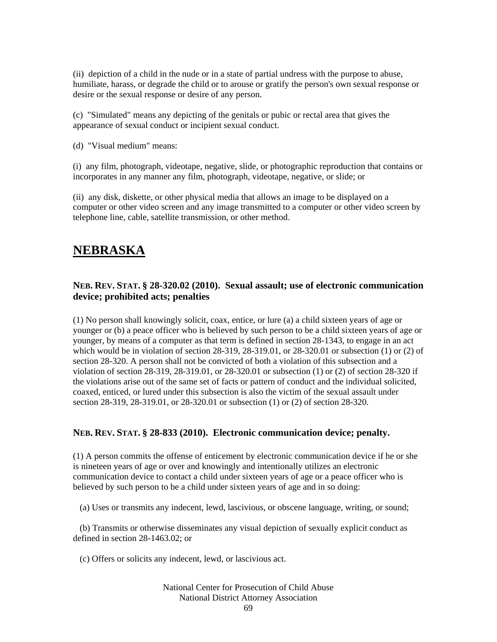(ii) depiction of a child in the nude or in a state of partial undress with the purpose to abuse, humiliate, harass, or degrade the child or to arouse or gratify the person's own sexual response or desire or the sexual response or desire of any person.

(c) "Simulated" means any depicting of the genitals or pubic or rectal area that gives the appearance of sexual conduct or incipient sexual conduct.

(d) "Visual medium" means:

(i) any film, photograph, videotape, negative, slide, or photographic reproduction that contains or incorporates in any manner any film, photograph, videotape, negative, or slide; or

(ii) any disk, diskette, or other physical media that allows an image to be displayed on a computer or other video screen and any image transmitted to a computer or other video screen by telephone line, cable, satellite transmission, or other method.

# **NEBRASKA**

## **NEB. REV. STAT. § 28-320.02 (2010). Sexual assault; use of electronic communication device; prohibited acts; penalties**

(1) No person shall knowingly solicit, coax, entice, or lure (a) a child sixteen years of age or younger or (b) a peace officer who is believed by such person to be a child sixteen years of age or younger, by means of a computer as that term is defined in section 28-1343, to engage in an act which would be in violation of section  $28-319$ ,  $28-319.01$ , or  $28-320.01$  or subsection  $(1)$  or  $(2)$  of section 28-320. A person shall not be convicted of both a violation of this subsection and a violation of section 28-319, 28-319.01, or 28-320.01 or subsection (1) or (2) of section 28-320 if the violations arise out of the same set of facts or pattern of conduct and the individual solicited, coaxed, enticed, or lured under this subsection is also the victim of the sexual assault under section 28-319, 28-319.01, or 28-320.01 or subsection (1) or (2) of section 28-320.

## **NEB. REV. STAT. § 28-833 (2010). Electronic communication device; penalty.**

(1) A person commits the offense of enticement by electronic communication device if he or she is nineteen years of age or over and knowingly and intentionally utilizes an electronic communication device to contact a child under sixteen years of age or a peace officer who is believed by such person to be a child under sixteen years of age and in so doing:

(a) Uses or transmits any indecent, lewd, lascivious, or obscene language, writing, or sound;

 (b) Transmits or otherwise disseminates any visual depiction of sexually explicit conduct as defined in section 28-1463.02; or

(c) Offers or solicits any indecent, lewd, or lascivious act.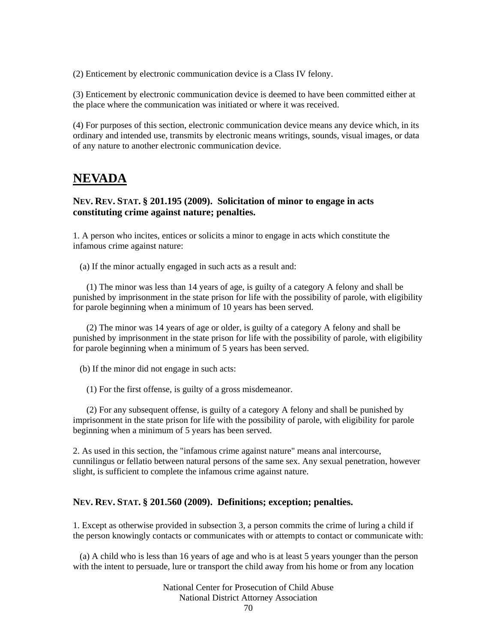(2) Enticement by electronic communication device is a Class IV felony.

(3) Enticement by electronic communication device is deemed to have been committed either at the place where the communication was initiated or where it was received.

(4) For purposes of this section, electronic communication device means any device which, in its ordinary and intended use, transmits by electronic means writings, sounds, visual images, or data of any nature to another electronic communication device.

# **NEVADA**

## **NEV. REV. STAT. § 201.195 (2009). Solicitation of minor to engage in acts constituting crime against nature; penalties.**

1. A person who incites, entices or solicits a minor to engage in acts which constitute the infamous crime against nature:

(a) If the minor actually engaged in such acts as a result and:

 (1) The minor was less than 14 years of age, is guilty of a category A felony and shall be punished by imprisonment in the state prison for life with the possibility of parole, with eligibility for parole beginning when a minimum of 10 years has been served.

 (2) The minor was 14 years of age or older, is guilty of a category A felony and shall be punished by imprisonment in the state prison for life with the possibility of parole, with eligibility for parole beginning when a minimum of 5 years has been served.

(b) If the minor did not engage in such acts:

(1) For the first offense, is guilty of a gross misdemeanor.

 (2) For any subsequent offense, is guilty of a category A felony and shall be punished by imprisonment in the state prison for life with the possibility of parole, with eligibility for parole beginning when a minimum of 5 years has been served.

2. As used in this section, the "infamous crime against nature" means anal intercourse, cunnilingus or fellatio between natural persons of the same sex. Any sexual penetration, however slight, is sufficient to complete the infamous crime against nature.

## **NEV. REV. STAT. § 201.560 (2009). Definitions; exception; penalties.**

1. Except as otherwise provided in subsection 3, a person commits the crime of luring a child if the person knowingly contacts or communicates with or attempts to contact or communicate with:

 (a) A child who is less than 16 years of age and who is at least 5 years younger than the person with the intent to persuade, lure or transport the child away from his home or from any location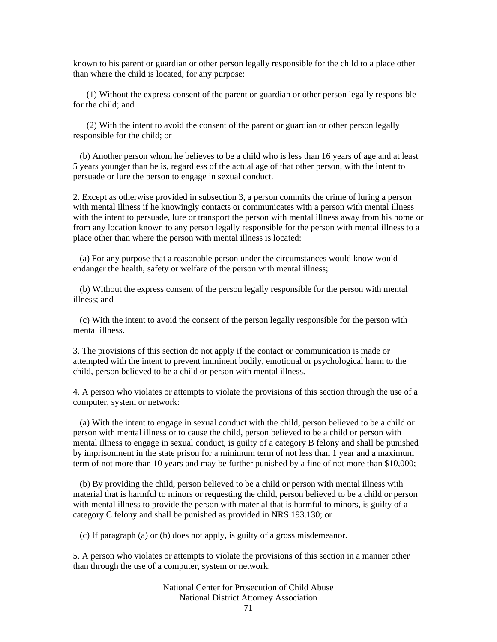known to his parent or guardian or other person legally responsible for the child to a place other than where the child is located, for any purpose:

 (1) Without the express consent of the parent or guardian or other person legally responsible for the child; and

 (2) With the intent to avoid the consent of the parent or guardian or other person legally responsible for the child; or

 (b) Another person whom he believes to be a child who is less than 16 years of age and at least 5 years younger than he is, regardless of the actual age of that other person, with the intent to persuade or lure the person to engage in sexual conduct.

2. Except as otherwise provided in subsection 3, a person commits the crime of luring a person with mental illness if he knowingly contacts or communicates with a person with mental illness with the intent to persuade, lure or transport the person with mental illness away from his home or from any location known to any person legally responsible for the person with mental illness to a place other than where the person with mental illness is located:

 (a) For any purpose that a reasonable person under the circumstances would know would endanger the health, safety or welfare of the person with mental illness;

 (b) Without the express consent of the person legally responsible for the person with mental illness; and

 (c) With the intent to avoid the consent of the person legally responsible for the person with mental illness.

3. The provisions of this section do not apply if the contact or communication is made or attempted with the intent to prevent imminent bodily, emotional or psychological harm to the child, person believed to be a child or person with mental illness.

4. A person who violates or attempts to violate the provisions of this section through the use of a computer, system or network:

 (a) With the intent to engage in sexual conduct with the child, person believed to be a child or person with mental illness or to cause the child, person believed to be a child or person with mental illness to engage in sexual conduct, is guilty of a category B felony and shall be punished by imprisonment in the state prison for a minimum term of not less than 1 year and a maximum term of not more than 10 years and may be further punished by a fine of not more than \$10,000;

 (b) By providing the child, person believed to be a child or person with mental illness with material that is harmful to minors or requesting the child, person believed to be a child or person with mental illness to provide the person with material that is harmful to minors, is guilty of a category C felony and shall be punished as provided in NRS 193.130; or

(c) If paragraph (a) or (b) does not apply, is guilty of a gross misdemeanor.

5. A person who violates or attempts to violate the provisions of this section in a manner other than through the use of a computer, system or network: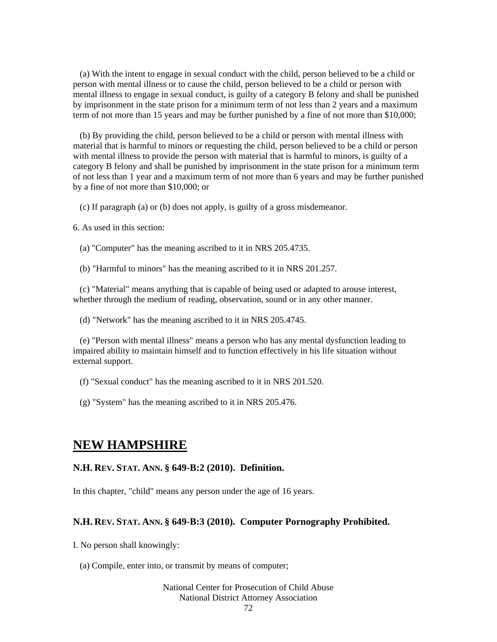(a) With the intent to engage in sexual conduct with the child, person believed to be a child or person with mental illness or to cause the child, person believed to be a child or person with mental illness to engage in sexual conduct, is guilty of a category B felony and shall be punished by imprisonment in the state prison for a minimum term of not less than 2 years and a maximum term of not more than 15 years and may be further punished by a fine of not more than \$10,000;

 (b) By providing the child, person believed to be a child or person with mental illness with material that is harmful to minors or requesting the child, person believed to be a child or person with mental illness to provide the person with material that is harmful to minors, is guilty of a category B felony and shall be punished by imprisonment in the state prison for a minimum term of not less than 1 year and a maximum term of not more than 6 years and may be further punished by a fine of not more than \$10,000; or

(c) If paragraph (a) or (b) does not apply, is guilty of a gross misdemeanor.

6. As used in this section:

- (a) "Computer" has the meaning ascribed to it in NRS 205.4735.
- (b) "Harmful to minors" has the meaning ascribed to it in NRS 201.257.

 (c) "Material" means anything that is capable of being used or adapted to arouse interest, whether through the medium of reading, observation, sound or in any other manner.

(d) "Network" has the meaning ascribed to it in NRS 205.4745.

 (e) "Person with mental illness" means a person who has any mental dysfunction leading to impaired ability to maintain himself and to function effectively in his life situation without external support.

- (f) "Sexual conduct" has the meaning ascribed to it in NRS 201.520.
- (g) "System" has the meaning ascribed to it in NRS 205.476.

# **NEW HAMPSHIRE**

### **N.H. REV. STAT. ANN. § 649-B:2 (2010). Definition.**

In this chapter, "child" means any person under the age of 16 years.

### **N.H. REV. STAT. ANN. § 649-B:3 (2010). Computer Pornography Prohibited.**

- I. No person shall knowingly:
	- (a) Compile, enter into, or transmit by means of computer;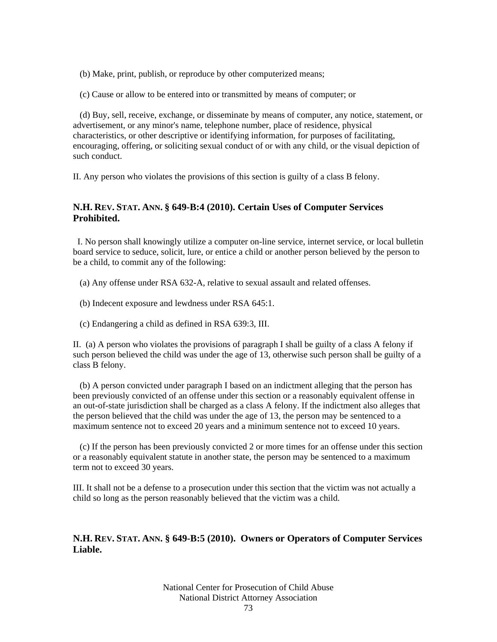(b) Make, print, publish, or reproduce by other computerized means;

(c) Cause or allow to be entered into or transmitted by means of computer; or

 (d) Buy, sell, receive, exchange, or disseminate by means of computer, any notice, statement, or advertisement, or any minor's name, telephone number, place of residence, physical characteristics, or other descriptive or identifying information, for purposes of facilitating, encouraging, offering, or soliciting sexual conduct of or with any child, or the visual depiction of such conduct.

II. Any person who violates the provisions of this section is guilty of a class B felony.

### **N.H. REV. STAT. ANN. § 649-B:4 (2010). Certain Uses of Computer Services Prohibited.**

 I. No person shall knowingly utilize a computer on-line service, internet service, or local bulletin board service to seduce, solicit, lure, or entice a child or another person believed by the person to be a child, to commit any of the following:

(a) Any offense under RSA 632-A, relative to sexual assault and related offenses.

(b) Indecent exposure and lewdness under RSA 645:1.

(c) Endangering a child as defined in RSA 639:3, III.

II. (a) A person who violates the provisions of paragraph I shall be guilty of a class A felony if such person believed the child was under the age of 13, otherwise such person shall be guilty of a class B felony.

 (b) A person convicted under paragraph I based on an indictment alleging that the person has been previously convicted of an offense under this section or a reasonably equivalent offense in an out-of-state jurisdiction shall be charged as a class A felony. If the indictment also alleges that the person believed that the child was under the age of 13, the person may be sentenced to a maximum sentence not to exceed 20 years and a minimum sentence not to exceed 10 years.

 (c) If the person has been previously convicted 2 or more times for an offense under this section or a reasonably equivalent statute in another state, the person may be sentenced to a maximum term not to exceed 30 years.

III. It shall not be a defense to a prosecution under this section that the victim was not actually a child so long as the person reasonably believed that the victim was a child.

### **N.H. REV. STAT. ANN. § 649-B:5 (2010). Owners or Operators of Computer Services Liable.**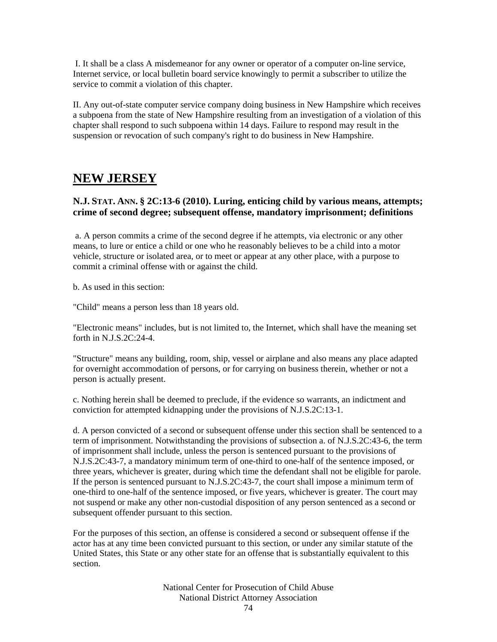I. It shall be a class A misdemeanor for any owner or operator of a computer on-line service, Internet service, or local bulletin board service knowingly to permit a subscriber to utilize the service to commit a violation of this chapter.

II. Any out-of-state computer service company doing business in New Hampshire which receives a subpoena from the state of New Hampshire resulting from an investigation of a violation of this chapter shall respond to such subpoena within 14 days. Failure to respond may result in the suspension or revocation of such company's right to do business in New Hampshire.

## **NEW JERSEY**

### **N.J. STAT. ANN. § 2C:13-6 (2010). Luring, enticing child by various means, attempts; crime of second degree; subsequent offense, mandatory imprisonment; definitions**

 a. A person commits a crime of the second degree if he attempts, via electronic or any other means, to lure or entice a child or one who he reasonably believes to be a child into a motor vehicle, structure or isolated area, or to meet or appear at any other place, with a purpose to commit a criminal offense with or against the child.

b. As used in this section:

"Child" means a person less than 18 years old.

"Electronic means" includes, but is not limited to, the Internet, which shall have the meaning set forth in N.J.S.2C:24-4.

"Structure" means any building, room, ship, vessel or airplane and also means any place adapted for overnight accommodation of persons, or for carrying on business therein, whether or not a person is actually present.

c. Nothing herein shall be deemed to preclude, if the evidence so warrants, an indictment and conviction for attempted kidnapping under the provisions of N.J.S.2C:13-1.

d. A person convicted of a second or subsequent offense under this section shall be sentenced to a term of imprisonment. Notwithstanding the provisions of subsection a. of N.J.S.2C:43-6, the term of imprisonment shall include, unless the person is sentenced pursuant to the provisions of N.J.S.2C:43-7, a mandatory minimum term of one-third to one-half of the sentence imposed, or three years, whichever is greater, during which time the defendant shall not be eligible for parole. If the person is sentenced pursuant to N.J.S.2C:43-7, the court shall impose a minimum term of one-third to one-half of the sentence imposed, or five years, whichever is greater. The court may not suspend or make any other non-custodial disposition of any person sentenced as a second or subsequent offender pursuant to this section.

For the purposes of this section, an offense is considered a second or subsequent offense if the actor has at any time been convicted pursuant to this section, or under any similar statute of the United States, this State or any other state for an offense that is substantially equivalent to this section.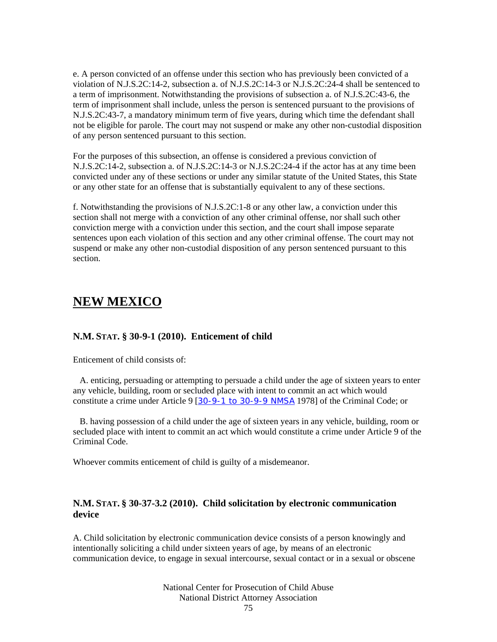e. A person convicted of an offense under this section who has previously been convicted of a violation of N.J.S.2C:14-2, subsection a. of N.J.S.2C:14-3 or N.J.S.2C:24-4 shall be sentenced to a term of imprisonment. Notwithstanding the provisions of subsection a. of N.J.S.2C:43-6, the term of imprisonment shall include, unless the person is sentenced pursuant to the provisions of N.J.S.2C:43-7, a mandatory minimum term of five years, during which time the defendant shall not be eligible for parole. The court may not suspend or make any other non-custodial disposition of any person sentenced pursuant to this section.

For the purposes of this subsection, an offense is considered a previous conviction of N.J.S.2C:14-2, subsection a. of N.J.S.2C:14-3 or N.J.S.2C:24-4 if the actor has at any time been convicted under any of these sections or under any similar statute of the United States, this State or any other state for an offense that is substantially equivalent to any of these sections.

f. Notwithstanding the provisions of N.J.S.2C:1-8 or any other law, a conviction under this section shall not merge with a conviction of any other criminal offense, nor shall such other conviction merge with a conviction under this section, and the court shall impose separate sentences upon each violation of this section and any other criminal offense. The court may not suspend or make any other non-custodial disposition of any person sentenced pursuant to this section.

## **NEW MEXICO**

### **N.M. STAT. § 30-9-1 (2010). Enticement of child**

Enticement of child consists of:

 A. enticing, persuading or attempting to persuade a child under the age of sixteen years to enter any vehicle, building, room or secluded place with intent to commit an act which would constitute a crime under Article 9 [30-9-1 to 30-9-9 NMSA 1978] of the Criminal Code; or

 B. having possession of a child under the age of sixteen years in any vehicle, building, room or secluded place with intent to commit an act which would constitute a crime under Article 9 of the Criminal Code.

Whoever commits enticement of child is guilty of a misdemeanor.

### **N.M. STAT. § 30-37-3.2 (2010). Child solicitation by electronic communication device**

A. Child solicitation by electronic communication device consists of a person knowingly and intentionally soliciting a child under sixteen years of age, by means of an electronic communication device, to engage in sexual intercourse, sexual contact or in a sexual or obscene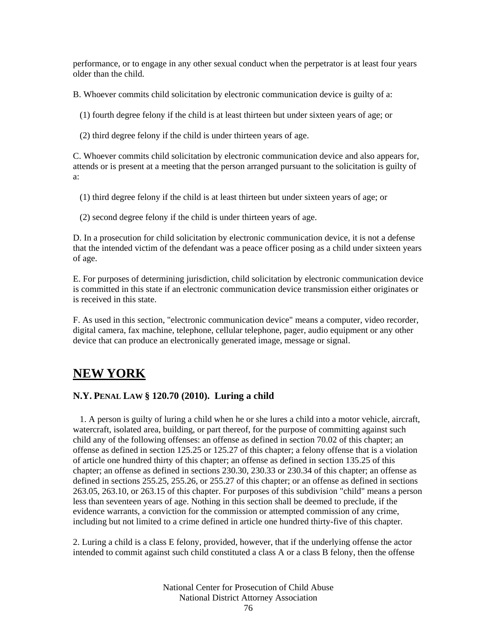performance, or to engage in any other sexual conduct when the perpetrator is at least four years older than the child.

B. Whoever commits child solicitation by electronic communication device is guilty of a:

(1) fourth degree felony if the child is at least thirteen but under sixteen years of age; or

(2) third degree felony if the child is under thirteen years of age.

C. Whoever commits child solicitation by electronic communication device and also appears for, attends or is present at a meeting that the person arranged pursuant to the solicitation is guilty of a:

(1) third degree felony if the child is at least thirteen but under sixteen years of age; or

(2) second degree felony if the child is under thirteen years of age.

D. In a prosecution for child solicitation by electronic communication device, it is not a defense that the intended victim of the defendant was a peace officer posing as a child under sixteen years of age.

E. For purposes of determining jurisdiction, child solicitation by electronic communication device is committed in this state if an electronic communication device transmission either originates or is received in this state.

F. As used in this section, "electronic communication device" means a computer, video recorder, digital camera, fax machine, telephone, cellular telephone, pager, audio equipment or any other device that can produce an electronically generated image, message or signal.

# **NEW YORK**

### **N.Y. PENAL LAW § 120.70 (2010). Luring a child**

 1. A person is guilty of luring a child when he or she lures a child into a motor vehicle, aircraft, watercraft, isolated area, building, or part thereof, for the purpose of committing against such child any of the following offenses: an offense as defined in section 70.02 of this chapter; an offense as defined in section 125.25 or 125.27 of this chapter; a felony offense that is a violation of article one hundred thirty of this chapter; an offense as defined in section 135.25 of this chapter; an offense as defined in sections 230.30, 230.33 or 230.34 of this chapter; an offense as defined in sections 255.25, 255.26, or 255.27 of this chapter; or an offense as defined in sections 263.05, 263.10, or 263.15 of this chapter. For purposes of this subdivision "child" means a person less than seventeen years of age. Nothing in this section shall be deemed to preclude, if the evidence warrants, a conviction for the commission or attempted commission of any crime, including but not limited to a crime defined in article one hundred thirty-five of this chapter.

2. Luring a child is a class E felony, provided, however, that if the underlying offense the actor intended to commit against such child constituted a class A or a class B felony, then the offense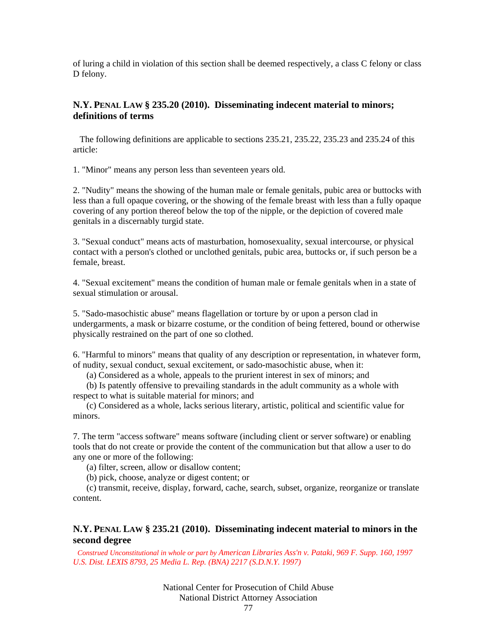of luring a child in violation of this section shall be deemed respectively, a class C felony or class D felony.

### **N.Y. PENAL LAW § 235.20 (2010). Disseminating indecent material to minors; definitions of terms**

 The following definitions are applicable to sections 235.21, 235.22, 235.23 and 235.24 of this article:

1. "Minor" means any person less than seventeen years old.

2. "Nudity" means the showing of the human male or female genitals, pubic area or buttocks with less than a full opaque covering, or the showing of the female breast with less than a fully opaque covering of any portion thereof below the top of the nipple, or the depiction of covered male genitals in a discernably turgid state.

3. "Sexual conduct" means acts of masturbation, homosexuality, sexual intercourse, or physical contact with a person's clothed or unclothed genitals, pubic area, buttocks or, if such person be a female, breast.

4. "Sexual excitement" means the condition of human male or female genitals when in a state of sexual stimulation or arousal.

5. "Sado-masochistic abuse" means flagellation or torture by or upon a person clad in undergarments, a mask or bizarre costume, or the condition of being fettered, bound or otherwise physically restrained on the part of one so clothed.

6. "Harmful to minors" means that quality of any description or representation, in whatever form, of nudity, sexual conduct, sexual excitement, or sado-masochistic abuse, when it:

(a) Considered as a whole, appeals to the prurient interest in sex of minors; and

 (b) Is patently offensive to prevailing standards in the adult community as a whole with respect to what is suitable material for minors; and

 (c) Considered as a whole, lacks serious literary, artistic, political and scientific value for minors.

7. The term "access software" means software (including client or server software) or enabling tools that do not create or provide the content of the communication but that allow a user to do any one or more of the following:

(a) filter, screen, allow or disallow content;

(b) pick, choose, analyze or digest content; or

 (c) transmit, receive, display, forward, cache, search, subset, organize, reorganize or translate content.

### **N.Y. PENAL LAW § 235.21 (2010). Disseminating indecent material to minors in the second degree**

 *Construed Unconstitutional in whole or part by American Libraries Ass'n v. Pataki, 969 F. Supp. 160, 1997 U.S. Dist. LEXIS 8793, 25 Media L. Rep. (BNA) 2217 (S.D.N.Y. 1997)*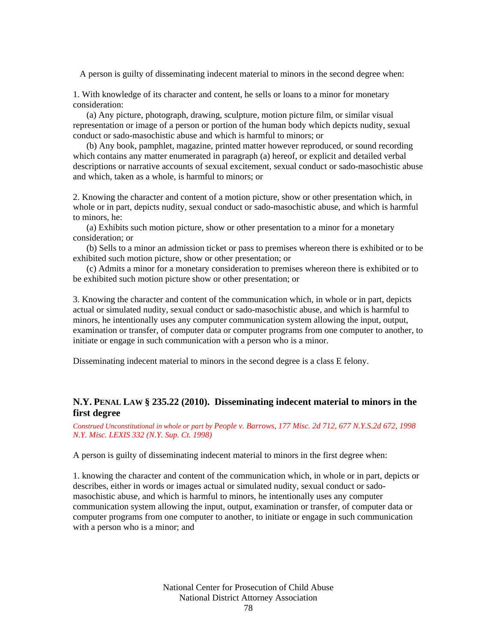A person is guilty of disseminating indecent material to minors in the second degree when:

1. With knowledge of its character and content, he sells or loans to a minor for monetary consideration:

 (a) Any picture, photograph, drawing, sculpture, motion picture film, or similar visual representation or image of a person or portion of the human body which depicts nudity, sexual conduct or sado-masochistic abuse and which is harmful to minors; or

 (b) Any book, pamphlet, magazine, printed matter however reproduced, or sound recording which contains any matter enumerated in paragraph (a) hereof, or explicit and detailed verbal descriptions or narrative accounts of sexual excitement, sexual conduct or sado-masochistic abuse and which, taken as a whole, is harmful to minors; or

2. Knowing the character and content of a motion picture, show or other presentation which, in whole or in part, depicts nudity, sexual conduct or sado-masochistic abuse, and which is harmful to minors, he:

 (a) Exhibits such motion picture, show or other presentation to a minor for a monetary consideration; or

 (b) Sells to a minor an admission ticket or pass to premises whereon there is exhibited or to be exhibited such motion picture, show or other presentation; or

 (c) Admits a minor for a monetary consideration to premises whereon there is exhibited or to be exhibited such motion picture show or other presentation; or

3. Knowing the character and content of the communication which, in whole or in part, depicts actual or simulated nudity, sexual conduct or sado-masochistic abuse, and which is harmful to minors, he intentionally uses any computer communication system allowing the input, output, examination or transfer, of computer data or computer programs from one computer to another, to initiate or engage in such communication with a person who is a minor.

Disseminating indecent material to minors in the second degree is a class E felony.

### **N.Y. PENAL LAW § 235.22 (2010). Disseminating indecent material to minors in the first degree**

*Construed Unconstitutional in whole or part by People v. Barrows, 177 Misc. 2d 712, 677 N.Y.S.2d 672, 1998 N.Y. Misc. LEXIS 332 (N.Y. Sup. Ct. 1998)* 

A person is guilty of disseminating indecent material to minors in the first degree when:

1. knowing the character and content of the communication which, in whole or in part, depicts or describes, either in words or images actual or simulated nudity, sexual conduct or sadomasochistic abuse, and which is harmful to minors, he intentionally uses any computer communication system allowing the input, output, examination or transfer, of computer data or computer programs from one computer to another, to initiate or engage in such communication with a person who is a minor; and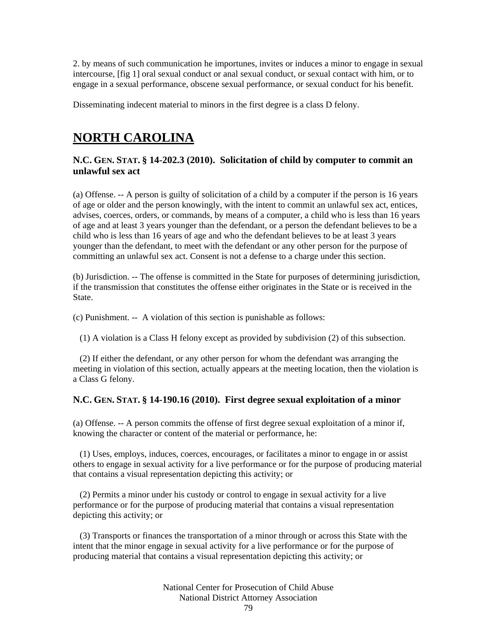2. by means of such communication he importunes, invites or induces a minor to engage in sexual intercourse, [fig 1] oral sexual conduct or anal sexual conduct, or sexual contact with him, or to engage in a sexual performance, obscene sexual performance, or sexual conduct for his benefit.

Disseminating indecent material to minors in the first degree is a class D felony.

# **NORTH CAROLINA**

### **N.C. GEN. STAT. § 14-202.3 (2010). Solicitation of child by computer to commit an unlawful sex act**

(a) Offense. -- A person is guilty of solicitation of a child by a computer if the person is 16 years of age or older and the person knowingly, with the intent to commit an unlawful sex act, entices, advises, coerces, orders, or commands, by means of a computer, a child who is less than 16 years of age and at least 3 years younger than the defendant, or a person the defendant believes to be a child who is less than 16 years of age and who the defendant believes to be at least 3 years younger than the defendant, to meet with the defendant or any other person for the purpose of committing an unlawful sex act. Consent is not a defense to a charge under this section.

(b) Jurisdiction. -- The offense is committed in the State for purposes of determining jurisdiction, if the transmission that constitutes the offense either originates in the State or is received in the State.

(c) Punishment. -- A violation of this section is punishable as follows:

(1) A violation is a Class H felony except as provided by subdivision (2) of this subsection.

 (2) If either the defendant, or any other person for whom the defendant was arranging the meeting in violation of this section, actually appears at the meeting location, then the violation is a Class G felony.

### **N.C. GEN. STAT. § 14-190.16 (2010). First degree sexual exploitation of a minor**

(a) Offense. -- A person commits the offense of first degree sexual exploitation of a minor if, knowing the character or content of the material or performance, he:

 (1) Uses, employs, induces, coerces, encourages, or facilitates a minor to engage in or assist others to engage in sexual activity for a live performance or for the purpose of producing material that contains a visual representation depicting this activity; or

 (2) Permits a minor under his custody or control to engage in sexual activity for a live performance or for the purpose of producing material that contains a visual representation depicting this activity; or

 (3) Transports or finances the transportation of a minor through or across this State with the intent that the minor engage in sexual activity for a live performance or for the purpose of producing material that contains a visual representation depicting this activity; or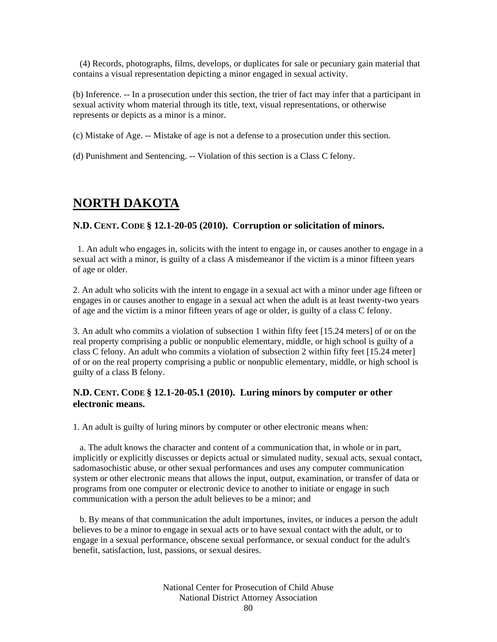(4) Records, photographs, films, develops, or duplicates for sale or pecuniary gain material that contains a visual representation depicting a minor engaged in sexual activity.

(b) Inference. -- In a prosecution under this section, the trier of fact may infer that a participant in sexual activity whom material through its title, text, visual representations, or otherwise represents or depicts as a minor is a minor.

(c) Mistake of Age. -- Mistake of age is not a defense to a prosecution under this section.

(d) Punishment and Sentencing. -- Violation of this section is a Class C felony.

# **NORTH DAKOTA**

### **N.D. CENT. CODE § 12.1-20-05 (2010). Corruption or solicitation of minors.**

 1. An adult who engages in, solicits with the intent to engage in, or causes another to engage in a sexual act with a minor, is guilty of a class A misdemeanor if the victim is a minor fifteen years of age or older.

2. An adult who solicits with the intent to engage in a sexual act with a minor under age fifteen or engages in or causes another to engage in a sexual act when the adult is at least twenty-two years of age and the victim is a minor fifteen years of age or older, is guilty of a class C felony.

3. An adult who commits a violation of subsection 1 within fifty feet [15.24 meters] of or on the real property comprising a public or nonpublic elementary, middle, or high school is guilty of a class C felony. An adult who commits a violation of subsection 2 within fifty feet [15.24 meter] of or on the real property comprising a public or nonpublic elementary, middle, or high school is guilty of a class B felony.

### **N.D. CENT. CODE § 12.1-20-05.1 (2010). Luring minors by computer or other electronic means.**

1. An adult is guilty of luring minors by computer or other electronic means when:

 a. The adult knows the character and content of a communication that, in whole or in part, implicitly or explicitly discusses or depicts actual or simulated nudity, sexual acts, sexual contact, sadomasochistic abuse, or other sexual performances and uses any computer communication system or other electronic means that allows the input, output, examination, or transfer of data or programs from one computer or electronic device to another to initiate or engage in such communication with a person the adult believes to be a minor; and

 b. By means of that communication the adult importunes, invites, or induces a person the adult believes to be a minor to engage in sexual acts or to have sexual contact with the adult, or to engage in a sexual performance, obscene sexual performance, or sexual conduct for the adult's benefit, satisfaction, lust, passions, or sexual desires.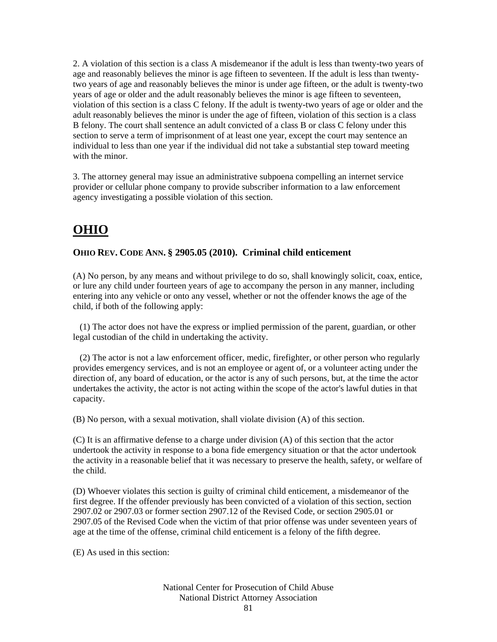2. A violation of this section is a class A misdemeanor if the adult is less than twenty-two years of age and reasonably believes the minor is age fifteen to seventeen. If the adult is less than twentytwo years of age and reasonably believes the minor is under age fifteen, or the adult is twenty-two years of age or older and the adult reasonably believes the minor is age fifteen to seventeen, violation of this section is a class C felony. If the adult is twenty-two years of age or older and the adult reasonably believes the minor is under the age of fifteen, violation of this section is a class B felony. The court shall sentence an adult convicted of a class B or class C felony under this section to serve a term of imprisonment of at least one year, except the court may sentence an individual to less than one year if the individual did not take a substantial step toward meeting with the minor.

3. The attorney general may issue an administrative subpoena compelling an internet service provider or cellular phone company to provide subscriber information to a law enforcement agency investigating a possible violation of this section.

# **OHIO**

### **OHIO REV. CODE ANN. § 2905.05 (2010). Criminal child enticement**

(A) No person, by any means and without privilege to do so, shall knowingly solicit, coax, entice, or lure any child under fourteen years of age to accompany the person in any manner, including entering into any vehicle or onto any vessel, whether or not the offender knows the age of the child, if both of the following apply:

 (1) The actor does not have the express or implied permission of the parent, guardian, or other legal custodian of the child in undertaking the activity.

 (2) The actor is not a law enforcement officer, medic, firefighter, or other person who regularly provides emergency services, and is not an employee or agent of, or a volunteer acting under the direction of, any board of education, or the actor is any of such persons, but, at the time the actor undertakes the activity, the actor is not acting within the scope of the actor's lawful duties in that capacity.

(B) No person, with a sexual motivation, shall violate division (A) of this section.

(C) It is an affirmative defense to a charge under division (A) of this section that the actor undertook the activity in response to a bona fide emergency situation or that the actor undertook the activity in a reasonable belief that it was necessary to preserve the health, safety, or welfare of the child.

(D) Whoever violates this section is guilty of criminal child enticement, a misdemeanor of the first degree. If the offender previously has been convicted of a violation of this section, section 2907.02 or 2907.03 or former section 2907.12 of the Revised Code, or section 2905.01 or 2907.05 of the Revised Code when the victim of that prior offense was under seventeen years of age at the time of the offense, criminal child enticement is a felony of the fifth degree.

(E) As used in this section: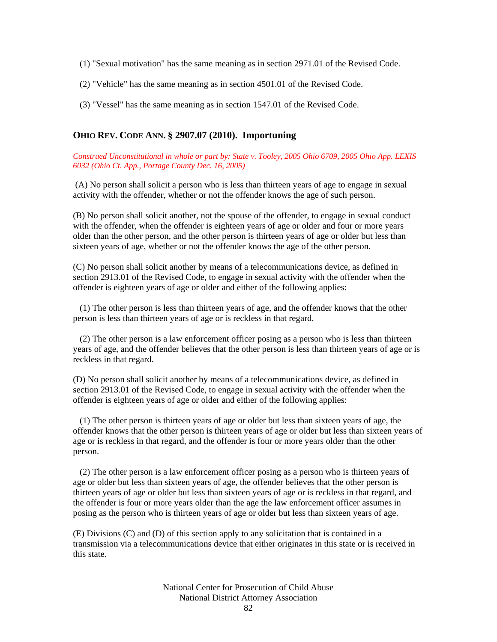- (1) "Sexual motivation" has the same meaning as in section 2971.01 of the Revised Code.
- (2) "Vehicle" has the same meaning as in section 4501.01 of the Revised Code.
- (3) "Vessel" has the same meaning as in section 1547.01 of the Revised Code.

### **OHIO REV. CODE ANN. § 2907.07 (2010). Importuning**

*Construed Unconstitutional in whole or part by: State v. Tooley, 2005 Ohio 6709, 2005 Ohio App. LEXIS 6032 (Ohio Ct. App., Portage County Dec. 16, 2005)* 

 (A) No person shall solicit a person who is less than thirteen years of age to engage in sexual activity with the offender, whether or not the offender knows the age of such person.

(B) No person shall solicit another, not the spouse of the offender, to engage in sexual conduct with the offender, when the offender is eighteen years of age or older and four or more years older than the other person, and the other person is thirteen years of age or older but less than sixteen years of age, whether or not the offender knows the age of the other person.

(C) No person shall solicit another by means of a telecommunications device, as defined in section 2913.01 of the Revised Code, to engage in sexual activity with the offender when the offender is eighteen years of age or older and either of the following applies:

 (1) The other person is less than thirteen years of age, and the offender knows that the other person is less than thirteen years of age or is reckless in that regard.

 (2) The other person is a law enforcement officer posing as a person who is less than thirteen years of age, and the offender believes that the other person is less than thirteen years of age or is reckless in that regard.

(D) No person shall solicit another by means of a telecommunications device, as defined in section 2913.01 of the Revised Code, to engage in sexual activity with the offender when the offender is eighteen years of age or older and either of the following applies:

 (1) The other person is thirteen years of age or older but less than sixteen years of age, the offender knows that the other person is thirteen years of age or older but less than sixteen years of age or is reckless in that regard, and the offender is four or more years older than the other person.

 (2) The other person is a law enforcement officer posing as a person who is thirteen years of age or older but less than sixteen years of age, the offender believes that the other person is thirteen years of age or older but less than sixteen years of age or is reckless in that regard, and the offender is four or more years older than the age the law enforcement officer assumes in posing as the person who is thirteen years of age or older but less than sixteen years of age.

(E) Divisions (C) and (D) of this section apply to any solicitation that is contained in a transmission via a telecommunications device that either originates in this state or is received in this state.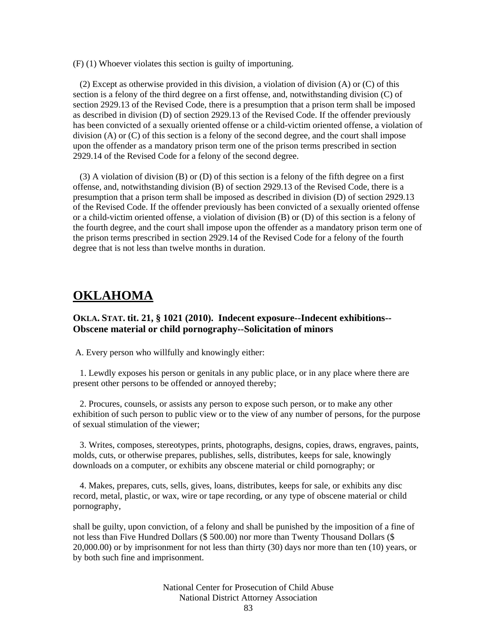(F) (1) Whoever violates this section is guilty of importuning.

 (2) Except as otherwise provided in this division, a violation of division (A) or (C) of this section is a felony of the third degree on a first offense, and, notwithstanding division (C) of section 2929.13 of the Revised Code, there is a presumption that a prison term shall be imposed as described in division (D) of section 2929.13 of the Revised Code. If the offender previously has been convicted of a sexually oriented offense or a child-victim oriented offense, a violation of division (A) or (C) of this section is a felony of the second degree, and the court shall impose upon the offender as a mandatory prison term one of the prison terms prescribed in section 2929.14 of the Revised Code for a felony of the second degree.

 (3) A violation of division (B) or (D) of this section is a felony of the fifth degree on a first offense, and, notwithstanding division (B) of section 2929.13 of the Revised Code, there is a presumption that a prison term shall be imposed as described in division (D) of section 2929.13 of the Revised Code. If the offender previously has been convicted of a sexually oriented offense or a child-victim oriented offense, a violation of division (B) or (D) of this section is a felony of the fourth degree, and the court shall impose upon the offender as a mandatory prison term one of the prison terms prescribed in section 2929.14 of the Revised Code for a felony of the fourth degree that is not less than twelve months in duration.

## **OKLAHOMA**

### **OKLA. STAT. tit. 21, § 1021 (2010). Indecent exposure--Indecent exhibitions-- Obscene material or child pornography--Solicitation of minors**

A. Every person who willfully and knowingly either:

 1. Lewdly exposes his person or genitals in any public place, or in any place where there are present other persons to be offended or annoyed thereby;

 2. Procures, counsels, or assists any person to expose such person, or to make any other exhibition of such person to public view or to the view of any number of persons, for the purpose of sexual stimulation of the viewer;

 3. Writes, composes, stereotypes, prints, photographs, designs, copies, draws, engraves, paints, molds, cuts, or otherwise prepares, publishes, sells, distributes, keeps for sale, knowingly downloads on a computer, or exhibits any obscene material or child pornography; or

 4. Makes, prepares, cuts, sells, gives, loans, distributes, keeps for sale, or exhibits any disc record, metal, plastic, or wax, wire or tape recording, or any type of obscene material or child pornography,

shall be guilty, upon conviction, of a felony and shall be punished by the imposition of a fine of not less than Five Hundred Dollars (\$ 500.00) nor more than Twenty Thousand Dollars (\$ 20,000.00) or by imprisonment for not less than thirty (30) days nor more than ten (10) years, or by both such fine and imprisonment.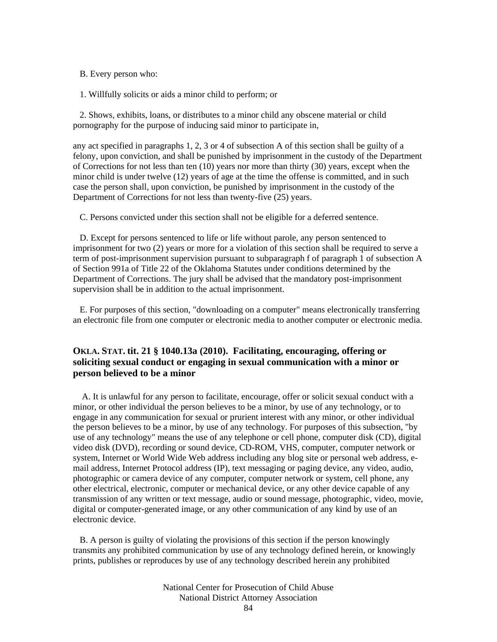B. Every person who:

1. Willfully solicits or aids a minor child to perform; or

 2. Shows, exhibits, loans, or distributes to a minor child any obscene material or child pornography for the purpose of inducing said minor to participate in,

any act specified in paragraphs 1, 2, 3 or 4 of subsection A of this section shall be guilty of a felony, upon conviction, and shall be punished by imprisonment in the custody of the Department of Corrections for not less than ten (10) years nor more than thirty (30) years, except when the minor child is under twelve (12) years of age at the time the offense is committed, and in such case the person shall, upon conviction, be punished by imprisonment in the custody of the Department of Corrections for not less than twenty-five (25) years.

C. Persons convicted under this section shall not be eligible for a deferred sentence.

 D. Except for persons sentenced to life or life without parole, any person sentenced to imprisonment for two (2) years or more for a violation of this section shall be required to serve a term of post-imprisonment supervision pursuant to subparagraph f of paragraph 1 of subsection A of Section 991a of Title 22 of the Oklahoma Statutes under conditions determined by the Department of Corrections. The jury shall be advised that the mandatory post-imprisonment supervision shall be in addition to the actual imprisonment.

 E. For purposes of this section, "downloading on a computer" means electronically transferring an electronic file from one computer or electronic media to another computer or electronic media.

### **OKLA. STAT. tit. 21 § 1040.13a (2010). Facilitating, encouraging, offering or soliciting sexual conduct or engaging in sexual communication with a minor or person believed to be a minor**

 A. It is unlawful for any person to facilitate, encourage, offer or solicit sexual conduct with a minor, or other individual the person believes to be a minor, by use of any technology, or to engage in any communication for sexual or prurient interest with any minor, or other individual the person believes to be a minor, by use of any technology. For purposes of this subsection, "by use of any technology" means the use of any telephone or cell phone, computer disk (CD), digital video disk (DVD), recording or sound device, CD-ROM, VHS, computer, computer network or system, Internet or World Wide Web address including any blog site or personal web address, email address, Internet Protocol address (IP), text messaging or paging device, any video, audio, photographic or camera device of any computer, computer network or system, cell phone, any other electrical, electronic, computer or mechanical device, or any other device capable of any transmission of any written or text message, audio or sound message, photographic, video, movie, digital or computer-generated image, or any other communication of any kind by use of an electronic device.

 B. A person is guilty of violating the provisions of this section if the person knowingly transmits any prohibited communication by use of any technology defined herein, or knowingly prints, publishes or reproduces by use of any technology described herein any prohibited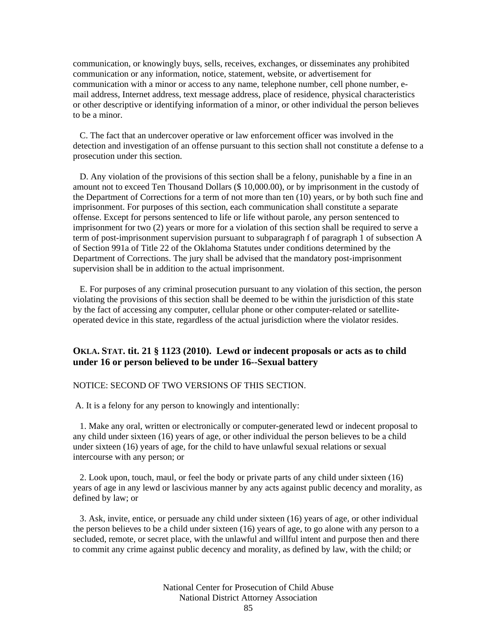communication, or knowingly buys, sells, receives, exchanges, or disseminates any prohibited communication or any information, notice, statement, website, or advertisement for communication with a minor or access to any name, telephone number, cell phone number, email address, Internet address, text message address, place of residence, physical characteristics or other descriptive or identifying information of a minor, or other individual the person believes to be a minor.

 C. The fact that an undercover operative or law enforcement officer was involved in the detection and investigation of an offense pursuant to this section shall not constitute a defense to a prosecution under this section.

 D. Any violation of the provisions of this section shall be a felony, punishable by a fine in an amount not to exceed Ten Thousand Dollars (\$ 10,000.00), or by imprisonment in the custody of the Department of Corrections for a term of not more than ten (10) years, or by both such fine and imprisonment. For purposes of this section, each communication shall constitute a separate offense. Except for persons sentenced to life or life without parole, any person sentenced to imprisonment for two (2) years or more for a violation of this section shall be required to serve a term of post-imprisonment supervision pursuant to subparagraph f of paragraph 1 of subsection A of Section 991a of Title 22 of the Oklahoma Statutes under conditions determined by the Department of Corrections. The jury shall be advised that the mandatory post-imprisonment supervision shall be in addition to the actual imprisonment.

 E. For purposes of any criminal prosecution pursuant to any violation of this section, the person violating the provisions of this section shall be deemed to be within the jurisdiction of this state by the fact of accessing any computer, cellular phone or other computer-related or satelliteoperated device in this state, regardless of the actual jurisdiction where the violator resides.

### **OKLA. STAT. tit. 21 § 1123 (2010). Lewd or indecent proposals or acts as to child under 16 or person believed to be under 16--Sexual battery**

#### NOTICE: SECOND OF TWO VERSIONS OF THIS SECTION.

A. It is a felony for any person to knowingly and intentionally:

 1. Make any oral, written or electronically or computer-generated lewd or indecent proposal to any child under sixteen (16) years of age, or other individual the person believes to be a child under sixteen (16) years of age, for the child to have unlawful sexual relations or sexual intercourse with any person; or

 2. Look upon, touch, maul, or feel the body or private parts of any child under sixteen (16) years of age in any lewd or lascivious manner by any acts against public decency and morality, as defined by law; or

 3. Ask, invite, entice, or persuade any child under sixteen (16) years of age, or other individual the person believes to be a child under sixteen (16) years of age, to go alone with any person to a secluded, remote, or secret place, with the unlawful and willful intent and purpose then and there to commit any crime against public decency and morality, as defined by law, with the child; or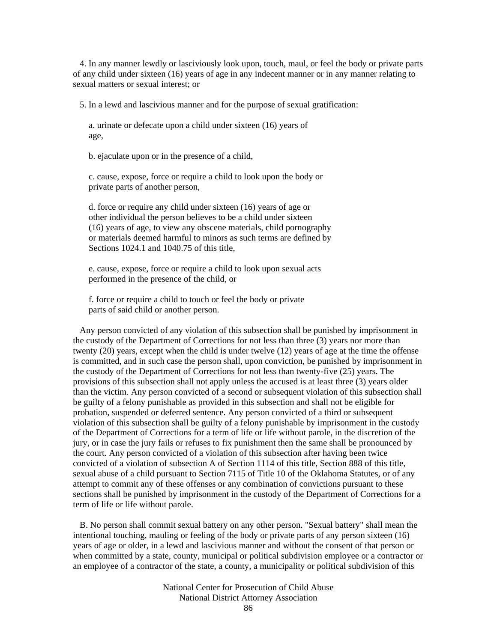4. In any manner lewdly or lasciviously look upon, touch, maul, or feel the body or private parts of any child under sixteen (16) years of age in any indecent manner or in any manner relating to sexual matters or sexual interest; or

5. In a lewd and lascivious manner and for the purpose of sexual gratification:

 a. urinate or defecate upon a child under sixteen (16) years of age,

b. ejaculate upon or in the presence of a child,

 c. cause, expose, force or require a child to look upon the body or private parts of another person,

 d. force or require any child under sixteen (16) years of age or other individual the person believes to be a child under sixteen (16) years of age, to view any obscene materials, child pornography or materials deemed harmful to minors as such terms are defined by Sections 1024.1 and 1040.75 of this title,

 e. cause, expose, force or require a child to look upon sexual acts performed in the presence of the child, or

 f. force or require a child to touch or feel the body or private parts of said child or another person.

 Any person convicted of any violation of this subsection shall be punished by imprisonment in the custody of the Department of Corrections for not less than three (3) years nor more than twenty (20) years, except when the child is under twelve (12) years of age at the time the offense is committed, and in such case the person shall, upon conviction, be punished by imprisonment in the custody of the Department of Corrections for not less than twenty-five (25) years. The provisions of this subsection shall not apply unless the accused is at least three (3) years older than the victim. Any person convicted of a second or subsequent violation of this subsection shall be guilty of a felony punishable as provided in this subsection and shall not be eligible for probation, suspended or deferred sentence. Any person convicted of a third or subsequent violation of this subsection shall be guilty of a felony punishable by imprisonment in the custody of the Department of Corrections for a term of life or life without parole, in the discretion of the jury, or in case the jury fails or refuses to fix punishment then the same shall be pronounced by the court. Any person convicted of a violation of this subsection after having been twice convicted of a violation of subsection A of Section 1114 of this title, Section 888 of this title, sexual abuse of a child pursuant to Section 7115 of Title 10 of the Oklahoma Statutes, or of any attempt to commit any of these offenses or any combination of convictions pursuant to these sections shall be punished by imprisonment in the custody of the Department of Corrections for a term of life or life without parole.

 B. No person shall commit sexual battery on any other person. "Sexual battery" shall mean the intentional touching, mauling or feeling of the body or private parts of any person sixteen (16) years of age or older, in a lewd and lascivious manner and without the consent of that person or when committed by a state, county, municipal or political subdivision employee or a contractor or an employee of a contractor of the state, a county, a municipality or political subdivision of this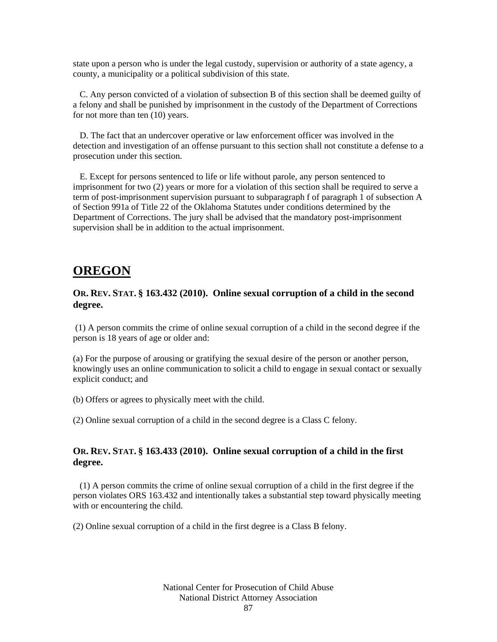state upon a person who is under the legal custody, supervision or authority of a state agency, a county, a municipality or a political subdivision of this state.

 C. Any person convicted of a violation of subsection B of this section shall be deemed guilty of a felony and shall be punished by imprisonment in the custody of the Department of Corrections for not more than ten (10) years.

 D. The fact that an undercover operative or law enforcement officer was involved in the detection and investigation of an offense pursuant to this section shall not constitute a defense to a prosecution under this section.

 E. Except for persons sentenced to life or life without parole, any person sentenced to imprisonment for two (2) years or more for a violation of this section shall be required to serve a term of post-imprisonment supervision pursuant to subparagraph f of paragraph 1 of subsection A of Section 991a of Title 22 of the Oklahoma Statutes under conditions determined by the Department of Corrections. The jury shall be advised that the mandatory post-imprisonment supervision shall be in addition to the actual imprisonment.

## **OREGON**

### **OR. REV. STAT. § 163.432 (2010). Online sexual corruption of a child in the second degree.**

 (1) A person commits the crime of online sexual corruption of a child in the second degree if the person is 18 years of age or older and:

(a) For the purpose of arousing or gratifying the sexual desire of the person or another person, knowingly uses an online communication to solicit a child to engage in sexual contact or sexually explicit conduct; and

(b) Offers or agrees to physically meet with the child.

(2) Online sexual corruption of a child in the second degree is a Class C felony.

### **OR. REV. STAT. § 163.433 (2010). Online sexual corruption of a child in the first degree.**

 (1) A person commits the crime of online sexual corruption of a child in the first degree if the person violates ORS 163.432 and intentionally takes a substantial step toward physically meeting with or encountering the child.

(2) Online sexual corruption of a child in the first degree is a Class B felony.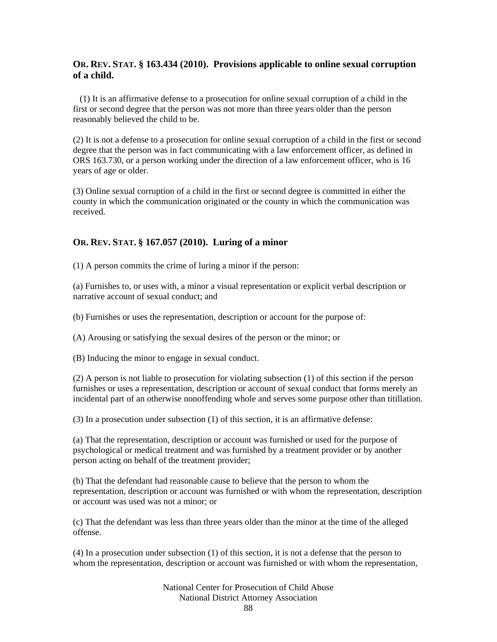### **OR. REV. STAT. § 163.434 (2010). Provisions applicable to online sexual corruption of a child.**

 (1) It is an affirmative defense to a prosecution for online sexual corruption of a child in the first or second degree that the person was not more than three years older than the person reasonably believed the child to be.

(2) It is not a defense to a prosecution for online sexual corruption of a child in the first or second degree that the person was in fact communicating with a law enforcement officer, as defined in ORS 163.730, or a person working under the direction of a law enforcement officer, who is 16 years of age or older.

(3) Online sexual corruption of a child in the first or second degree is committed in either the county in which the communication originated or the county in which the communication was received.

### **OR. REV. STAT. § 167.057 (2010). Luring of a minor**

(1) A person commits the crime of luring a minor if the person:

(a) Furnishes to, or uses with, a minor a visual representation or explicit verbal description or narrative account of sexual conduct; and

(b) Furnishes or uses the representation, description or account for the purpose of:

(A) Arousing or satisfying the sexual desires of the person or the minor; or

(B) Inducing the minor to engage in sexual conduct.

(2) A person is not liable to prosecution for violating subsection (1) of this section if the person furnishes or uses a representation, description or account of sexual conduct that forms merely an incidental part of an otherwise nonoffending whole and serves some purpose other than titillation.

(3) In a prosecution under subsection (1) of this section, it is an affirmative defense:

(a) That the representation, description or account was furnished or used for the purpose of psychological or medical treatment and was furnished by a treatment provider or by another person acting on behalf of the treatment provider;

(b) That the defendant had reasonable cause to believe that the person to whom the representation, description or account was furnished or with whom the representation, description or account was used was not a minor; or

(c) That the defendant was less than three years older than the minor at the time of the alleged offense.

(4) In a prosecution under subsection (1) of this section, it is not a defense that the person to whom the representation, description or account was furnished or with whom the representation,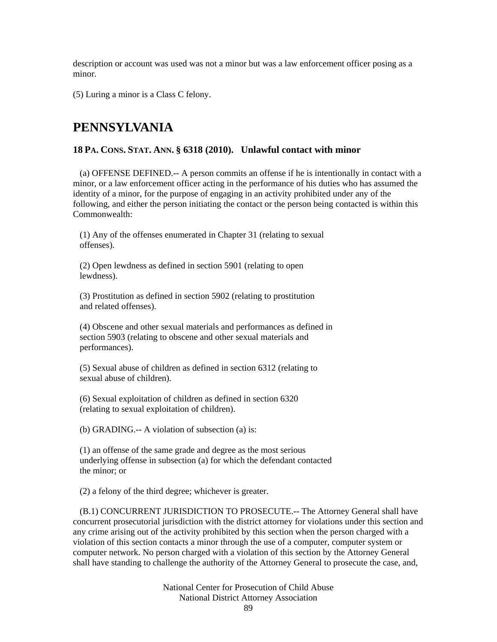description or account was used was not a minor but was a law enforcement officer posing as a minor.

(5) Luring a minor is a Class C felony.

## **PENNSYLVANIA**

### **18 PA. CONS. STAT. ANN. § 6318 (2010). Unlawful contact with minor**

 (a) OFFENSE DEFINED.-- A person commits an offense if he is intentionally in contact with a minor, or a law enforcement officer acting in the performance of his duties who has assumed the identity of a minor, for the purpose of engaging in an activity prohibited under any of the following, and either the person initiating the contact or the person being contacted is within this Commonwealth:

 (1) Any of the offenses enumerated in Chapter 31 (relating to sexual offenses).

 (2) Open lewdness as defined in section 5901 (relating to open lewdness).

 (3) Prostitution as defined in section 5902 (relating to prostitution and related offenses).

 (4) Obscene and other sexual materials and performances as defined in section 5903 (relating to obscene and other sexual materials and performances).

 (5) Sexual abuse of children as defined in section 6312 (relating to sexual abuse of children).

 (6) Sexual exploitation of children as defined in section 6320 (relating to sexual exploitation of children).

(b) GRADING.-- A violation of subsection (a) is:

 (1) an offense of the same grade and degree as the most serious underlying offense in subsection (a) for which the defendant contacted the minor; or

(2) a felony of the third degree; whichever is greater.

 (B.1) CONCURRENT JURISDICTION TO PROSECUTE.-- The Attorney General shall have concurrent prosecutorial jurisdiction with the district attorney for violations under this section and any crime arising out of the activity prohibited by this section when the person charged with a violation of this section contacts a minor through the use of a computer, computer system or computer network. No person charged with a violation of this section by the Attorney General shall have standing to challenge the authority of the Attorney General to prosecute the case, and,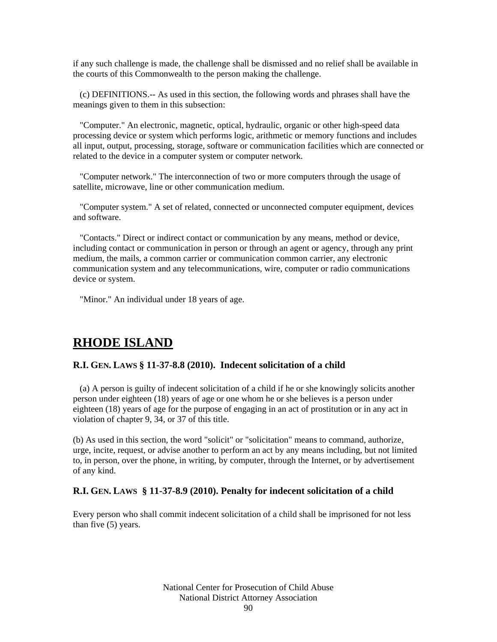if any such challenge is made, the challenge shall be dismissed and no relief shall be available in the courts of this Commonwealth to the person making the challenge.

 (c) DEFINITIONS.-- As used in this section, the following words and phrases shall have the meanings given to them in this subsection:

 "Computer." An electronic, magnetic, optical, hydraulic, organic or other high-speed data processing device or system which performs logic, arithmetic or memory functions and includes all input, output, processing, storage, software or communication facilities which are connected or related to the device in a computer system or computer network.

 "Computer network." The interconnection of two or more computers through the usage of satellite, microwave, line or other communication medium.

 "Computer system." A set of related, connected or unconnected computer equipment, devices and software.

 "Contacts." Direct or indirect contact or communication by any means, method or device, including contact or communication in person or through an agent or agency, through any print medium, the mails, a common carrier or communication common carrier, any electronic communication system and any telecommunications, wire, computer or radio communications device or system.

"Minor." An individual under 18 years of age.

## **RHODE ISLAND**

### **R.I. GEN. LAWS § 11-37-8.8 (2010). Indecent solicitation of a child**

 (a) A person is guilty of indecent solicitation of a child if he or she knowingly solicits another person under eighteen (18) years of age or one whom he or she believes is a person under eighteen (18) years of age for the purpose of engaging in an act of prostitution or in any act in violation of chapter 9, 34, or 37 of this title.

(b) As used in this section, the word "solicit" or "solicitation" means to command, authorize, urge, incite, request, or advise another to perform an act by any means including, but not limited to, in person, over the phone, in writing, by computer, through the Internet, or by advertisement of any kind.

### **R.I. GEN. LAWS § 11-37-8.9 (2010). Penalty for indecent solicitation of a child**

Every person who shall commit indecent solicitation of a child shall be imprisoned for not less than five (5) years.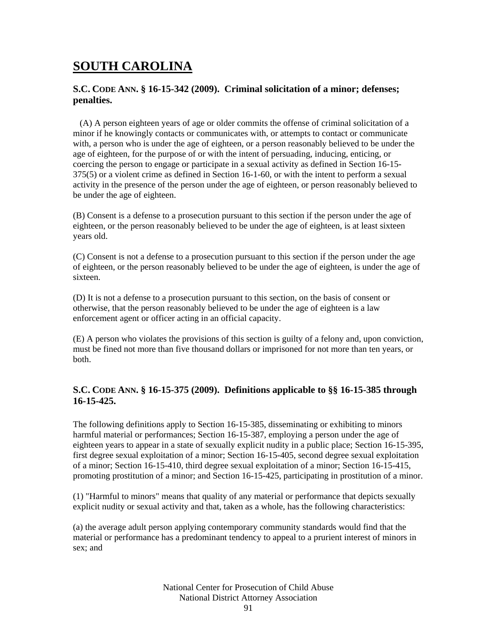# **SOUTH CAROLINA**

### **S.C. CODE ANN. § 16-15-342 (2009). Criminal solicitation of a minor; defenses; penalties.**

 (A) A person eighteen years of age or older commits the offense of criminal solicitation of a minor if he knowingly contacts or communicates with, or attempts to contact or communicate with, a person who is under the age of eighteen, or a person reasonably believed to be under the age of eighteen, for the purpose of or with the intent of persuading, inducing, enticing, or coercing the person to engage or participate in a sexual activity as defined in Section 16-15- 375(5) or a violent crime as defined in Section 16-1-60, or with the intent to perform a sexual activity in the presence of the person under the age of eighteen, or person reasonably believed to be under the age of eighteen.

(B) Consent is a defense to a prosecution pursuant to this section if the person under the age of eighteen, or the person reasonably believed to be under the age of eighteen, is at least sixteen years old.

(C) Consent is not a defense to a prosecution pursuant to this section if the person under the age of eighteen, or the person reasonably believed to be under the age of eighteen, is under the age of sixteen.

(D) It is not a defense to a prosecution pursuant to this section, on the basis of consent or otherwise, that the person reasonably believed to be under the age of eighteen is a law enforcement agent or officer acting in an official capacity.

(E) A person who violates the provisions of this section is guilty of a felony and, upon conviction, must be fined not more than five thousand dollars or imprisoned for not more than ten years, or both.

### **S.C. CODE ANN. § 16-15-375 (2009). Definitions applicable to §§ 16-15-385 through 16-15-425.**

The following definitions apply to Section 16-15-385, disseminating or exhibiting to minors harmful material or performances; Section 16-15-387, employing a person under the age of eighteen years to appear in a state of sexually explicit nudity in a public place; Section 16-15-395, first degree sexual exploitation of a minor; Section 16-15-405, second degree sexual exploitation of a minor; Section 16-15-410, third degree sexual exploitation of a minor; Section 16-15-415, promoting prostitution of a minor; and Section 16-15-425, participating in prostitution of a minor.

(1) "Harmful to minors" means that quality of any material or performance that depicts sexually explicit nudity or sexual activity and that, taken as a whole, has the following characteristics:

(a) the average adult person applying contemporary community standards would find that the material or performance has a predominant tendency to appeal to a prurient interest of minors in sex; and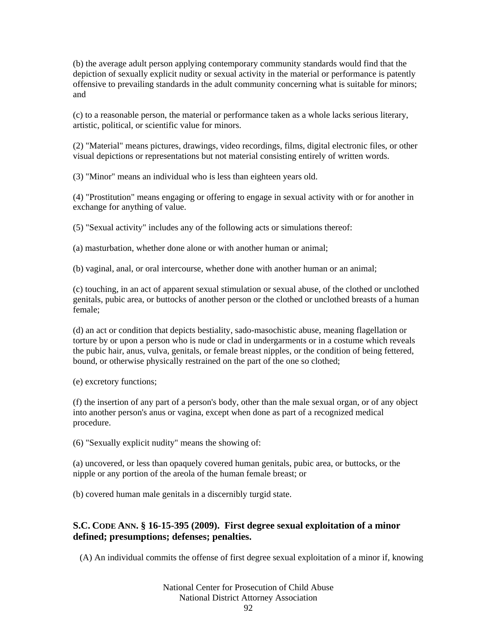(b) the average adult person applying contemporary community standards would find that the depiction of sexually explicit nudity or sexual activity in the material or performance is patently offensive to prevailing standards in the adult community concerning what is suitable for minors; and

(c) to a reasonable person, the material or performance taken as a whole lacks serious literary, artistic, political, or scientific value for minors.

(2) "Material" means pictures, drawings, video recordings, films, digital electronic files, or other visual depictions or representations but not material consisting entirely of written words.

(3) "Minor" means an individual who is less than eighteen years old.

(4) "Prostitution" means engaging or offering to engage in sexual activity with or for another in exchange for anything of value.

(5) "Sexual activity" includes any of the following acts or simulations thereof:

(a) masturbation, whether done alone or with another human or animal;

(b) vaginal, anal, or oral intercourse, whether done with another human or an animal;

(c) touching, in an act of apparent sexual stimulation or sexual abuse, of the clothed or unclothed genitals, pubic area, or buttocks of another person or the clothed or unclothed breasts of a human female;

(d) an act or condition that depicts bestiality, sado-masochistic abuse, meaning flagellation or torture by or upon a person who is nude or clad in undergarments or in a costume which reveals the pubic hair, anus, vulva, genitals, or female breast nipples, or the condition of being fettered, bound, or otherwise physically restrained on the part of the one so clothed;

(e) excretory functions;

(f) the insertion of any part of a person's body, other than the male sexual organ, or of any object into another person's anus or vagina, except when done as part of a recognized medical procedure.

(6) "Sexually explicit nudity" means the showing of:

(a) uncovered, or less than opaquely covered human genitals, pubic area, or buttocks, or the nipple or any portion of the areola of the human female breast; or

(b) covered human male genitals in a discernibly turgid state.

### **S.C. CODE ANN. § 16-15-395 (2009). First degree sexual exploitation of a minor defined; presumptions; defenses; penalties.**

(A) An individual commits the offense of first degree sexual exploitation of a minor if, knowing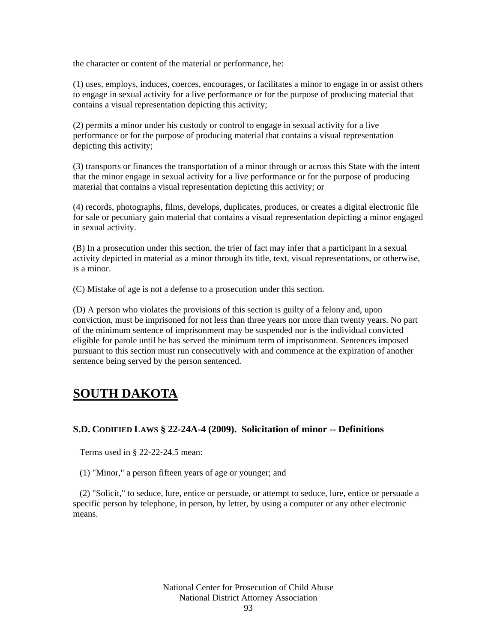the character or content of the material or performance, he:

(1) uses, employs, induces, coerces, encourages, or facilitates a minor to engage in or assist others to engage in sexual activity for a live performance or for the purpose of producing material that contains a visual representation depicting this activity;

(2) permits a minor under his custody or control to engage in sexual activity for a live performance or for the purpose of producing material that contains a visual representation depicting this activity;

(3) transports or finances the transportation of a minor through or across this State with the intent that the minor engage in sexual activity for a live performance or for the purpose of producing material that contains a visual representation depicting this activity; or

(4) records, photographs, films, develops, duplicates, produces, or creates a digital electronic file for sale or pecuniary gain material that contains a visual representation depicting a minor engaged in sexual activity.

(B) In a prosecution under this section, the trier of fact may infer that a participant in a sexual activity depicted in material as a minor through its title, text, visual representations, or otherwise, is a minor.

(C) Mistake of age is not a defense to a prosecution under this section.

(D) A person who violates the provisions of this section is guilty of a felony and, upon conviction, must be imprisoned for not less than three years nor more than twenty years. No part of the minimum sentence of imprisonment may be suspended nor is the individual convicted eligible for parole until he has served the minimum term of imprisonment. Sentences imposed pursuant to this section must run consecutively with and commence at the expiration of another sentence being served by the person sentenced.

# **SOUTH DAKOTA**

### **S.D. CODIFIED LAWS § 22-24A-4 (2009). Solicitation of minor -- Definitions**

Terms used in § 22-22-24.5 mean:

(1) "Minor," a person fifteen years of age or younger; and

 (2) "Solicit," to seduce, lure, entice or persuade, or attempt to seduce, lure, entice or persuade a specific person by telephone, in person, by letter, by using a computer or any other electronic means.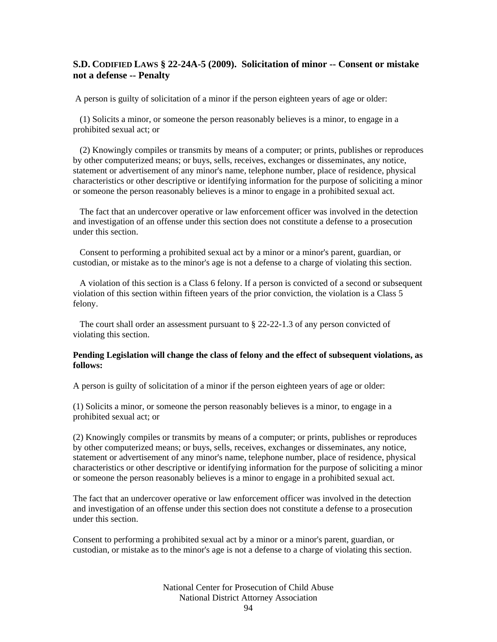### **S.D. CODIFIED LAWS § 22-24A-5 (2009). Solicitation of minor -- Consent or mistake not a defense -- Penalty**

A person is guilty of solicitation of a minor if the person eighteen years of age or older:

 (1) Solicits a minor, or someone the person reasonably believes is a minor, to engage in a prohibited sexual act; or

 (2) Knowingly compiles or transmits by means of a computer; or prints, publishes or reproduces by other computerized means; or buys, sells, receives, exchanges or disseminates, any notice, statement or advertisement of any minor's name, telephone number, place of residence, physical characteristics or other descriptive or identifying information for the purpose of soliciting a minor or someone the person reasonably believes is a minor to engage in a prohibited sexual act.

 The fact that an undercover operative or law enforcement officer was involved in the detection and investigation of an offense under this section does not constitute a defense to a prosecution under this section.

 Consent to performing a prohibited sexual act by a minor or a minor's parent, guardian, or custodian, or mistake as to the minor's age is not a defense to a charge of violating this section.

 A violation of this section is a Class 6 felony. If a person is convicted of a second or subsequent violation of this section within fifteen years of the prior conviction, the violation is a Class 5 felony.

 The court shall order an assessment pursuant to § 22-22-1.3 of any person convicted of violating this section.

### **Pending Legislation will change the class of felony and the effect of subsequent violations, as follows:**

A person is guilty of solicitation of a minor if the person eighteen years of age or older:

(1) Solicits a minor, or someone the person reasonably believes is a minor, to engage in a prohibited sexual act; or

(2) Knowingly compiles or transmits by means of a computer; or prints, publishes or reproduces by other computerized means; or buys, sells, receives, exchanges or disseminates, any notice, statement or advertisement of any minor's name, telephone number, place of residence, physical characteristics or other descriptive or identifying information for the purpose of soliciting a minor or someone the person reasonably believes is a minor to engage in a prohibited sexual act.

The fact that an undercover operative or law enforcement officer was involved in the detection and investigation of an offense under this section does not constitute a defense to a prosecution under this section.

Consent to performing a prohibited sexual act by a minor or a minor's parent, guardian, or custodian, or mistake as to the minor's age is not a defense to a charge of violating this section.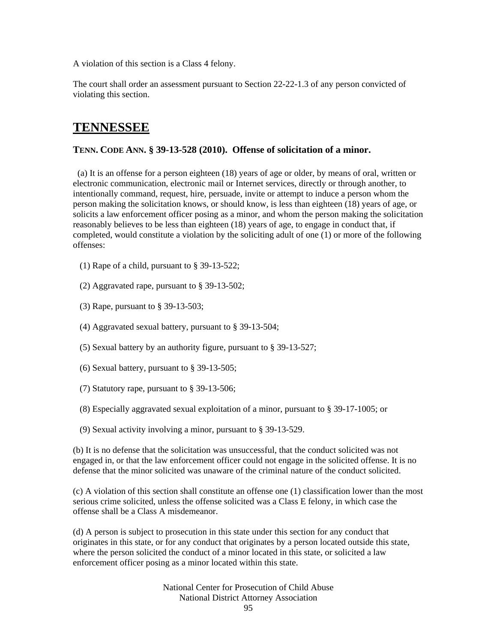A violation of this section is a Class 4 felony.

The court shall order an assessment pursuant to Section 22-22-1.3 of any person convicted of violating this section.

## **TENNESSEE**

### **TENN. CODE ANN. § 39-13-528 (2010). Offense of solicitation of a minor.**

 (a) It is an offense for a person eighteen (18) years of age or older, by means of oral, written or electronic communication, electronic mail or Internet services, directly or through another, to intentionally command, request, hire, persuade, invite or attempt to induce a person whom the person making the solicitation knows, or should know, is less than eighteen (18) years of age, or solicits a law enforcement officer posing as a minor, and whom the person making the solicitation reasonably believes to be less than eighteen (18) years of age, to engage in conduct that, if completed, would constitute a violation by the soliciting adult of one (1) or more of the following offenses:

- (1) Rape of a child, pursuant to § 39-13-522;
- (2) Aggravated rape, pursuant to § 39-13-502;
- (3) Rape, pursuant to § 39-13-503;
- (4) Aggravated sexual battery, pursuant to § 39-13-504;
- (5) Sexual battery by an authority figure, pursuant to § 39-13-527;
- (6) Sexual battery, pursuant to § 39-13-505;
- (7) Statutory rape, pursuant to § 39-13-506;
- (8) Especially aggravated sexual exploitation of a minor, pursuant to § 39-17-1005; or
- (9) Sexual activity involving a minor, pursuant to § 39-13-529.

(b) It is no defense that the solicitation was unsuccessful, that the conduct solicited was not engaged in, or that the law enforcement officer could not engage in the solicited offense. It is no defense that the minor solicited was unaware of the criminal nature of the conduct solicited.

(c) A violation of this section shall constitute an offense one (1) classification lower than the most serious crime solicited, unless the offense solicited was a Class E felony, in which case the offense shall be a Class A misdemeanor.

(d) A person is subject to prosecution in this state under this section for any conduct that originates in this state, or for any conduct that originates by a person located outside this state, where the person solicited the conduct of a minor located in this state, or solicited a law enforcement officer posing as a minor located within this state.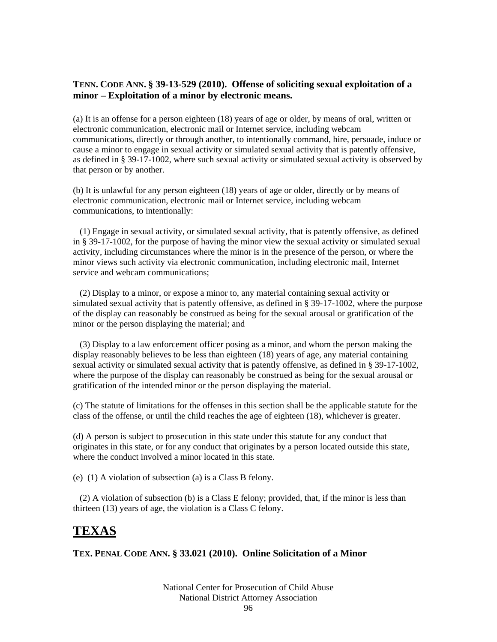### **TENN. CODE ANN. § 39-13-529 (2010). Offense of soliciting sexual exploitation of a minor – Exploitation of a minor by electronic means.**

(a) It is an offense for a person eighteen (18) years of age or older, by means of oral, written or electronic communication, electronic mail or Internet service, including webcam communications, directly or through another, to intentionally command, hire, persuade, induce or cause a minor to engage in sexual activity or simulated sexual activity that is patently offensive, as defined in § 39-17-1002, where such sexual activity or simulated sexual activity is observed by that person or by another.

(b) It is unlawful for any person eighteen (18) years of age or older, directly or by means of electronic communication, electronic mail or Internet service, including webcam communications, to intentionally:

 (1) Engage in sexual activity, or simulated sexual activity, that is patently offensive, as defined in § 39-17-1002, for the purpose of having the minor view the sexual activity or simulated sexual activity, including circumstances where the minor is in the presence of the person, or where the minor views such activity via electronic communication, including electronic mail, Internet service and webcam communications;

 (2) Display to a minor, or expose a minor to, any material containing sexual activity or simulated sexual activity that is patently offensive, as defined in § 39-17-1002, where the purpose of the display can reasonably be construed as being for the sexual arousal or gratification of the minor or the person displaying the material; and

 (3) Display to a law enforcement officer posing as a minor, and whom the person making the display reasonably believes to be less than eighteen (18) years of age, any material containing sexual activity or simulated sexual activity that is patently offensive, as defined in § 39-17-1002, where the purpose of the display can reasonably be construed as being for the sexual arousal or gratification of the intended minor or the person displaying the material.

(c) The statute of limitations for the offenses in this section shall be the applicable statute for the class of the offense, or until the child reaches the age of eighteen (18), whichever is greater.

(d) A person is subject to prosecution in this state under this statute for any conduct that originates in this state, or for any conduct that originates by a person located outside this state, where the conduct involved a minor located in this state.

(e) (1) A violation of subsection (a) is a Class B felony.

 (2) A violation of subsection (b) is a Class E felony; provided, that, if the minor is less than thirteen (13) years of age, the violation is a Class C felony.

# **TEXAS**

**TEX. PENAL CODE ANN. § 33.021 (2010). Online Solicitation of a Minor**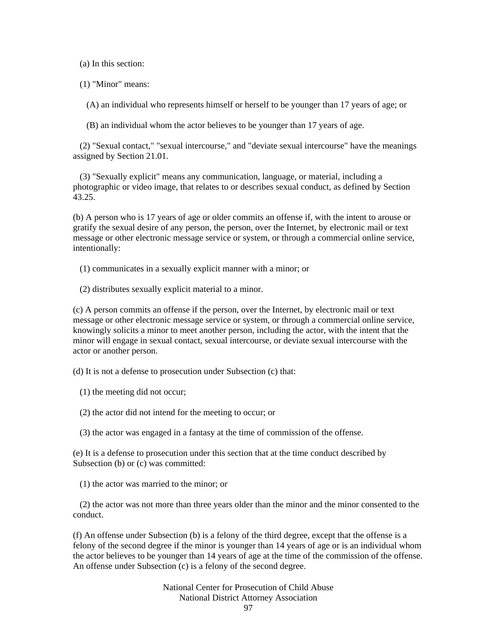(a) In this section:

(1) "Minor" means:

(A) an individual who represents himself or herself to be younger than 17 years of age; or

(B) an individual whom the actor believes to be younger than 17 years of age.

 (2) "Sexual contact," "sexual intercourse," and "deviate sexual intercourse" have the meanings assigned by Section 21.01.

 (3) "Sexually explicit" means any communication, language, or material, including a photographic or video image, that relates to or describes sexual conduct, as defined by Section 43.25.

(b) A person who is 17 years of age or older commits an offense if, with the intent to arouse or gratify the sexual desire of any person, the person, over the Internet, by electronic mail or text message or other electronic message service or system, or through a commercial online service, intentionally:

(1) communicates in a sexually explicit manner with a minor; or

(2) distributes sexually explicit material to a minor.

(c) A person commits an offense if the person, over the Internet, by electronic mail or text message or other electronic message service or system, or through a commercial online service, knowingly solicits a minor to meet another person, including the actor, with the intent that the minor will engage in sexual contact, sexual intercourse, or deviate sexual intercourse with the actor or another person.

(d) It is not a defense to prosecution under Subsection (c) that:

(1) the meeting did not occur;

(2) the actor did not intend for the meeting to occur; or

(3) the actor was engaged in a fantasy at the time of commission of the offense.

(e) It is a defense to prosecution under this section that at the time conduct described by Subsection (b) or (c) was committed:

(1) the actor was married to the minor; or

 (2) the actor was not more than three years older than the minor and the minor consented to the conduct.

(f) An offense under Subsection (b) is a felony of the third degree, except that the offense is a felony of the second degree if the minor is younger than 14 years of age or is an individual whom the actor believes to be younger than 14 years of age at the time of the commission of the offense. An offense under Subsection (c) is a felony of the second degree.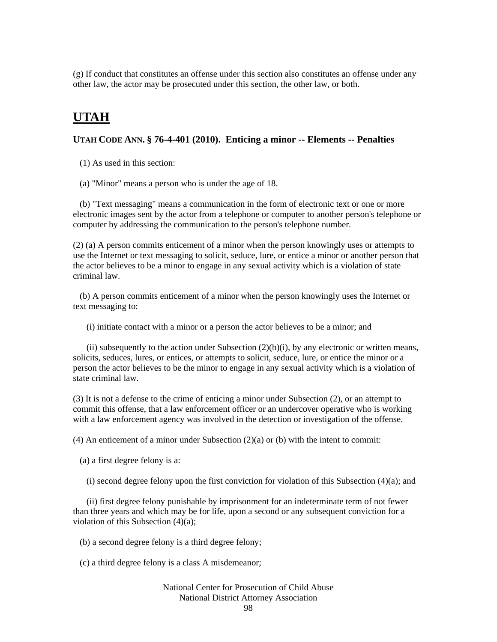(g) If conduct that constitutes an offense under this section also constitutes an offense under any other law, the actor may be prosecuted under this section, the other law, or both.

# **UTAH**

### **UTAH CODE ANN. § 76-4-401 (2010). Enticing a minor -- Elements -- Penalties**

(1) As used in this section:

(a) "Minor" means a person who is under the age of 18.

 (b) "Text messaging" means a communication in the form of electronic text or one or more electronic images sent by the actor from a telephone or computer to another person's telephone or computer by addressing the communication to the person's telephone number.

(2) (a) A person commits enticement of a minor when the person knowingly uses or attempts to use the Internet or text messaging to solicit, seduce, lure, or entice a minor or another person that the actor believes to be a minor to engage in any sexual activity which is a violation of state criminal law.

 (b) A person commits enticement of a minor when the person knowingly uses the Internet or text messaging to:

(i) initiate contact with a minor or a person the actor believes to be a minor; and

(ii) subsequently to the action under Subsection  $(2)(b)(i)$ , by any electronic or written means, solicits, seduces, lures, or entices, or attempts to solicit, seduce, lure, or entice the minor or a person the actor believes to be the minor to engage in any sexual activity which is a violation of state criminal law.

(3) It is not a defense to the crime of enticing a minor under Subsection (2), or an attempt to commit this offense, that a law enforcement officer or an undercover operative who is working with a law enforcement agency was involved in the detection or investigation of the offense.

(4) An enticement of a minor under Subsection  $(2)(a)$  or (b) with the intent to commit:

(a) a first degree felony is a:

(i) second degree felony upon the first conviction for violation of this Subsection  $(4)(a)$ ; and

 (ii) first degree felony punishable by imprisonment for an indeterminate term of not fewer than three years and which may be for life, upon a second or any subsequent conviction for a violation of this Subsection (4)(a);

(b) a second degree felony is a third degree felony;

(c) a third degree felony is a class A misdemeanor;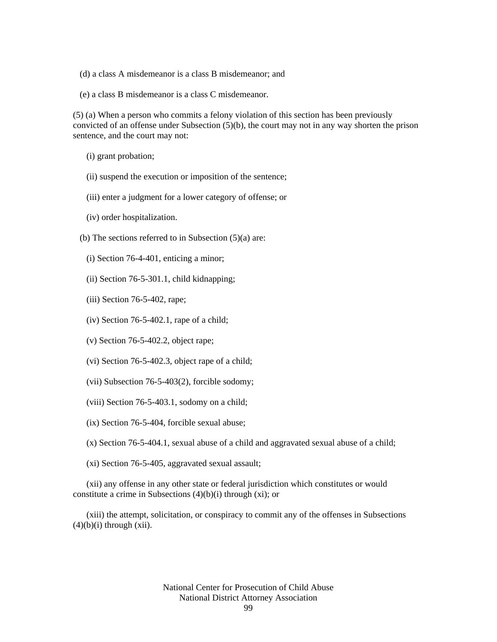- (d) a class A misdemeanor is a class B misdemeanor; and
- (e) a class B misdemeanor is a class C misdemeanor.

(5) (a) When a person who commits a felony violation of this section has been previously convicted of an offense under Subsection (5)(b), the court may not in any way shorten the prison sentence, and the court may not:

- (i) grant probation;
- (ii) suspend the execution or imposition of the sentence;
- (iii) enter a judgment for a lower category of offense; or
- (iv) order hospitalization.
- (b) The sections referred to in Subsection  $(5)(a)$  are:
	- (i) Section 76-4-401, enticing a minor;
	- (ii) Section 76-5-301.1, child kidnapping;
	- (iii) Section 76-5-402, rape;
	- $(iv)$  Section 76-5-402.1, rape of a child;
	- (v) Section 76-5-402.2, object rape;
	- (vi) Section 76-5-402.3, object rape of a child;
	- (vii) Subsection 76-5-403(2), forcible sodomy;
	- (viii) Section 76-5-403.1, sodomy on a child;
	- (ix) Section 76-5-404, forcible sexual abuse;
	- (x) Section 76-5-404.1, sexual abuse of a child and aggravated sexual abuse of a child;
	- (xi) Section 76-5-405, aggravated sexual assault;

 (xii) any offense in any other state or federal jurisdiction which constitutes or would constitute a crime in Subsections (4)(b)(i) through (xi); or

 (xiii) the attempt, solicitation, or conspiracy to commit any of the offenses in Subsections  $(4)(b)(i)$  through  $(xii)$ .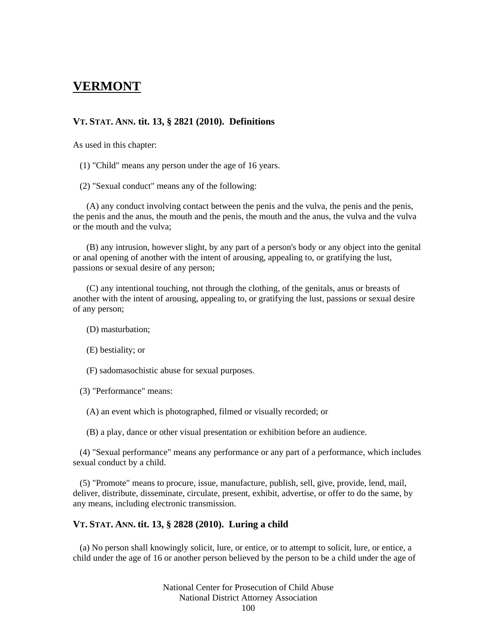## **VERMONT**

### **VT. STAT. ANN. tit. 13, § 2821 (2010). Definitions**

As used in this chapter:

- (1) "Child" means any person under the age of 16 years.
- (2) "Sexual conduct" means any of the following:

 (A) any conduct involving contact between the penis and the vulva, the penis and the penis, the penis and the anus, the mouth and the penis, the mouth and the anus, the vulva and the vulva or the mouth and the vulva;

 (B) any intrusion, however slight, by any part of a person's body or any object into the genital or anal opening of another with the intent of arousing, appealing to, or gratifying the lust, passions or sexual desire of any person;

 (C) any intentional touching, not through the clothing, of the genitals, anus or breasts of another with the intent of arousing, appealing to, or gratifying the lust, passions or sexual desire of any person;

- (D) masturbation;
- (E) bestiality; or
- (F) sadomasochistic abuse for sexual purposes.
- (3) "Performance" means:
	- (A) an event which is photographed, filmed or visually recorded; or
	- (B) a play, dance or other visual presentation or exhibition before an audience.

 (4) "Sexual performance" means any performance or any part of a performance, which includes sexual conduct by a child.

 (5) "Promote" means to procure, issue, manufacture, publish, sell, give, provide, lend, mail, deliver, distribute, disseminate, circulate, present, exhibit, advertise, or offer to do the same, by any means, including electronic transmission.

#### **VT. STAT. ANN. tit. 13, § 2828 (2010). Luring a child**

 (a) No person shall knowingly solicit, lure, or entice, or to attempt to solicit, lure, or entice, a child under the age of 16 or another person believed by the person to be a child under the age of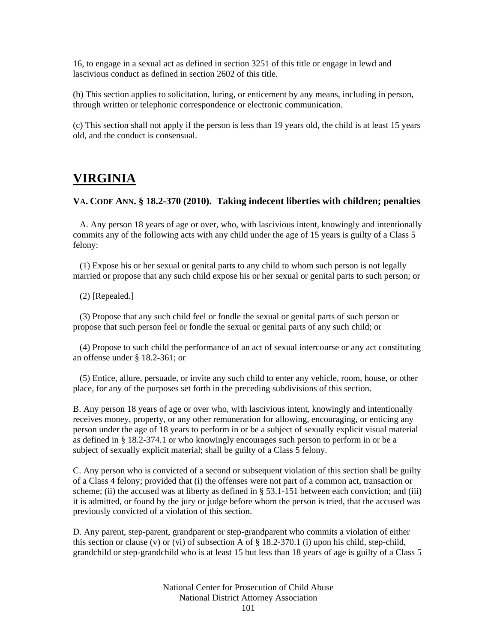16, to engage in a sexual act as defined in section 3251 of this title or engage in lewd and lascivious conduct as defined in section 2602 of this title.

(b) This section applies to solicitation, luring, or enticement by any means, including in person, through written or telephonic correspondence or electronic communication.

(c) This section shall not apply if the person is less than 19 years old, the child is at least 15 years old, and the conduct is consensual.

## **VIRGINIA**

### **VA. CODE ANN. § 18.2-370 (2010). Taking indecent liberties with children; penalties**

 A. Any person 18 years of age or over, who, with lascivious intent, knowingly and intentionally commits any of the following acts with any child under the age of 15 years is guilty of a Class 5 felony:

 (1) Expose his or her sexual or genital parts to any child to whom such person is not legally married or propose that any such child expose his or her sexual or genital parts to such person; or

(2) [Repealed.]

 (3) Propose that any such child feel or fondle the sexual or genital parts of such person or propose that such person feel or fondle the sexual or genital parts of any such child; or

 (4) Propose to such child the performance of an act of sexual intercourse or any act constituting an offense under § 18.2-361; or

 (5) Entice, allure, persuade, or invite any such child to enter any vehicle, room, house, or other place, for any of the purposes set forth in the preceding subdivisions of this section.

B. Any person 18 years of age or over who, with lascivious intent, knowingly and intentionally receives money, property, or any other remuneration for allowing, encouraging, or enticing any person under the age of 18 years to perform in or be a subject of sexually explicit visual material as defined in § 18.2-374.1 or who knowingly encourages such person to perform in or be a subject of sexually explicit material; shall be guilty of a Class 5 felony.

C. Any person who is convicted of a second or subsequent violation of this section shall be guilty of a Class 4 felony; provided that (i) the offenses were not part of a common act, transaction or scheme; (ii) the accused was at liberty as defined in § 53.1-151 between each conviction; and (iii) it is admitted, or found by the jury or judge before whom the person is tried, that the accused was previously convicted of a violation of this section.

D. Any parent, step-parent, grandparent or step-grandparent who commits a violation of either this section or clause (v) or (vi) of subsection A of  $\S$  18.2-370.1 (i) upon his child, step-child, grandchild or step-grandchild who is at least 15 but less than 18 years of age is guilty of a Class 5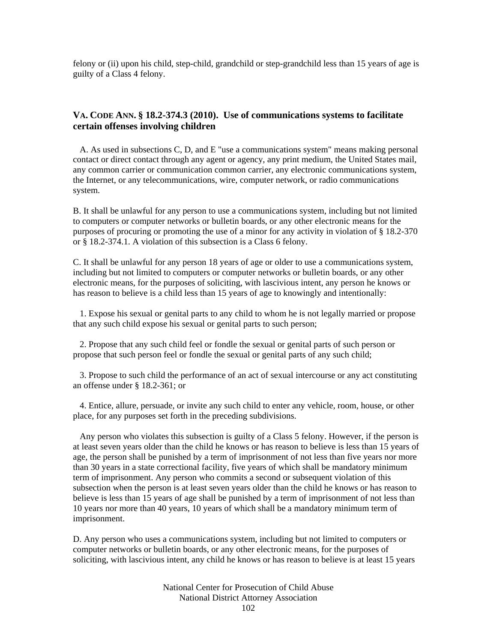felony or (ii) upon his child, step-child, grandchild or step-grandchild less than 15 years of age is guilty of a Class 4 felony.

### **VA. CODE ANN. § 18.2-374.3 (2010). Use of communications systems to facilitate certain offenses involving children**

 A. As used in subsections C, D, and E "use a communications system" means making personal contact or direct contact through any agent or agency, any print medium, the United States mail, any common carrier or communication common carrier, any electronic communications system, the Internet, or any telecommunications, wire, computer network, or radio communications system.

B. It shall be unlawful for any person to use a communications system, including but not limited to computers or computer networks or bulletin boards, or any other electronic means for the purposes of procuring or promoting the use of a minor for any activity in violation of § 18.2-370 or § 18.2-374.1. A violation of this subsection is a Class 6 felony.

C. It shall be unlawful for any person 18 years of age or older to use a communications system, including but not limited to computers or computer networks or bulletin boards, or any other electronic means, for the purposes of soliciting, with lascivious intent, any person he knows or has reason to believe is a child less than 15 years of age to knowingly and intentionally:

 1. Expose his sexual or genital parts to any child to whom he is not legally married or propose that any such child expose his sexual or genital parts to such person;

 2. Propose that any such child feel or fondle the sexual or genital parts of such person or propose that such person feel or fondle the sexual or genital parts of any such child;

 3. Propose to such child the performance of an act of sexual intercourse or any act constituting an offense under § 18.2-361; or

 4. Entice, allure, persuade, or invite any such child to enter any vehicle, room, house, or other place, for any purposes set forth in the preceding subdivisions.

 Any person who violates this subsection is guilty of a Class 5 felony. However, if the person is at least seven years older than the child he knows or has reason to believe is less than 15 years of age, the person shall be punished by a term of imprisonment of not less than five years nor more than 30 years in a state correctional facility, five years of which shall be mandatory minimum term of imprisonment. Any person who commits a second or subsequent violation of this subsection when the person is at least seven years older than the child he knows or has reason to believe is less than 15 years of age shall be punished by a term of imprisonment of not less than 10 years nor more than 40 years, 10 years of which shall be a mandatory minimum term of imprisonment.

D. Any person who uses a communications system, including but not limited to computers or computer networks or bulletin boards, or any other electronic means, for the purposes of soliciting, with lascivious intent, any child he knows or has reason to believe is at least 15 years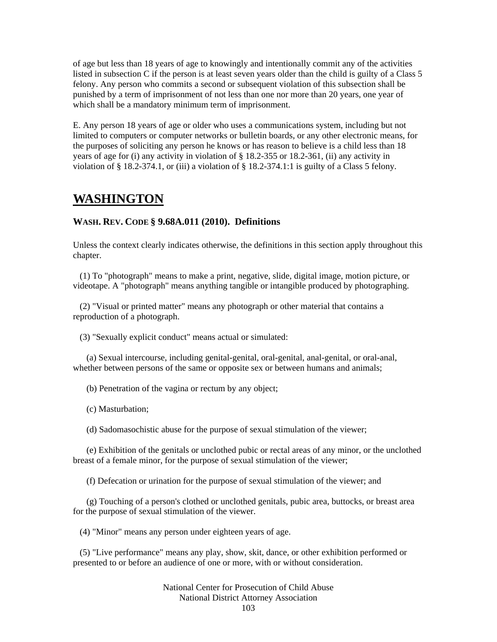of age but less than 18 years of age to knowingly and intentionally commit any of the activities listed in subsection C if the person is at least seven years older than the child is guilty of a Class 5 felony. Any person who commits a second or subsequent violation of this subsection shall be punished by a term of imprisonment of not less than one nor more than 20 years, one year of which shall be a mandatory minimum term of imprisonment.

E. Any person 18 years of age or older who uses a communications system, including but not limited to computers or computer networks or bulletin boards, or any other electronic means, for the purposes of soliciting any person he knows or has reason to believe is a child less than 18 years of age for (i) any activity in violation of  $\S 18.2\n-355$  or  $18.2\n-361$ , (ii) any activity in violation of  $\S 18.2-374.1$ , or (iii) a violation of  $\S 18.2-374.1:1$  is guilty of a Class 5 felony.

## **WASHINGTON**

### **WASH. REV. CODE § 9.68A.011 (2010). Definitions**

Unless the context clearly indicates otherwise, the definitions in this section apply throughout this chapter.

 (1) To "photograph" means to make a print, negative, slide, digital image, motion picture, or videotape. A "photograph" means anything tangible or intangible produced by photographing.

 (2) "Visual or printed matter" means any photograph or other material that contains a reproduction of a photograph.

(3) "Sexually explicit conduct" means actual or simulated:

 (a) Sexual intercourse, including genital-genital, oral-genital, anal-genital, or oral-anal, whether between persons of the same or opposite sex or between humans and animals;

(b) Penetration of the vagina or rectum by any object;

(c) Masturbation;

(d) Sadomasochistic abuse for the purpose of sexual stimulation of the viewer;

 (e) Exhibition of the genitals or unclothed pubic or rectal areas of any minor, or the unclothed breast of a female minor, for the purpose of sexual stimulation of the viewer;

(f) Defecation or urination for the purpose of sexual stimulation of the viewer; and

 (g) Touching of a person's clothed or unclothed genitals, pubic area, buttocks, or breast area for the purpose of sexual stimulation of the viewer.

(4) "Minor" means any person under eighteen years of age.

 (5) "Live performance" means any play, show, skit, dance, or other exhibition performed or presented to or before an audience of one or more, with or without consideration.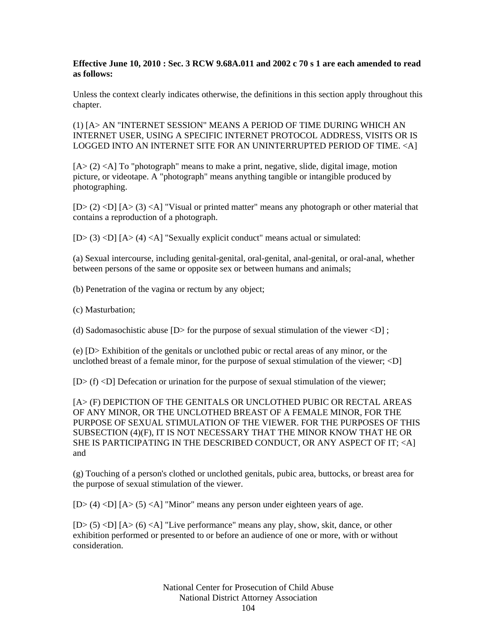### **Effective June 10, 2010 : Sec. 3 RCW 9.68A.011 and 2002 c 70 s 1 are each amended to read as follows:**

Unless the context clearly indicates otherwise, the definitions in this section apply throughout this chapter.

(1) [A> AN "INTERNET SESSION" MEANS A PERIOD OF TIME DURING WHICH AN INTERNET USER, USING A SPECIFIC INTERNET PROTOCOL ADDRESS, VISITS OR IS LOGGED INTO AN INTERNET SITE FOR AN UNINTERRUPTED PERIOD OF TIME. <A]

 $[A>(2) < A$ ] To "photograph" means to make a print, negative, slide, digital image, motion picture, or videotape. A "photograph" means anything tangible or intangible produced by photographing.

 $[D>(2)$  <D $]$  [A $>(3)$  <A] "Visual or printed matter" means any photograph or other material that contains a reproduction of a photograph.

 $[D>(3)$  <D $]$  [A $>(4)$  <A] "Sexually explicit conduct" means actual or simulated:

(a) Sexual intercourse, including genital-genital, oral-genital, anal-genital, or oral-anal, whether between persons of the same or opposite sex or between humans and animals;

(b) Penetration of the vagina or rectum by any object;

(c) Masturbation;

(d) Sadomasochistic abuse [D> for the purpose of sexual stimulation of the viewer <D] ;

(e) [D> Exhibition of the genitals or unclothed pubic or rectal areas of any minor, or the unclothed breast of a female minor, for the purpose of sexual stimulation of the viewer;  $\langle D \rangle$ 

 $[D>(f)$   $\Diamond$  D] Defecation or urination for the purpose of sexual stimulation of the viewer;

[A> (F) DEPICTION OF THE GENITALS OR UNCLOTHED PUBIC OR RECTAL AREAS OF ANY MINOR, OR THE UNCLOTHED BREAST OF A FEMALE MINOR, FOR THE PURPOSE OF SEXUAL STIMULATION OF THE VIEWER. FOR THE PURPOSES OF THIS SUBSECTION (4)(F), IT IS NOT NECESSARY THAT THE MINOR KNOW THAT HE OR SHE IS PARTICIPATING IN THE DESCRIBED CONDUCT, OR ANY ASPECT OF IT; <A] and

(g) Touching of a person's clothed or unclothed genitals, pubic area, buttocks, or breast area for the purpose of sexual stimulation of the viewer.

 $[D>(4) < D]$  [A $>$  (5) < A] "Minor" means any person under eighteen years of age.

 $[D>(5)$   $\langle D \rangle$   $[A>(6)$   $\langle A \rangle$  "Live performance" means any play, show, skit, dance, or other exhibition performed or presented to or before an audience of one or more, with or without consideration.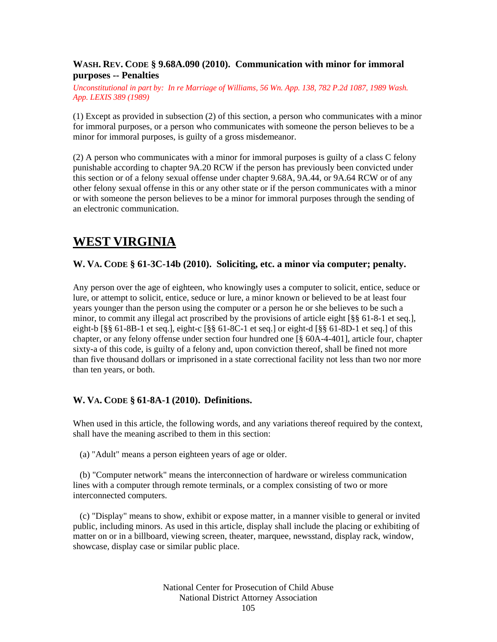### **WASH. REV. CODE § 9.68A.090 (2010). Communication with minor for immoral purposes -- Penalties**

*Unconstitutional in part by: In re Marriage of Williams, 56 Wn. App. 138, 782 P.2d 1087, 1989 Wash. App. LEXIS 389 (1989)* 

(1) Except as provided in subsection (2) of this section, a person who communicates with a minor for immoral purposes, or a person who communicates with someone the person believes to be a minor for immoral purposes, is guilty of a gross misdemeanor.

(2) A person who communicates with a minor for immoral purposes is guilty of a class C felony punishable according to chapter 9A.20 RCW if the person has previously been convicted under this section or of a felony sexual offense under chapter 9.68A, 9A.44, or 9A.64 RCW or of any other felony sexual offense in this or any other state or if the person communicates with a minor or with someone the person believes to be a minor for immoral purposes through the sending of an electronic communication.

# **WEST VIRGINIA**

### **W. VA. CODE § 61-3C-14b (2010). Soliciting, etc. a minor via computer; penalty.**

Any person over the age of eighteen, who knowingly uses a computer to solicit, entice, seduce or lure, or attempt to solicit, entice, seduce or lure, a minor known or believed to be at least four years younger than the person using the computer or a person he or she believes to be such a minor, to commit any illegal act proscribed by the provisions of article eight [§§ 61-8-1 et seq.], eight-b [§§ 61-8B-1 et seq.], eight-c [§§ 61-8C-1 et seq.] or eight-d [§§ 61-8D-1 et seq.] of this chapter, or any felony offense under section four hundred one [§ 60A-4-401], article four, chapter sixty-a of this code, is guilty of a felony and, upon conviction thereof, shall be fined not more than five thousand dollars or imprisoned in a state correctional facility not less than two nor more than ten years, or both.

### **W. VA. CODE § 61-8A-1 (2010). Definitions.**

When used in this article, the following words, and any variations thereof required by the context, shall have the meaning ascribed to them in this section:

(a) "Adult" means a person eighteen years of age or older.

 (b) "Computer network" means the interconnection of hardware or wireless communication lines with a computer through remote terminals, or a complex consisting of two or more interconnected computers.

 (c) "Display" means to show, exhibit or expose matter, in a manner visible to general or invited public, including minors. As used in this article, display shall include the placing or exhibiting of matter on or in a billboard, viewing screen, theater, marquee, newsstand, display rack, window, showcase, display case or similar public place.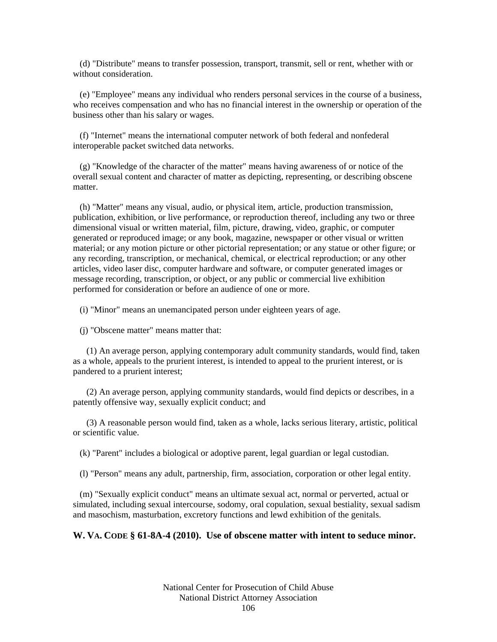(d) "Distribute" means to transfer possession, transport, transmit, sell or rent, whether with or without consideration

 (e) "Employee" means any individual who renders personal services in the course of a business, who receives compensation and who has no financial interest in the ownership or operation of the business other than his salary or wages.

 (f) "Internet" means the international computer network of both federal and nonfederal interoperable packet switched data networks.

 (g) "Knowledge of the character of the matter" means having awareness of or notice of the overall sexual content and character of matter as depicting, representing, or describing obscene matter.

 (h) "Matter" means any visual, audio, or physical item, article, production transmission, publication, exhibition, or live performance, or reproduction thereof, including any two or three dimensional visual or written material, film, picture, drawing, video, graphic, or computer generated or reproduced image; or any book, magazine, newspaper or other visual or written material; or any motion picture or other pictorial representation; or any statue or other figure; or any recording, transcription, or mechanical, chemical, or electrical reproduction; or any other articles, video laser disc, computer hardware and software, or computer generated images or message recording, transcription, or object, or any public or commercial live exhibition performed for consideration or before an audience of one or more.

(i) "Minor" means an unemancipated person under eighteen years of age.

(j) "Obscene matter" means matter that:

 (1) An average person, applying contemporary adult community standards, would find, taken as a whole, appeals to the prurient interest, is intended to appeal to the prurient interest, or is pandered to a prurient interest;

 (2) An average person, applying community standards, would find depicts or describes, in a patently offensive way, sexually explicit conduct; and

 (3) A reasonable person would find, taken as a whole, lacks serious literary, artistic, political or scientific value.

(k) "Parent" includes a biological or adoptive parent, legal guardian or legal custodian.

(l) "Person" means any adult, partnership, firm, association, corporation or other legal entity.

 (m) "Sexually explicit conduct" means an ultimate sexual act, normal or perverted, actual or simulated, including sexual intercourse, sodomy, oral copulation, sexual bestiality, sexual sadism and masochism, masturbation, excretory functions and lewd exhibition of the genitals.

### **W. VA. CODE § 61-8A-4 (2010). Use of obscene matter with intent to seduce minor.**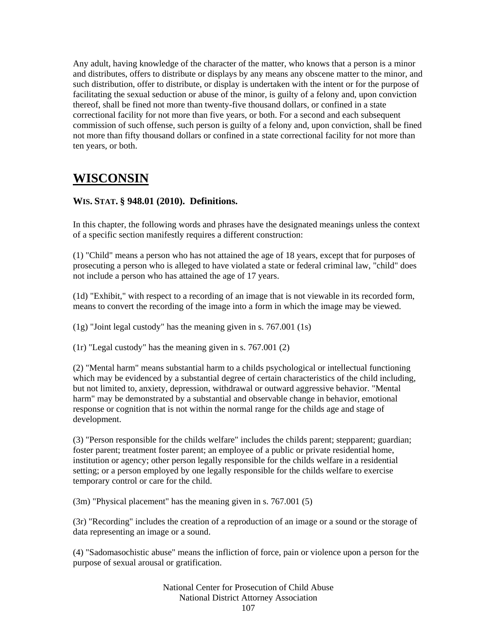Any adult, having knowledge of the character of the matter, who knows that a person is a minor and distributes, offers to distribute or displays by any means any obscene matter to the minor, and such distribution, offer to distribute, or display is undertaken with the intent or for the purpose of facilitating the sexual seduction or abuse of the minor, is guilty of a felony and, upon conviction thereof, shall be fined not more than twenty-five thousand dollars, or confined in a state correctional facility for not more than five years, or both. For a second and each subsequent commission of such offense, such person is guilty of a felony and, upon conviction, shall be fined not more than fifty thousand dollars or confined in a state correctional facility for not more than ten years, or both.

# **WISCONSIN**

### **WIS. STAT. § 948.01 (2010). Definitions.**

In this chapter, the following words and phrases have the designated meanings unless the context of a specific section manifestly requires a different construction:

(1) "Child" means a person who has not attained the age of 18 years, except that for purposes of prosecuting a person who is alleged to have violated a state or federal criminal law, "child" does not include a person who has attained the age of 17 years.

(1d) "Exhibit," with respect to a recording of an image that is not viewable in its recorded form, means to convert the recording of the image into a form in which the image may be viewed.

(1g) "Joint legal custody" has the meaning given in s. 767.001 (1s)

(1r) "Legal custody" has the meaning given in s. 767.001 (2)

(2) "Mental harm" means substantial harm to a childs psychological or intellectual functioning which may be evidenced by a substantial degree of certain characteristics of the child including, but not limited to, anxiety, depression, withdrawal or outward aggressive behavior. "Mental harm" may be demonstrated by a substantial and observable change in behavior, emotional response or cognition that is not within the normal range for the childs age and stage of development.

(3) "Person responsible for the childs welfare" includes the childs parent; stepparent; guardian; foster parent; treatment foster parent; an employee of a public or private residential home, institution or agency; other person legally responsible for the childs welfare in a residential setting; or a person employed by one legally responsible for the childs welfare to exercise temporary control or care for the child.

(3m) "Physical placement" has the meaning given in s. 767.001 (5)

(3r) "Recording" includes the creation of a reproduction of an image or a sound or the storage of data representing an image or a sound.

(4) "Sadomasochistic abuse" means the infliction of force, pain or violence upon a person for the purpose of sexual arousal or gratification.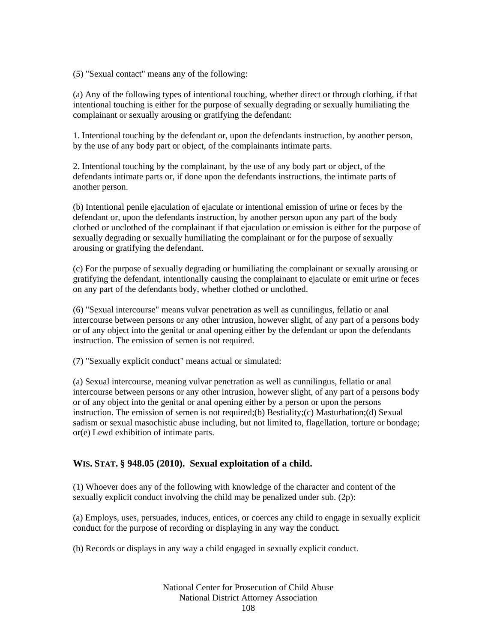(5) "Sexual contact" means any of the following:

(a) Any of the following types of intentional touching, whether direct or through clothing, if that intentional touching is either for the purpose of sexually degrading or sexually humiliating the complainant or sexually arousing or gratifying the defendant:

1. Intentional touching by the defendant or, upon the defendants instruction, by another person, by the use of any body part or object, of the complainants intimate parts.

2. Intentional touching by the complainant, by the use of any body part or object, of the defendants intimate parts or, if done upon the defendants instructions, the intimate parts of another person.

(b) Intentional penile ejaculation of ejaculate or intentional emission of urine or feces by the defendant or, upon the defendants instruction, by another person upon any part of the body clothed or unclothed of the complainant if that ejaculation or emission is either for the purpose of sexually degrading or sexually humiliating the complainant or for the purpose of sexually arousing or gratifying the defendant.

(c) For the purpose of sexually degrading or humiliating the complainant or sexually arousing or gratifying the defendant, intentionally causing the complainant to ejaculate or emit urine or feces on any part of the defendants body, whether clothed or unclothed.

(6) "Sexual intercourse" means vulvar penetration as well as cunnilingus, fellatio or anal intercourse between persons or any other intrusion, however slight, of any part of a persons body or of any object into the genital or anal opening either by the defendant or upon the defendants instruction. The emission of semen is not required.

(7) "Sexually explicit conduct" means actual or simulated:

(a) Sexual intercourse, meaning vulvar penetration as well as cunnilingus, fellatio or anal intercourse between persons or any other intrusion, however slight, of any part of a persons body or of any object into the genital or anal opening either by a person or upon the persons instruction. The emission of semen is not required;(b) Bestiality;(c) Masturbation;(d) Sexual sadism or sexual masochistic abuse including, but not limited to, flagellation, torture or bondage; or(e) Lewd exhibition of intimate parts.

### **WIS. STAT. § 948.05 (2010). Sexual exploitation of a child.**

(1) Whoever does any of the following with knowledge of the character and content of the sexually explicit conduct involving the child may be penalized under sub. (2p):

(a) Employs, uses, persuades, induces, entices, or coerces any child to engage in sexually explicit conduct for the purpose of recording or displaying in any way the conduct.

(b) Records or displays in any way a child engaged in sexually explicit conduct.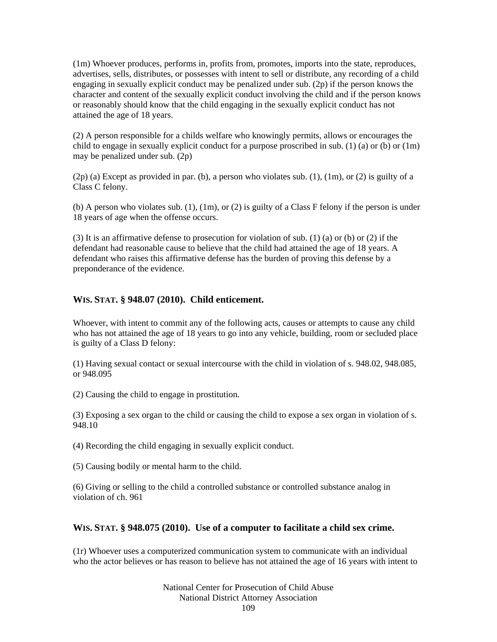(1m) Whoever produces, performs in, profits from, promotes, imports into the state, reproduces, advertises, sells, distributes, or possesses with intent to sell or distribute, any recording of a child engaging in sexually explicit conduct may be penalized under sub. (2p) if the person knows the character and content of the sexually explicit conduct involving the child and if the person knows or reasonably should know that the child engaging in the sexually explicit conduct has not attained the age of 18 years.

(2) A person responsible for a childs welfare who knowingly permits, allows or encourages the child to engage in sexually explicit conduct for a purpose proscribed in sub. (1) (a) or (b) or  $(1m)$ may be penalized under sub. (2p)

(2p) (a) Except as provided in par. (b), a person who violates sub. (1), (1m), or (2) is guilty of a Class C felony.

(b) A person who violates sub.  $(1)$ ,  $(1m)$ , or  $(2)$  is guilty of a Class F felony if the person is under 18 years of age when the offense occurs.

(3) It is an affirmative defense to prosecution for violation of sub. (1) (a) or (b) or (2) if the defendant had reasonable cause to believe that the child had attained the age of 18 years. A defendant who raises this affirmative defense has the burden of proving this defense by a preponderance of the evidence.

### **WIS. STAT. § 948.07 (2010). Child enticement.**

Whoever, with intent to commit any of the following acts, causes or attempts to cause any child who has not attained the age of 18 years to go into any vehicle, building, room or secluded place is guilty of a Class D felony:

(1) Having sexual contact or sexual intercourse with the child in violation of s. 948.02, 948.085, or 948.095

(2) Causing the child to engage in prostitution.

(3) Exposing a sex organ to the child or causing the child to expose a sex organ in violation of s. 948.10

(4) Recording the child engaging in sexually explicit conduct.

(5) Causing bodily or mental harm to the child.

(6) Giving or selling to the child a controlled substance or controlled substance analog in violation of ch. 961

### **WIS. STAT. § 948.075 (2010). Use of a computer to facilitate a child sex crime.**

(1r) Whoever uses a computerized communication system to communicate with an individual who the actor believes or has reason to believe has not attained the age of 16 years with intent to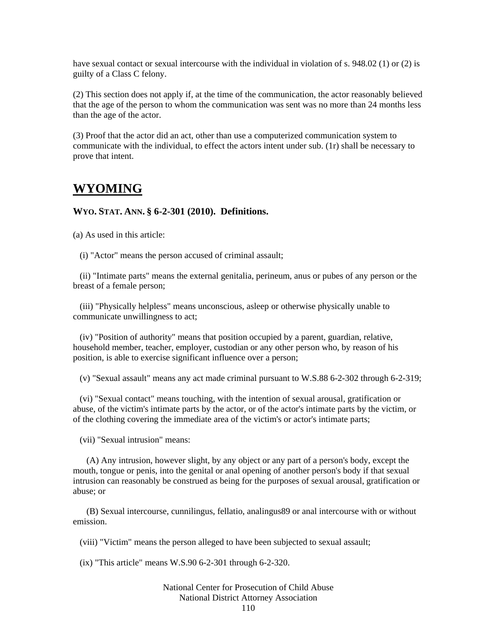have sexual contact or sexual intercourse with the individual in violation of s. 948.02 (1) or (2) is guilty of a Class C felony.

(2) This section does not apply if, at the time of the communication, the actor reasonably believed that the age of the person to whom the communication was sent was no more than 24 months less than the age of the actor.

(3) Proof that the actor did an act, other than use a computerized communication system to communicate with the individual, to effect the actors intent under sub. (1r) shall be necessary to prove that intent.

# **WYOMING**

### **WYO. STAT. ANN. § 6-2-301 (2010). Definitions.**

(a) As used in this article:

(i) "Actor" means the person accused of criminal assault;

 (ii) "Intimate parts" means the external genitalia, perineum, anus or pubes of any person or the breast of a female person;

 (iii) "Physically helpless" means unconscious, asleep or otherwise physically unable to communicate unwillingness to act;

 (iv) "Position of authority" means that position occupied by a parent, guardian, relative, household member, teacher, employer, custodian or any other person who, by reason of his position, is able to exercise significant influence over a person;

(v) "Sexual assault" means any act made criminal pursuant to W.S.88 6-2-302 through 6-2-319;

 (vi) "Sexual contact" means touching, with the intention of sexual arousal, gratification or abuse, of the victim's intimate parts by the actor, or of the actor's intimate parts by the victim, or of the clothing covering the immediate area of the victim's or actor's intimate parts;

(vii) "Sexual intrusion" means:

 (A) Any intrusion, however slight, by any object or any part of a person's body, except the mouth, tongue or penis, into the genital or anal opening of another person's body if that sexual intrusion can reasonably be construed as being for the purposes of sexual arousal, gratification or abuse; or

 (B) Sexual intercourse, cunnilingus, fellatio, analingus89 or anal intercourse with or without emission.

(viii) "Victim" means the person alleged to have been subjected to sexual assault;

(ix) "This article" means W.S.90 6-2-301 through 6-2-320.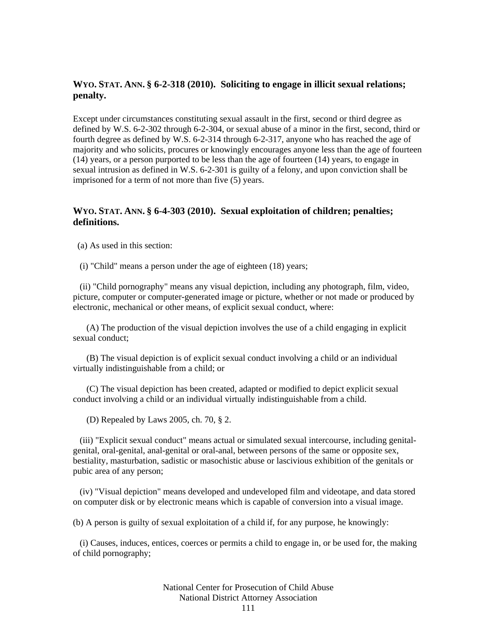# **WYO. STAT. ANN. § 6-2-318 (2010). Soliciting to engage in illicit sexual relations; penalty.**

Except under circumstances constituting sexual assault in the first, second or third degree as defined by W.S. 6-2-302 through 6-2-304, or sexual abuse of a minor in the first, second, third or fourth degree as defined by W.S. 6-2-314 through 6-2-317, anyone who has reached the age of majority and who solicits, procures or knowingly encourages anyone less than the age of fourteen (14) years, or a person purported to be less than the age of fourteen (14) years, to engage in sexual intrusion as defined in W.S. 6-2-301 is guilty of a felony, and upon conviction shall be imprisoned for a term of not more than five (5) years.

# **WYO. STAT. ANN. § 6-4-303 (2010). Sexual exploitation of children; penalties; definitions.**

(a) As used in this section:

(i) "Child" means a person under the age of eighteen (18) years;

 (ii) "Child pornography" means any visual depiction, including any photograph, film, video, picture, computer or computer-generated image or picture, whether or not made or produced by electronic, mechanical or other means, of explicit sexual conduct, where:

 (A) The production of the visual depiction involves the use of a child engaging in explicit sexual conduct;

 (B) The visual depiction is of explicit sexual conduct involving a child or an individual virtually indistinguishable from a child; or

 (C) The visual depiction has been created, adapted or modified to depict explicit sexual conduct involving a child or an individual virtually indistinguishable from a child.

(D) Repealed by Laws 2005, ch. 70, § 2.

 (iii) "Explicit sexual conduct" means actual or simulated sexual intercourse, including genitalgenital, oral-genital, anal-genital or oral-anal, between persons of the same or opposite sex, bestiality, masturbation, sadistic or masochistic abuse or lascivious exhibition of the genitals or pubic area of any person;

 (iv) "Visual depiction" means developed and undeveloped film and videotape, and data stored on computer disk or by electronic means which is capable of conversion into a visual image.

(b) A person is guilty of sexual exploitation of a child if, for any purpose, he knowingly:

 (i) Causes, induces, entices, coerces or permits a child to engage in, or be used for, the making of child pornography;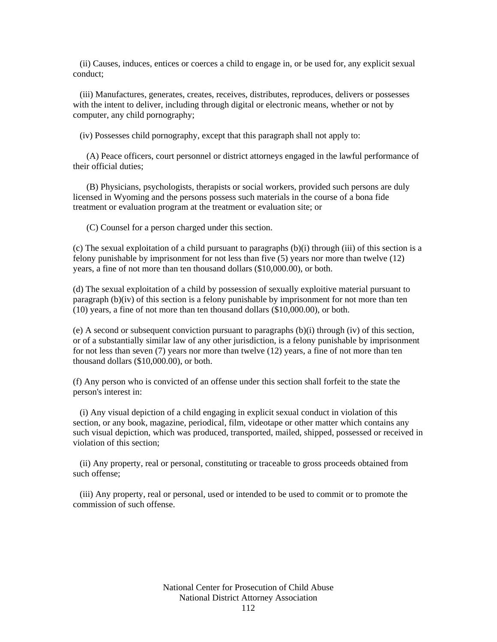(ii) Causes, induces, entices or coerces a child to engage in, or be used for, any explicit sexual conduct;

 (iii) Manufactures, generates, creates, receives, distributes, reproduces, delivers or possesses with the intent to deliver, including through digital or electronic means, whether or not by computer, any child pornography;

(iv) Possesses child pornography, except that this paragraph shall not apply to:

 (A) Peace officers, court personnel or district attorneys engaged in the lawful performance of their official duties;

 (B) Physicians, psychologists, therapists or social workers, provided such persons are duly licensed in Wyoming and the persons possess such materials in the course of a bona fide treatment or evaluation program at the treatment or evaluation site; or

(C) Counsel for a person charged under this section.

(c) The sexual exploitation of a child pursuant to paragraphs (b)(i) through (iii) of this section is a felony punishable by imprisonment for not less than five (5) years nor more than twelve (12) years, a fine of not more than ten thousand dollars (\$10,000.00), or both.

(d) The sexual exploitation of a child by possession of sexually exploitive material pursuant to paragraph (b)(iv) of this section is a felony punishable by imprisonment for not more than ten (10) years, a fine of not more than ten thousand dollars (\$10,000.00), or both.

(e) A second or subsequent conviction pursuant to paragraphs (b)(i) through (iv) of this section, or of a substantially similar law of any other jurisdiction, is a felony punishable by imprisonment for not less than seven (7) years nor more than twelve (12) years, a fine of not more than ten thousand dollars (\$10,000.00), or both.

(f) Any person who is convicted of an offense under this section shall forfeit to the state the person's interest in:

 (i) Any visual depiction of a child engaging in explicit sexual conduct in violation of this section, or any book, magazine, periodical, film, videotape or other matter which contains any such visual depiction, which was produced, transported, mailed, shipped, possessed or received in violation of this section;

 (ii) Any property, real or personal, constituting or traceable to gross proceeds obtained from such offense;

 (iii) Any property, real or personal, used or intended to be used to commit or to promote the commission of such offense.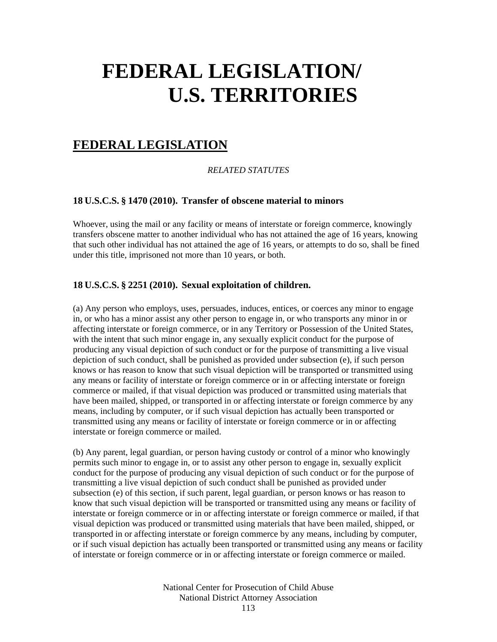# **FEDERAL LEGISLATION/ U.S. TERRITORIES**

# **FEDERAL LEGISLATION**

### *RELATED STATUTES*

### **18 U.S.C.S. § 1470 (2010). Transfer of obscene material to minors**

Whoever, using the mail or any facility or means of interstate or foreign commerce, knowingly transfers obscene matter to another individual who has not attained the age of 16 years, knowing that such other individual has not attained the age of 16 years, or attempts to do so, shall be fined under this title, imprisoned not more than 10 years, or both.

### **18 U.S.C.S. § 2251 (2010). Sexual exploitation of children.**

(a) Any person who employs, uses, persuades, induces, entices, or coerces any minor to engage in, or who has a minor assist any other person to engage in, or who transports any minor in or affecting interstate or foreign commerce, or in any Territory or Possession of the United States, with the intent that such minor engage in, any sexually explicit conduct for the purpose of producing any visual depiction of such conduct or for the purpose of transmitting a live visual depiction of such conduct, shall be punished as provided under subsection (e), if such person knows or has reason to know that such visual depiction will be transported or transmitted using any means or facility of interstate or foreign commerce or in or affecting interstate or foreign commerce or mailed, if that visual depiction was produced or transmitted using materials that have been mailed, shipped, or transported in or affecting interstate or foreign commerce by any means, including by computer, or if such visual depiction has actually been transported or transmitted using any means or facility of interstate or foreign commerce or in or affecting interstate or foreign commerce or mailed.

(b) Any parent, legal guardian, or person having custody or control of a minor who knowingly permits such minor to engage in, or to assist any other person to engage in, sexually explicit conduct for the purpose of producing any visual depiction of such conduct or for the purpose of transmitting a live visual depiction of such conduct shall be punished as provided under subsection (e) of this section, if such parent, legal guardian, or person knows or has reason to know that such visual depiction will be transported or transmitted using any means or facility of interstate or foreign commerce or in or affecting interstate or foreign commerce or mailed, if that visual depiction was produced or transmitted using materials that have been mailed, shipped, or transported in or affecting interstate or foreign commerce by any means, including by computer, or if such visual depiction has actually been transported or transmitted using any means or facility of interstate or foreign commerce or in or affecting interstate or foreign commerce or mailed.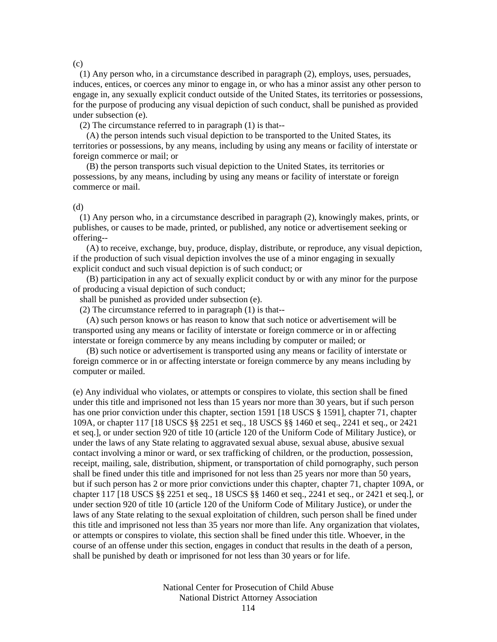#### (c)

 (1) Any person who, in a circumstance described in paragraph (2), employs, uses, persuades, induces, entices, or coerces any minor to engage in, or who has a minor assist any other person to engage in, any sexually explicit conduct outside of the United States, its territories or possessions, for the purpose of producing any visual depiction of such conduct, shall be punished as provided under subsection (e).

(2) The circumstance referred to in paragraph (1) is that--

 (A) the person intends such visual depiction to be transported to the United States, its territories or possessions, by any means, including by using any means or facility of interstate or foreign commerce or mail; or

 (B) the person transports such visual depiction to the United States, its territories or possessions, by any means, including by using any means or facility of interstate or foreign commerce or mail.

#### (d)

 (1) Any person who, in a circumstance described in paragraph (2), knowingly makes, prints, or publishes, or causes to be made, printed, or published, any notice or advertisement seeking or offering--

 (A) to receive, exchange, buy, produce, display, distribute, or reproduce, any visual depiction, if the production of such visual depiction involves the use of a minor engaging in sexually explicit conduct and such visual depiction is of such conduct; or

 (B) participation in any act of sexually explicit conduct by or with any minor for the purpose of producing a visual depiction of such conduct;

shall be punished as provided under subsection (e).

(2) The circumstance referred to in paragraph (1) is that--

 (A) such person knows or has reason to know that such notice or advertisement will be transported using any means or facility of interstate or foreign commerce or in or affecting interstate or foreign commerce by any means including by computer or mailed; or

 (B) such notice or advertisement is transported using any means or facility of interstate or foreign commerce or in or affecting interstate or foreign commerce by any means including by computer or mailed.

(e) Any individual who violates, or attempts or conspires to violate, this section shall be fined under this title and imprisoned not less than 15 years nor more than 30 years, but if such person has one prior conviction under this chapter, section 1591 [18 USCS § 1591], chapter 71, chapter 109A, or chapter 117 [18 USCS §§ 2251 et seq., 18 USCS §§ 1460 et seq., 2241 et seq., or 2421 et seq.], or under section 920 of title 10 (article 120 of the Uniform Code of Military Justice), or under the laws of any State relating to aggravated sexual abuse, sexual abuse, abusive sexual contact involving a minor or ward, or sex trafficking of children, or the production, possession, receipt, mailing, sale, distribution, shipment, or transportation of child pornography, such person shall be fined under this title and imprisoned for not less than 25 years nor more than 50 years, but if such person has 2 or more prior convictions under this chapter, chapter 71, chapter 109A, or chapter 117 [18 USCS §§ 2251 et seq., 18 USCS §§ 1460 et seq., 2241 et seq., or 2421 et seq.], or under section 920 of title 10 (article 120 of the Uniform Code of Military Justice), or under the laws of any State relating to the sexual exploitation of children, such person shall be fined under this title and imprisoned not less than 35 years nor more than life. Any organization that violates, or attempts or conspires to violate, this section shall be fined under this title. Whoever, in the course of an offense under this section, engages in conduct that results in the death of a person, shall be punished by death or imprisoned for not less than 30 years or for life.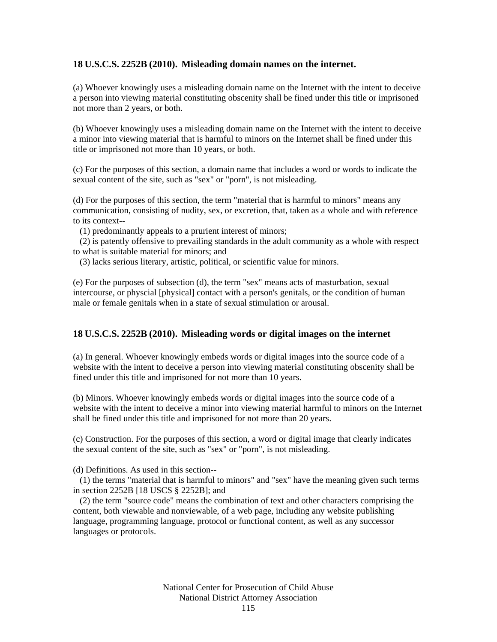# **18 U.S.C.S. 2252B (2010). Misleading domain names on the internet.**

(a) Whoever knowingly uses a misleading domain name on the Internet with the intent to deceive a person into viewing material constituting obscenity shall be fined under this title or imprisoned not more than 2 years, or both.

(b) Whoever knowingly uses a misleading domain name on the Internet with the intent to deceive a minor into viewing material that is harmful to minors on the Internet shall be fined under this title or imprisoned not more than 10 years, or both.

(c) For the purposes of this section, a domain name that includes a word or words to indicate the sexual content of the site, such as "sex" or "porn", is not misleading.

(d) For the purposes of this section, the term "material that is harmful to minors" means any communication, consisting of nudity, sex, or excretion, that, taken as a whole and with reference to its context--

(1) predominantly appeals to a prurient interest of minors;

 (2) is patently offensive to prevailing standards in the adult community as a whole with respect to what is suitable material for minors; and

(3) lacks serious literary, artistic, political, or scientific value for minors.

(e) For the purposes of subsection (d), the term "sex" means acts of masturbation, sexual intercourse, or physcial [physical] contact with a person's genitals, or the condition of human male or female genitals when in a state of sexual stimulation or arousal.

# **18 U.S.C.S. 2252B (2010). Misleading words or digital images on the internet**

(a) In general. Whoever knowingly embeds words or digital images into the source code of a website with the intent to deceive a person into viewing material constituting obscenity shall be fined under this title and imprisoned for not more than 10 years.

(b) Minors. Whoever knowingly embeds words or digital images into the source code of a website with the intent to deceive a minor into viewing material harmful to minors on the Internet shall be fined under this title and imprisoned for not more than 20 years.

(c) Construction. For the purposes of this section, a word or digital image that clearly indicates the sexual content of the site, such as "sex" or "porn", is not misleading.

(d) Definitions. As used in this section--

 (1) the terms "material that is harmful to minors" and "sex" have the meaning given such terms in section 2252B [18 USCS § 2252B]; and

 (2) the term "source code" means the combination of text and other characters comprising the content, both viewable and nonviewable, of a web page, including any website publishing language, programming language, protocol or functional content, as well as any successor languages or protocols.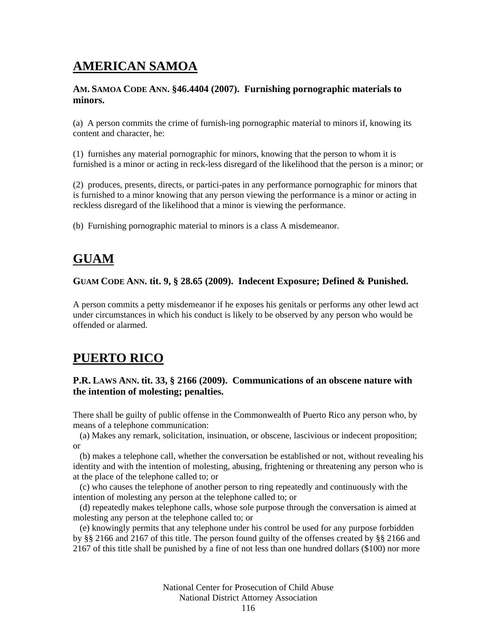# **AMERICAN SAMOA**

# **AM. SAMOA CODE ANN. §46.4404 (2007). Furnishing pornographic materials to minors.**

(a) A person commits the crime of furnish-ing pornographic material to minors if, knowing its content and character, he:

(1) furnishes any material pornographic for minors, knowing that the person to whom it is furnished is a minor or acting in reck-less disregard of the likelihood that the person is a minor; or

(2) produces, presents, directs, or partici-pates in any performance pornographic for minors that is furnished to a minor knowing that any person viewing the performance is a minor or acting in reckless disregard of the likelihood that a minor is viewing the performance.

(b) Furnishing pornographic material to minors is a class A misdemeanor.

# **GUAM**

**GUAM CODE ANN. tit. 9, § 28.65 (2009). Indecent Exposure; Defined & Punished.** 

A person commits a petty misdemeanor if he exposes his genitals or performs any other lewd act under circumstances in which his conduct is likely to be observed by any person who would be offended or alarmed.

# **PUERTO RICO**

# **P.R. LAWS ANN. tit. 33, § 2166 (2009). Communications of an obscene nature with the intention of molesting; penalties.**

There shall be guilty of public offense in the Commonwealth of Puerto Rico any person who, by means of a telephone communication:

 (a) Makes any remark, solicitation, insinuation, or obscene, lascivious or indecent proposition; or

 (b) makes a telephone call, whether the conversation be established or not, without revealing his identity and with the intention of molesting, abusing, frightening or threatening any person who is at the place of the telephone called to; or

 (c) who causes the telephone of another person to ring repeatedly and continuously with the intention of molesting any person at the telephone called to; or

 (d) repeatedly makes telephone calls, whose sole purpose through the conversation is aimed at molesting any person at the telephone called to; or

 (e) knowingly permits that any telephone under his control be used for any purpose forbidden by §§ 2166 and 2167 of this title. The person found guilty of the offenses created by §§ 2166 and 2167 of this title shall be punished by a fine of not less than one hundred dollars (\$100) nor more